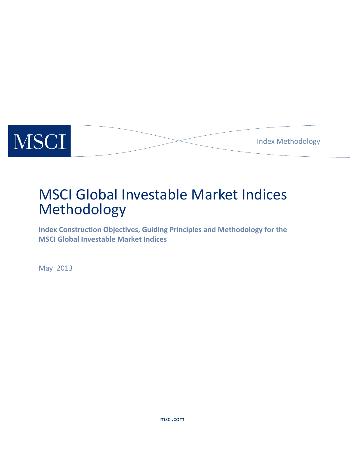

# MSCI Global Investable Market Indices Methodology

**Index Construction Objectives, Guiding Principles and Methodology for the MSCI Global Investable Market Indices** 

May 2013

msci.com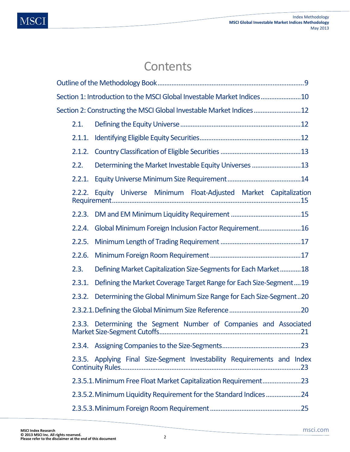# **Contents**

| Section 1: Introduction to the MSCI Global Investable Market Indices10 |                                                                     |  |  |  |  |
|------------------------------------------------------------------------|---------------------------------------------------------------------|--|--|--|--|
| Section 2: Constructing the MSCI Global Investable Market Indices12    |                                                                     |  |  |  |  |
| 2.1.                                                                   |                                                                     |  |  |  |  |
| 2.1.1.                                                                 |                                                                     |  |  |  |  |
| 2.1.2.                                                                 |                                                                     |  |  |  |  |
| 2.2.                                                                   | Determining the Market Investable Equity Universes 13               |  |  |  |  |
| 2.2.1.                                                                 |                                                                     |  |  |  |  |
|                                                                        | 2.2.2. Equity Universe Minimum Float-Adjusted Market Capitalization |  |  |  |  |
| 2.2.3.                                                                 |                                                                     |  |  |  |  |
| 2.2.4.                                                                 | Global Minimum Foreign Inclusion Factor Requirement16               |  |  |  |  |
| 2.2.5.                                                                 |                                                                     |  |  |  |  |
| 2.2.6.                                                                 |                                                                     |  |  |  |  |
| 2.3.                                                                   | Defining Market Capitalization Size-Segments for Each Market18      |  |  |  |  |
| 2.3.1.                                                                 | Defining the Market Coverage Target Range for Each Size-Segment19   |  |  |  |  |
| 2.3.2.                                                                 | Determining the Global Minimum Size Range for Each Size-Segment20   |  |  |  |  |
|                                                                        |                                                                     |  |  |  |  |
| 2.3.3.                                                                 | Determining the Segment Number of Companies and Associated          |  |  |  |  |
|                                                                        |                                                                     |  |  |  |  |
| 2.3.5.                                                                 | Applying Final Size-Segment Investability Requirements and Index    |  |  |  |  |
|                                                                        |                                                                     |  |  |  |  |
|                                                                        | 2.3.5.2. Minimum Liquidity Requirement for the Standard Indices 24  |  |  |  |  |
|                                                                        |                                                                     |  |  |  |  |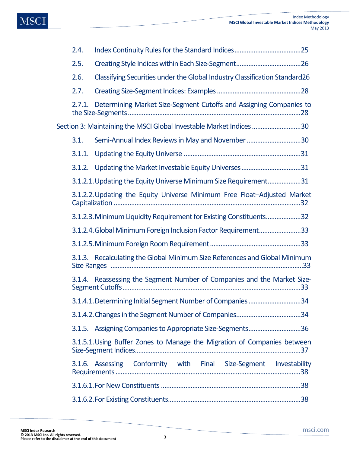| 2.4.   |                                                                            |
|--------|----------------------------------------------------------------------------|
| 2.5.   |                                                                            |
| 2.6.   | Classifying Securities under the Global Industry Classification Standard26 |
| 2.7.   |                                                                            |
| 2.7.1. | Determining Market Size-Segment Cutoffs and Assigning Companies to         |
|        | Section 3: Maintaining the MSCI Global Investable Market Indices 30        |
| 3.1.   | Semi-Annual Index Reviews in May and November 30                           |
| 3.1.1. |                                                                            |
|        |                                                                            |
|        | 3.1.2.1. Updating the Equity Universe Minimum Size Requirement31           |
|        | 3.1.2.2. Updating the Equity Universe Minimum Free Float-Adjusted Market   |
|        | 3.1.2.3. Minimum Liquidity Requirement for Existing Constituents32         |
|        | 3.1.2.4. Global Minimum Foreign Inclusion Factor Requirement33             |
|        |                                                                            |
|        | 3.1.3. Recalculating the Global Minimum Size References and Global Minimum |
|        | 3.1.4. Reassessing the Segment Number of Companies and the Market Size-    |
|        | 3.1.4.1. Determining Initial Segment Number of Companies 34                |
|        |                                                                            |
|        | 3.1.5. Assigning Companies to Appropriate Size-Segments36                  |
|        | 3.1.5.1. Using Buffer Zones to Manage the Migration of Companies between   |
|        | 3.1.6. Assessing Conformity with Final Size-Segment Investability          |
|        |                                                                            |
|        |                                                                            |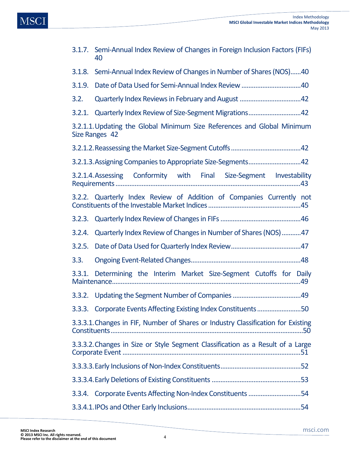| 3.1.7. Semi-Annual Index Review of Changes in Foreign Inclusion Factors (FIFs)<br>40      |  |  |  |  |
|-------------------------------------------------------------------------------------------|--|--|--|--|
| Semi-Annual Index Review of Changes in Number of Shares (NOS)40<br>3.1.8.                 |  |  |  |  |
| 3.1.9.                                                                                    |  |  |  |  |
| 3.2.                                                                                      |  |  |  |  |
| Quarterly Index Review of Size-Segment Migrations42<br>3.2.1.                             |  |  |  |  |
| 3.2.1.1. Updating the Global Minimum Size References and Global Minimum<br>Size Ranges 42 |  |  |  |  |
|                                                                                           |  |  |  |  |
| 3.2.1.3. Assigning Companies to Appropriate Size-Segments42                               |  |  |  |  |
| 3.2.1.4. Assessing Conformity with Final Size-Segment Investability                       |  |  |  |  |
| 3.2.2. Quarterly Index Review of Addition of Companies Currently not                      |  |  |  |  |
|                                                                                           |  |  |  |  |
| Quarterly Index Review of Changes in Number of Shares (NOS)47<br>3.2.4.                   |  |  |  |  |
| 3.2.5.                                                                                    |  |  |  |  |
| 3.3.                                                                                      |  |  |  |  |
| Determining the Interim Market Size-Segment Cutoffs for Daily<br>3.3.1.                   |  |  |  |  |
|                                                                                           |  |  |  |  |
| 3.3.3. Corporate Events Affecting Existing Index Constituents50                           |  |  |  |  |
| 3.3.3.1. Changes in FIF, Number of Shares or Industry Classification for Existing         |  |  |  |  |
| 3.3.3.2. Changes in Size or Style Segment Classification as a Result of a Large           |  |  |  |  |
|                                                                                           |  |  |  |  |
|                                                                                           |  |  |  |  |
| 3.3.4. Corporate Events Affecting Non-Index Constituents 54                               |  |  |  |  |
|                                                                                           |  |  |  |  |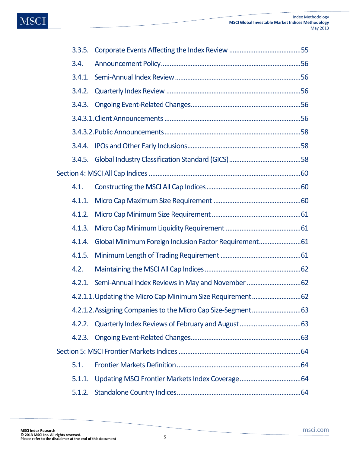| 3.3.5. |                                                        |  |  |  |  |
|--------|--------------------------------------------------------|--|--|--|--|
| 3.4.   |                                                        |  |  |  |  |
| 3.4.1. |                                                        |  |  |  |  |
| 3.4.2. |                                                        |  |  |  |  |
| 3.4.3. |                                                        |  |  |  |  |
|        |                                                        |  |  |  |  |
|        |                                                        |  |  |  |  |
|        |                                                        |  |  |  |  |
|        |                                                        |  |  |  |  |
|        |                                                        |  |  |  |  |
| 4.1.   |                                                        |  |  |  |  |
| 4.1.1. |                                                        |  |  |  |  |
| 4.1.2. |                                                        |  |  |  |  |
| 4.1.3. |                                                        |  |  |  |  |
| 4.1.4. | Global Minimum Foreign Inclusion Factor Requirement 61 |  |  |  |  |
| 4.1.5. |                                                        |  |  |  |  |
| 4.2.   |                                                        |  |  |  |  |
|        |                                                        |  |  |  |  |
|        |                                                        |  |  |  |  |
|        |                                                        |  |  |  |  |
|        |                                                        |  |  |  |  |
|        |                                                        |  |  |  |  |
|        |                                                        |  |  |  |  |
| 5.1.   |                                                        |  |  |  |  |
| 5.1.1. |                                                        |  |  |  |  |
| 5.1.2. |                                                        |  |  |  |  |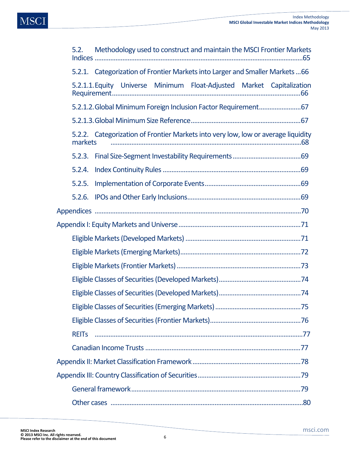

| 5.2. Methodology used to construct and maintain the MSCI Frontier Markets |  |  |  |                                                                                   |  |  |
|---------------------------------------------------------------------------|--|--|--|-----------------------------------------------------------------------------------|--|--|
|                                                                           |  |  |  | 5.2.1. Categorization of Frontier Markets into Larger and Smaller Markets 66      |  |  |
|                                                                           |  |  |  | 5.2.1.1. Equity Universe Minimum Float-Adjusted Market Capitalization             |  |  |
|                                                                           |  |  |  | 5.2.1.2. Global Minimum Foreign Inclusion Factor Requirement 67                   |  |  |
|                                                                           |  |  |  |                                                                                   |  |  |
| markets                                                                   |  |  |  | 5.2.2. Categorization of Frontier Markets into very low, low or average liquidity |  |  |
|                                                                           |  |  |  |                                                                                   |  |  |
| 5.2.4.                                                                    |  |  |  |                                                                                   |  |  |
| 5.2.5.                                                                    |  |  |  |                                                                                   |  |  |
|                                                                           |  |  |  |                                                                                   |  |  |
|                                                                           |  |  |  |                                                                                   |  |  |
|                                                                           |  |  |  |                                                                                   |  |  |
|                                                                           |  |  |  |                                                                                   |  |  |
|                                                                           |  |  |  |                                                                                   |  |  |
|                                                                           |  |  |  |                                                                                   |  |  |
|                                                                           |  |  |  |                                                                                   |  |  |
|                                                                           |  |  |  |                                                                                   |  |  |
|                                                                           |  |  |  |                                                                                   |  |  |
|                                                                           |  |  |  |                                                                                   |  |  |
| <b>REIT<sub>S</sub></b>                                                   |  |  |  |                                                                                   |  |  |
|                                                                           |  |  |  |                                                                                   |  |  |
|                                                                           |  |  |  |                                                                                   |  |  |
|                                                                           |  |  |  |                                                                                   |  |  |
|                                                                           |  |  |  |                                                                                   |  |  |
|                                                                           |  |  |  |                                                                                   |  |  |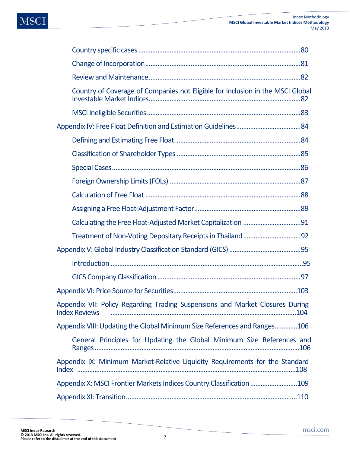| Country of Coverage of Companies not Eligible for Inclusion in the MSCI Global                        |
|-------------------------------------------------------------------------------------------------------|
|                                                                                                       |
|                                                                                                       |
|                                                                                                       |
|                                                                                                       |
|                                                                                                       |
|                                                                                                       |
|                                                                                                       |
|                                                                                                       |
|                                                                                                       |
|                                                                                                       |
|                                                                                                       |
|                                                                                                       |
|                                                                                                       |
|                                                                                                       |
| Appendix VII: Policy Regarding Trading Suspensions and Market Closures During<br><b>Index Reviews</b> |
| Appendix VIII: Updating the Global Minimum Size References and Ranges106                              |
| General Principles for Updating the Global Minimum Size References and                                |
| Appendix IX: Minimum Market-Relative Liquidity Requirements for the Standard                          |
| Appendix X: MSCI Frontier Markets Indices Country Classification 109                                  |
|                                                                                                       |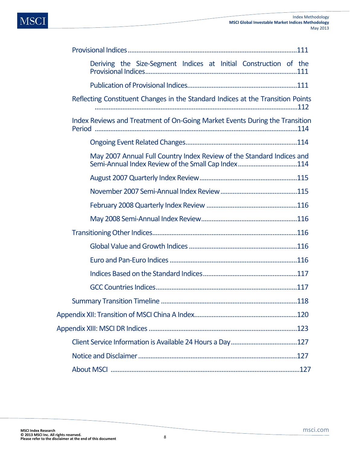| Deriving the Size-Segment Indices at Initial Construction of the                                                            |
|-----------------------------------------------------------------------------------------------------------------------------|
|                                                                                                                             |
| Reflecting Constituent Changes in the Standard Indices at the Transition Points                                             |
| Index Reviews and Treatment of On-Going Market Events During the Transition                                                 |
|                                                                                                                             |
| May 2007 Annual Full Country Index Review of the Standard Indices and<br>Semi-Annual Index Review of the Small Cap Index114 |
|                                                                                                                             |
|                                                                                                                             |
|                                                                                                                             |
|                                                                                                                             |
|                                                                                                                             |
|                                                                                                                             |
|                                                                                                                             |
|                                                                                                                             |
|                                                                                                                             |
| 118                                                                                                                         |
|                                                                                                                             |
|                                                                                                                             |
|                                                                                                                             |
|                                                                                                                             |
|                                                                                                                             |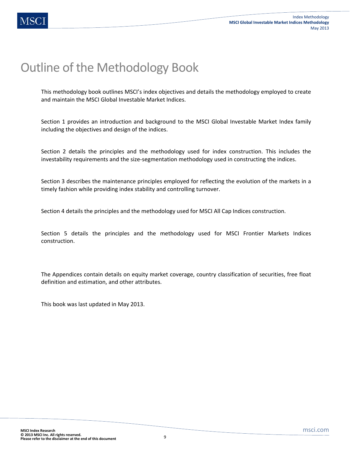# Outline of the Methodology Book

This methodology book outlines MSCI's index objectives and details the methodology employed to create and maintain the MSCI Global Investable Market Indices.

Section 1 provides an introduction and background to the MSCI Global Investable Market Index family including the objectives and design of the indices.

Section 2 details the principles and the methodology used for index construction. This includes the investability requirements and the size-segmentation methodology used in constructing the indices.

Section 3 describes the maintenance principles employed for reflecting the evolution of the markets in a timely fashion while providing index stability and controlling turnover.

Section 4 details the principles and the methodology used for MSCI All Cap Indices construction.

Section 5 details the principles and the methodology used for MSCI Frontier Markets Indices construction.

The Appendices contain details on equity market coverage, country classification of securities, free float definition and estimation, and other attributes.

This book was last updated in May 2013.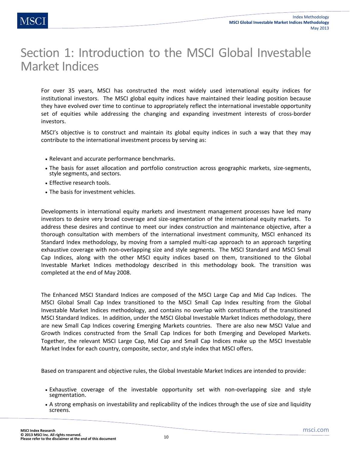# Section 1: Introduction to the MSCI Global Investable Market Indices

For over 35 years, MSCI has constructed the most widely used international equity indices for institutional investors. The MSCI global equity indices have maintained their leading position because they have evolved over time to continue to appropriately reflect the international investable opportunity set of equities while addressing the changing and expanding investment interests of cross-border investors.

MSCI's objective is to construct and maintain its global equity indices in such a way that they may contribute to the international investment process by serving as:

- Relevant and accurate performance benchmarks.
- The basis for asset allocation and portfolio construction across geographic markets, size-segments, style segments, and sectors.
- Effective research tools.
- The basis for investment vehicles.

Developments in international equity markets and investment management processes have led many investors to desire very broad coverage and size-segmentation of the international equity markets. To address these desires and continue to meet our index construction and maintenance objective, after a thorough consultation with members of the international investment community, MSCI enhanced its Standard Index methodology, by moving from a sampled multi-cap approach to an approach targeting exhaustive coverage with non-overlapping size and style segments. The MSCI Standard and MSCI Small Cap Indices, along with the other MSCI equity indices based on them, transitioned to the Global Investable Market Indices methodology described in this methodology book. The transition was completed at the end of May 2008.

The Enhanced MSCI Standard Indices are composed of the MSCI Large Cap and Mid Cap Indices. The MSCI Global Small Cap Index transitioned to the MSCI Small Cap Index resulting from the Global Investable Market Indices methodology, and contains no overlap with constituents of the transitioned MSCI Standard Indices. In addition, under the MSCI Global Investable Market Indices methodology, there are new Small Cap Indices covering Emerging Markets countries. There are also new MSCI Value and Growth Indices constructed from the Small Cap Indices for both Emerging and Developed Markets. Together, the relevant MSCI Large Cap, Mid Cap and Small Cap Indices make up the MSCI Investable Market Index for each country, composite, sector, and style index that MSCI offers.

Based on transparent and objective rules, the Global Investable Market Indices are intended to provide:

- Exhaustive coverage of the investable opportunity set with non-overlapping size and style segmentation.
- A strong emphasis on investability and replicability of the indices through the use of size and liquidity screens.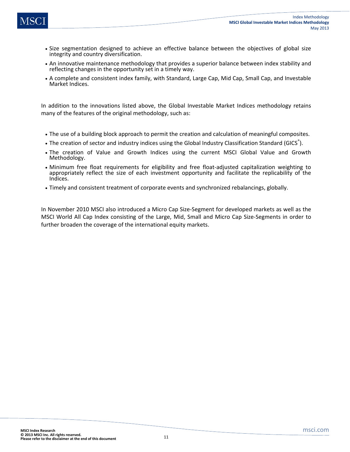- Size segmentation designed to achieve an effective balance between the objectives of global size integrity and country diversification.
- An innovative maintenance methodology that provides a superior balance between index stability and reflecting changes in the opportunity set in a timely way.
- A complete and consistent index family, with Standard, Large Cap, Mid Cap, Small Cap, and Investable Market Indices.

In addition to the innovations listed above, the Global Investable Market Indices methodology retains many of the features of the original methodology, such as:

- The use of a building block approach to permit the creation and calculation of meaningful composites.
- The creation of sector and industry indices using the Global Industry Classification Standard (GICS<sup>®</sup>).
- The creation of Value and Growth Indices using the current MSCI Global Value and Growth Methodology.
- Minimum free float requirements for eligibility and free float-adjusted capitalization weighting to appropriately reflect the size of each investment opportunity and facilitate the replicability of the Indices.
- Timely and consistent treatment of corporate events and synchronized rebalancings, globally.

In November 2010 MSCI also introduced a Micro Cap Size-Segment for developed markets as well as the MSCI World All Cap Index consisting of the Large, Mid, Small and Micro Cap Size-Segments in order to further broaden the coverage of the international equity markets.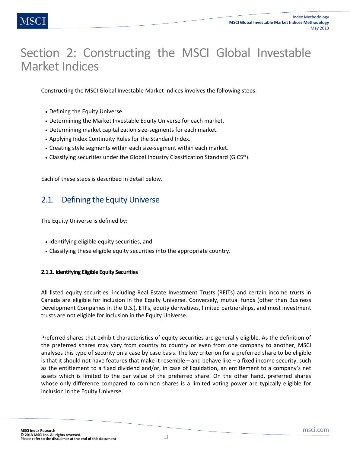# Section 2: Constructing the MSCI Global Investable Market Indices

Constructing the MSCI Global Investable Market Indices involves the following steps:

- Defining the Equity Universe.
- Determining the Market Investable Equity Universe for each market.
- Determining market capitalization size-segments for each market.
- Applying Index Continuity Rules for the Standard Index.
- Creating style segments within each size-segment within each market.
- Classifying securities under the Global Industry Classification Standard (GICS®).

Each of these steps is described in detail below.

# 2.1. Defining the Equity Universe

The Equity Universe is defined by:

- Identifying eligible equity securities, and
- Classifying these eligible equity securities into the appropriate country.

## **2.1.1. Identifying Eligible Equity Securities**

All listed equity securities, including Real Estate Investment Trusts (REITs) and certain income trusts in Canada are eligible for inclusion in the Equity Universe. Conversely, mutual funds (other than Business Development Companies in the U.S.), ETFs, equity derivatives, limited partnerships, and most investment trusts are not eligible for inclusion in the Equity Universe.

Preferred shares that exhibit characteristics of equity securities are generally eligible. As the definition of the preferred shares may vary from country to country or even from one company to another, MSCI analyses this type of security on a case by case basis. The key criterion for a preferred share to be eligible is that it should not have features that make it resemble – and behave like – a fixed income security, such as the entitlement to a fixed dividend and/or, in case of liquidation, an entitlement to a company's net assets which is limited to the par value of the preferred share. On the other hand, preferred shares whose only difference compared to common shares is a limited voting power are typically eligible for inclusion in the Equity Universe.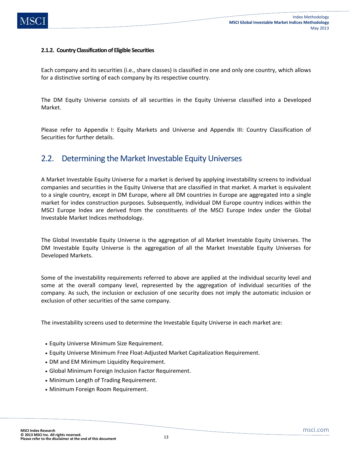## **2.1.2. Country Classification of Eligible Securities**

Each company and its securities (i.e., share classes) is classified in one and only one country, which allows for a distinctive sorting of each company by its respective country.

The DM Equity Universe consists of all securities in the Equity Universe classified into a Developed Market.

Please refer to Appendix I: Equity Markets and Universe and Appendix III: Country Classification of Securities for further details.

# 2.2. Determining the Market Investable Equity Universes

A Market Investable Equity Universe for a market is derived by applying investability screens to individual companies and securities in the Equity Universe that are classified in that market. A market is equivalent to a single country, except in DM Europe, where all DM countries in Europe are aggregated into a single market for index construction purposes. Subsequently, individual DM Europe country indices within the MSCI Europe Index are derived from the constituents of the MSCI Europe Index under the Global Investable Market Indices methodology.

The Global Investable Equity Universe is the aggregation of all Market Investable Equity Universes. The DM Investable Equity Universe is the aggregation of all the Market Investable Equity Universes for Developed Markets.

Some of the investability requirements referred to above are applied at the individual security level and some at the overall company level, represented by the aggregation of individual securities of the company. As such, the inclusion or exclusion of one security does not imply the automatic inclusion or exclusion of other securities of the same company.

The investability screens used to determine the Investable Equity Universe in each market are:

- Equity Universe Minimum Size Requirement.
- Equity Universe Minimum Free Float-Adjusted Market Capitalization Requirement.
- DM and EM Minimum Liquidity Requirement.
- Global Minimum Foreign Inclusion Factor Requirement.
- Minimum Length of Trading Requirement.
- Minimum Foreign Room Requirement.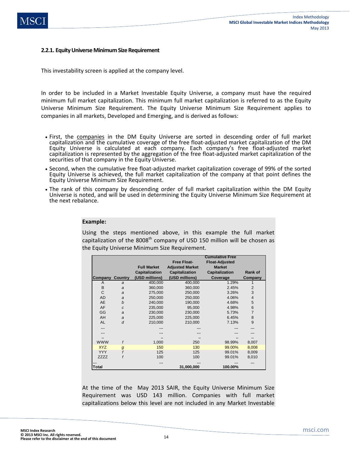### **2.2.1. Equity Universe Minimum Size Requirement**

This investability screen is applied at the company level.

In order to be included in a Market Investable Equity Universe, a company must have the required minimum full market capitalization. This minimum full market capitalization is referred to as the Equity Universe Minimum Size Requirement. The Equity Universe Minimum Size Requirement applies to companies in all markets, Developed and Emerging, and is derived as follows:

- First, the companies in the DM Equity Universe are sorted in descending order of full market capitalization and the cumulative coverage of the free float-adjusted market capitalization of the DM Equity Universe is calculated at each company. Each company's free float-adjusted market capitalization is represented by the aggregation of the free float-adjusted market capitalization of the securities of that company in the Equity Universe.
- Second, when the cumulative free float-adjusted market capitalization coverage of 99% of the sorted Equity Universe is achieved, the full market capitalization of the company at that point defines the Equity Universe Minimum Size Requirement.
- The rank of this company by descending order of full market capitalization within the DM Equity Universe is noted, and will be used in determining the Equity Universe Minimum Size Requirement at the next rebalance.

#### **Example:**

Using the steps mentioned above, in this example the full market capitalization of the 8008<sup>th</sup> company of USD 150 million will be chosen as the Equity Universe Minimum Size Requirement.

|             | <b>Cumulative Free</b> |                    |                        |                       |                |
|-------------|------------------------|--------------------|------------------------|-----------------------|----------------|
|             |                        | <b>Free Float-</b> |                        | <b>Float-Adjusted</b> |                |
|             |                        | <b>Full Market</b> | <b>Adjusted Market</b> | <b>Market</b>         |                |
|             |                        | Capitalization     | Capitalization         | Capitalization        | Rank of        |
| Company     | Country                | (USD millions)     | (USD millions)         | Coverage              | Company        |
| A           | a                      | 400,000            | 400,000                | 1.29%                 |                |
| B           | a                      | 360,000            | 360,000                | 2.45%                 | 2              |
| C           | a                      | 275,000            | 250,000                | 3.26%                 | 3              |
| <b>AD</b>   | a                      | 250,000            | 250,000                | 4.06%                 | $\overline{4}$ |
| <b>AE</b>   | b                      | 240,000            | 190,000                | 4.68%                 | 5              |
| AF          | $\mathfrak c$          | 235,000            | 95,000                 | 4.98%                 | 6              |
| GG          | a                      | 230.000            | 230,000                | 5.73%                 | 7              |
| AH          | a                      | 225,000            | 225,000                | 6.45%                 | 8              |
| AL          | d                      | 210,000            | 210,000                | 7.13%                 | 9              |
| $\cdots$    |                        |                    |                        |                       |                |
|             |                        |                    |                        |                       |                |
|             |                        |                    |                        |                       |                |
| <b>WWW</b>  | f                      | 1.000              | 250                    | 98.99%                | 8,007          |
| <b>XYZ</b>  | $\boldsymbol{g}$       | 150                | 130                    | 99.00%                | 8,008          |
| <b>YYY</b>  | f                      | 125                | 125                    | 99.01%                | 8,009          |
| <b>ZZZZ</b> | f                      | 100                | 100                    | 99.01%                | 8,010          |
|             |                        |                    |                        |                       |                |
| Total       |                        |                    | 31,000,000             | 100.00%               |                |

At the time of the May 2013 SAIR, the Equity Universe Minimum Size Requirement was USD 143 million. Companies with full market capitalizations below this level are not included in any Market Investable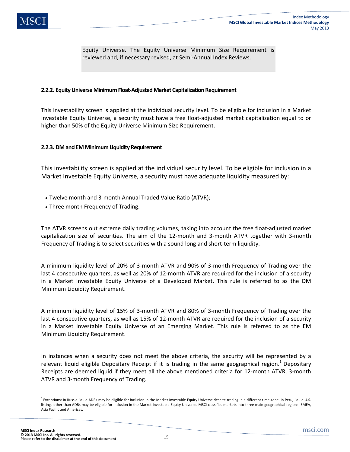Equity Universe. The Equity Universe Minimum Size Requirement is reviewed and, if necessary revised, at Semi-Annual Index Reviews.

### **2.2.2. Equity Universe Minimum Float-Adjusted Market Capitalization Requirement**

This investability screen is applied at the individual security level. To be eligible for inclusion in a Market Investable Equity Universe, a security must have a free float-adjusted market capitalization equal to or higher than 50% of the Equity Universe Minimum Size Requirement.

### **2.2.3. DM and EM Minimum Liquidity Requirement**

This investability screen is applied at the individual security level. To be eligible for inclusion in a Market Investable Equity Universe, a security must have adequate liquidity measured by:

- Twelve month and 3-month Annual Traded Value Ratio (ATVR);
- Three month Frequency of Trading.

The ATVR screens out extreme daily trading volumes, taking into account the free float-adjusted market capitalization size of securities. The aim of the 12-month and 3-month ATVR together with 3-month Frequency of Trading is to select securities with a sound long and short-term liquidity.

A minimum liquidity level of 20% of 3-month ATVR and 90% of 3-month Frequency of Trading over the last 4 consecutive quarters, as well as 20% of 12-month ATVR are required for the inclusion of a security in a Market Investable Equity Universe of a Developed Market. This rule is referred to as the DM Minimum Liquidity Requirement.

A minimum liquidity level of 15% of 3-month ATVR and 80% of 3-month Frequency of Trading over the last 4 consecutive quarters, as well as 15% of 12-month ATVR are required for the inclusion of a security in a Market Investable Equity Universe of an Emerging Market. This rule is referred to as the EM Minimum Liquidity Requirement.

In instances when a security does not meet the above criteria, the security will be represented by a relevant liquid eligible Depositary Receipt if it is trading in the same geographical region.<sup>1</sup> Depositary Receipts are deemed liquid if they meet all the above mentioned criteria for 12-month ATVR, 3-month ATVR and 3-month Frequency of Trading.

 $\overline{\phantom{a}}$ 

<sup>&</sup>lt;sup>1</sup> Exceptions: In Russia liquid ADRs may be eligible for inclusion in the Market Investable Equity Universe despite trading in a different time-zone. In Peru, liquid U.S. listings other than ADRs may be eligible for inclusion in the Market Investable Equity Universe. MSCI classifies markets into three main geographical regions: EMEA, Asia Pacific and Americas.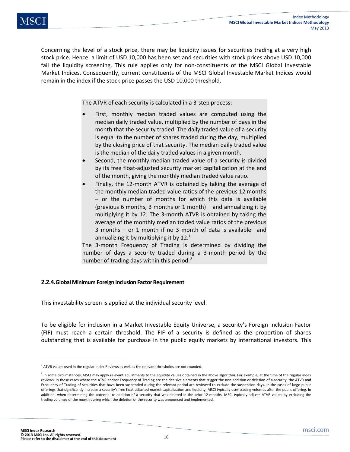Concerning the level of a stock price, there may be liquidity issues for securities trading at a very high stock price. Hence, a limit of USD 10,000 has been set and securities with stock prices above USD 10,000 fail the liquidity screening. This rule applies only for non-constituents of the MSCI Global Investable Market Indices. Consequently, current constituents of the MSCI Global Investable Market Indices would remain in the index if the stock price passes the USD 10,000 threshold.

The ATVR of each security is calculated in a 3-step process:

- First, monthly median traded values are computed using the median daily traded value, multiplied by the number of days in the month that the security traded. The daily traded value of a security is equal to the number of shares traded during the day, multiplied by the closing price of that security. The median daily traded value is the median of the daily traded values in a given month.
- Second, the monthly median traded value of a security is divided by its free float-adjusted security market capitalization at the end of the month, giving the monthly median traded value ratio.
- Finally, the 12-month ATVR is obtained by taking the average of the monthly median traded value ratios of the previous 12 months – or the number of months for which this data is available (previous 6 months, 3 months or 1 month) – and annualizing it by multiplying it by 12. The 3-month ATVR is obtained by taking the average of the monthly median traded value ratios of the previous 3 months – or 1 month if no 3 month of data is available– and annualizing it by multiplying it by  $12<sup>2</sup>$

The 3-month Frequency of Trading is determined by dividing the number of days a security traded during a 3-month period by the number of trading days within this period.<sup>3</sup>

## **2.2.4.Global Minimum Foreign Inclusion Factor Requirement**

This investability screen is applied at the individual security level.

To be eligible for inclusion in a Market Investable Equity Universe, a security's Foreign Inclusion Factor (FIF) must reach a certain threshold. The FIF of a security is defined as the proportion of shares outstanding that is available for purchase in the public equity markets by international investors. This

 $\overline{\phantom{a}}$ 

 $2$  ATVR values used in the regular Index Reviews as well as the relevant thresholds are not rounded.

<sup>&</sup>lt;sup>3</sup> In some circumstances, MSCI may apply relevant adjustments to the liquidity values obtained in the above algorithm. For example, at the time of the regular index reviews, in those cases where the ATVR and/or Frequency of Trading are the decisive elements that trigger the non-addition or deletion of a security, the ATVR and Frequency of Trading of securities that have been suspended during the relevant period are reviewed to exclude the suspension days. In the cases of large public offerings that significantly increase a security's free float-adjusted market capitalization and liquidity, MSCI typically uses trading volumes after the public offering. In addition, when determining the potential re-addition of a security that was deleted in the prior 12-months, MSCI typically adjusts ATVR values by excluding the trading volumes of the month during which the deletion of the security was announced and implemented.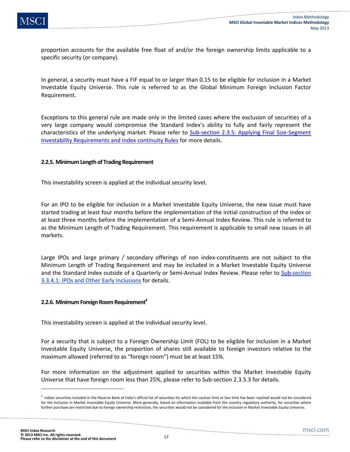proportion accounts for the available free float of and/or the foreign ownership limits applicable to a specific security (or company).

In general, a security must have a FIF equal to or larger than 0.15 to be eligible for inclusion in a Market Investable Equity Universe. This rule is referred to as the Global Minimum Foreign Inclusion Factor Requirement.

Exceptions to this general rule are made only in the limited cases where the exclusion of securities of a very large company would compromise the Standard Index's ability to fully and fairly represent the characteristics of the underlying market. Please refer to Sub-section 2.3.5: Applying Final Size-Segment Investability Requirements and Index continuity Rules for more details.

### **2.2.5. Minimum Length of Trading Requirement**

This investability screen is applied at the individual security level.

For an IPO to be eligible for inclusion in a Market Investable Equity Universe, the new issue must have started trading at least four months before the implementation of the initial construction of the index or at least three months before the implementation of a Semi-Annual Index Review. This rule is referred to as the Minimum Length of Trading Requirement. This requirement is applicable to small new issues in all markets.

Large IPOs and large primary / secondary offerings of non index-constituents are not subject to the Minimum Length of Trading Requirement and may be included in a Market Investable Equity Universe and the Standard Index outside of a Quarterly or Semi-Annual Index Review. Please refer to Sub-section 3.3.4.1: IPOs and Other Early Inclusions for details.

#### **2.2.6. Minimum Foreign Room Requirement**<sup>4</sup>

This investability screen is applied at the individual security level.

For a security that is subject to a Foreign Ownership Limit (FOL) to be eligible for inclusion in a Market Investable Equity Universe, the proportion of shares still available to foreign investors relative to the maximum allowed (referred to as "foreign room") must be at least 15%.

For more information on the adjustment applied to securities within the Market Investable Equity Universe that have foreign room less than 25%, please refer to Sub-section 2.3.5.3 for details.

**.** 

<sup>&</sup>lt;sup>4</sup> Indian securities included in the Reserve Bank of India's official list of securities for which the caution limit or ban limit has been reached would not be considered for the inclusion in Market Investable Equity Universe. More generally, based on information available from the country regulatory authority, for securities where further purchase are restricted due to foreign ownership restriction, the securities would not be considered for the inclusion in Market Investable Equity Universe.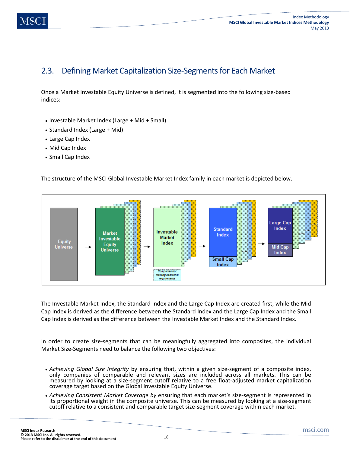# 2.3. Defining Market Capitalization Size-Segments for Each Market

Once a Market Investable Equity Universe is defined, it is segmented into the following size-based indices:

- Investable Market Index (Large + Mid + Small).
- Standard Index (Large + Mid)
- Large Cap Index
- Mid Cap Index
- Small Cap Index

The structure of the MSCI Global Investable Market Index family in each market is depicted below.



The Investable Market Index, the Standard Index and the Large Cap Index are created first, while the Mid Cap Index is derived as the difference between the Standard Index and the Large Cap Index and the Small Cap Index is derived as the difference between the Investable Market Index and the Standard Index.

In order to create size-segments that can be meaningfully aggregated into composites, the individual Market Size-Segments need to balance the following two objectives:

- *Achieving Global Size Integrity* by ensuring that, within a given size-segment of a composite index, only companies of comparable and relevant sizes are included across all markets. This can be measured by looking at a size-segment cutoff relative to a free float-adjusted market capitalization coverage target based on the Global Investable Equity Universe.
- *Achieving Consistent Market Coverage by* ensuring that each market's size-segment is represented in its proportional weight in the composite universe. This can be measured by looking at a size-segment cutoff relative to a consistent and comparable target size-segment coverage within each market.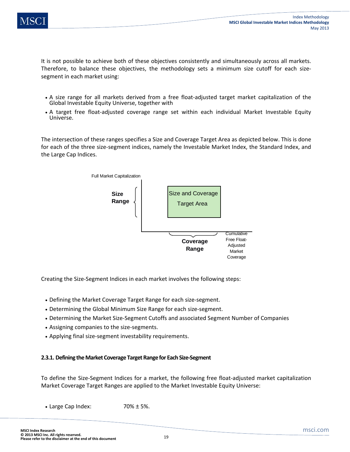

It is not possible to achieve both of these objectives consistently and simultaneously across all markets. Therefore, to balance these objectives, the methodology sets a minimum size cutoff for each sizesegment in each market using:

- A size range for all markets derived from a free float-adjusted target market capitalization of the Global Investable Equity Universe, together with
- A target free float-adjusted coverage range set within each individual Market Investable Equity Universe.

The intersection of these ranges specifies a Size and Coverage Target Area as depicted below. This is done for each of the three size-segment indices, namely the Investable Market Index, the Standard Index, and the Large Cap Indices.



Creating the Size-Segment Indices in each market involves the following steps:

- Defining the Market Coverage Target Range for each size-segment.
- Determining the Global Minimum Size Range for each size-segment.
- Determining the Market Size-Segment Cutoffs and associated Segment Number of Companies
- Assigning companies to the size-segments.
- Applying final size-segment investability requirements.

#### **2.3.1. Defining the Market Coverage Target Range for Each Size-Segment**

To define the Size-Segment Indices for a market, the following free float-adjusted market capitalization Market Coverage Target Ranges are applied to the Market Investable Equity Universe:

• Large Cap Index:  $70\% \pm 5\%.$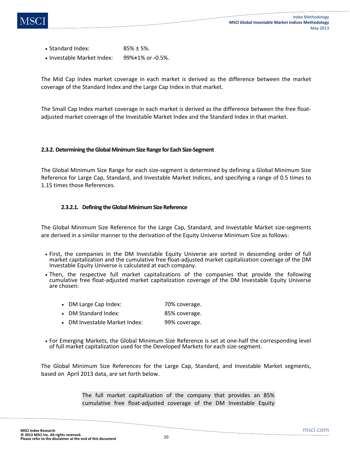- Standard Index:  $85\% \pm 5\%$ .
- Investable Market Index: 99%**+**1% or **-**0.5%.

The Mid Cap Index market coverage in each market is derived as the difference between the market coverage of the Standard Index and the Large Cap Index in that market.

The Small Cap Index market coverage in each market is derived as the difference between the free floatadjusted market coverage of the Investable Market Index and the Standard Index in that market.

### **2.3.2. Determining the Global Minimum Size Range for Each Size-Segment**

The Global Minimum Size Range for each size-segment is determined by defining a Global Minimum Size Reference for Large Cap, Standard, and Investable Market Indices, and specifying a range of 0.5 times to 1.15 times those References.

## **2.3.2.1. Defining the Global Minimum Size Reference**

The Global Minimum Size Reference for the Large Cap, Standard, and Investable Market size-segments are derived in a similar manner to the derivation of the Equity Universe Minimum Size as follows:

- First, the companies in the DM Investable Equity Universe are sorted in descending order of full market capitalization and the cumulative free float-adjusted market capitalization coverage of the DM Investable Equity Universe is calculated at each company.
- Then, the respective full market capitalizations of the companies that provide the following cumulative free float-adjusted market capitalization coverage of the DM Investable Equity Universe are chosen:
	- DM Large Cap Index: 70% coverage.
	- DM Standard Index: 85% coverage.
	- DM Investable Market Index: 99% coverage.
- For Emerging Markets, the Global Minimum Size Reference is set at one-half the corresponding level of full market capitalization used for the Developed Markets for each size-segment.

The Global Minimum Size References for the Large Cap, Standard, and Investable Market segments, based on April 2013 data, are set forth below.

> The full market capitalization of the company that provides an 85% cumulative free float-adjusted coverage of the DM Investable Equity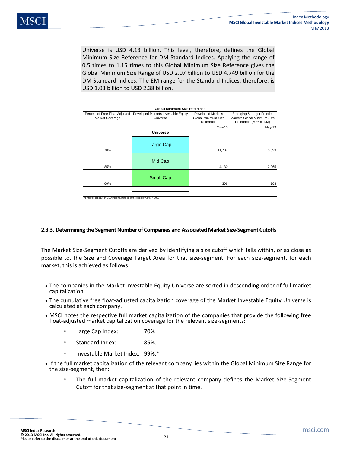Universe is USD 4.13 billion. This level, therefore, defines the Global Minimum Size Reference for DM Standard Indices. Applying the range of 0.5 times to 1.15 times to this Global Minimum Size Reference gives the Global Minimum Size Range of USD 2.07 billion to USD 4.749 billion for the DM Standard Indices. The EM range for the Standard Indices, therefore, is USD 1.03 billion to USD 2.38 billion.

| <b>Global Minimum Size Reference</b>              |                                                 |                                                              |                                                                                    |  |  |
|---------------------------------------------------|-------------------------------------------------|--------------------------------------------------------------|------------------------------------------------------------------------------------|--|--|
| Percent of Free Float Adjusted<br>Market Coverage | Developed Markets Investable Equity<br>Universe | <b>Developed Markets</b><br>Global Minimum Size<br>Reference | Emerging & Larger Frontier<br>Markets Global Minimum Size<br>Reference (50% of DM) |  |  |
|                                                   |                                                 | $May-13$                                                     | $May-13$                                                                           |  |  |
|                                                   | <b>Universe</b>                                 |                                                              |                                                                                    |  |  |
| 70%                                               | Large Cap                                       | 11,787                                                       | 5,893                                                                              |  |  |
| 85%                                               | Mid Cap                                         | 4,130                                                        | 2,065                                                                              |  |  |
| 99%                                               | <b>Small Cap</b>                                | 396                                                          | 198                                                                                |  |  |
|                                                   |                                                 |                                                              |                                                                                    |  |  |

All market caps are in USD millions. Data as of the close of April 17, 2013

## **2.3.3. Determining the Segment Number of Companies and Associated Market Size-Segment Cutoffs**

The Market Size-Segment Cutoffs are derived by identifying a size cutoff which falls within, or as close as possible to, the Size and Coverage Target Area for that size-segment. For each size-segment, for each market, this is achieved as follows:

- The companies in the Market Investable Equity Universe are sorted in descending order of full market capitalization.
- The cumulative free float-adjusted capitalization coverage of the Market Investable Equity Universe is calculated at each company.
- MSCI notes the respective full market capitalization of the companies that provide the following free float-adjusted market capitalization coverage for the relevant size-segments:
	- Large Cap Index: 70%
	- Standard Index: 85%.
	- Investable Market Index: 99%.\*
- If the full market capitalization of the relevant company lies within the Global Minimum Size Range for the size-segment, then:
	- The full market capitalization of the relevant company defines the Market Size-Segment Cutoff for that size-segment at that point in time.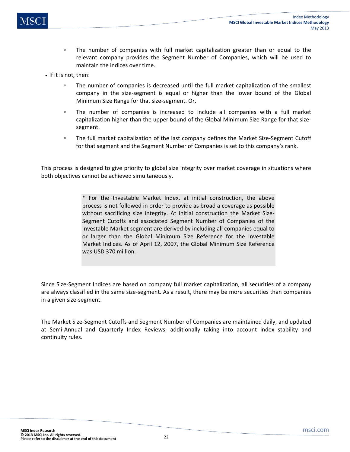- The number of companies with full market capitalization greater than or equal to the relevant company provides the Segment Number of Companies, which will be used to maintain the indices over time.
- If it is not, then:
	- The number of companies is decreased until the full market capitalization of the smallest company in the size-segment is equal or higher than the lower bound of the Global Minimum Size Range for that size-segment. Or,
	- The number of companies is increased to include all companies with a full market capitalization higher than the upper bound of the Global Minimum Size Range for that sizesegment.
	- The full market capitalization of the last company defines the Market Size-Segment Cutoff for that segment and the Segment Number of Companies is set to this company's rank.

This process is designed to give priority to global size integrity over market coverage in situations where both objectives cannot be achieved simultaneously.

> \* For the Investable Market Index, at initial construction, the above process is not followed in order to provide as broad a coverage as possible without sacrificing size integrity. At initial construction the Market Size-Segment Cutoffs and associated Segment Number of Companies of the Investable Market segment are derived by including all companies equal to or larger than the Global Minimum Size Reference for the Investable Market Indices. As of April 12, 2007, the Global Minimum Size Reference was USD 370 million.

Since Size-Segment Indices are based on company full market capitalization, all securities of a company are always classified in the same size-segment. As a result, there may be more securities than companies in a given size-segment.

The Market Size-Segment Cutoffs and Segment Number of Companies are maintained daily, and updated at Semi-Annual and Quarterly Index Reviews, additionally taking into account index stability and continuity rules.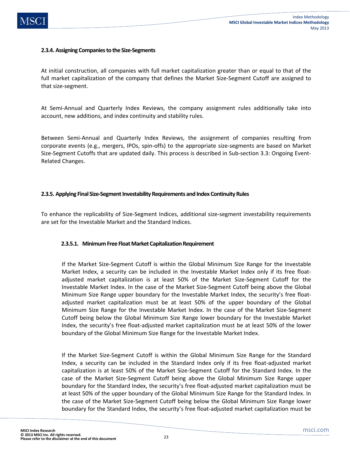

### **2.3.4. Assigning Companies to the Size-Segments**

At initial construction, all companies with full market capitalization greater than or equal to that of the full market capitalization of the company that defines the Market Size-Segment Cutoff are assigned to that size-segment.

At Semi-Annual and Quarterly Index Reviews, the company assignment rules additionally take into account, new additions, and index continuity and stability rules.

Between Semi-Annual and Quarterly Index Reviews, the assignment of companies resulting from corporate events (e.g., mergers, IPOs, spin-offs) to the appropriate size-segments are based on Market Size-Segment Cutoffs that are updated daily. This process is described in Sub-section 3.3: Ongoing Event-Related Changes.

### **2.3.5. Applying Final Size-Segment Investability Requirements and Index Continuity Rules**

To enhance the replicability of Size-Segment Indices, additional size-segment investability requirements are set for the Investable Market and the Standard Indices.

#### **2.3.5.1. Minimum Free Float Market Capitalization Requirement**

If the Market Size-Segment Cutoff is within the Global Minimum Size Range for the Investable Market Index, a security can be included in the Investable Market Index only if its free floatadjusted market capitalization is at least 50% of the Market Size-Segment Cutoff for the Investable Market Index. In the case of the Market Size-Segment Cutoff being above the Global Minimum Size Range upper boundary for the Investable Market Index, the security's free floatadjusted market capitalization must be at least 50% of the upper boundary of the Global Minimum Size Range for the Investable Market Index. In the case of the Market Size-Segment Cutoff being below the Global Minimum Size Range lower boundary for the Investable Market Index, the security's free float-adjusted market capitalization must be at least 50% of the lower boundary of the Global Minimum Size Range for the Investable Market Index.

If the Market Size-Segment Cutoff is within the Global Minimum Size Range for the Standard Index, a security can be included in the Standard Index only if its free float-adjusted market capitalization is at least 50% of the Market Size-Segment Cutoff for the Standard Index. In the case of the Market Size-Segment Cutoff being above the Global Minimum Size Range upper boundary for the Standard Index, the security's free float-adjusted market capitalization must be at least 50% of the upper boundary of the Global Minimum Size Range for the Standard Index. In the case of the Market Size-Segment Cutoff being below the Global Minimum Size Range lower boundary for the Standard Index, the security's free float-adjusted market capitalization must be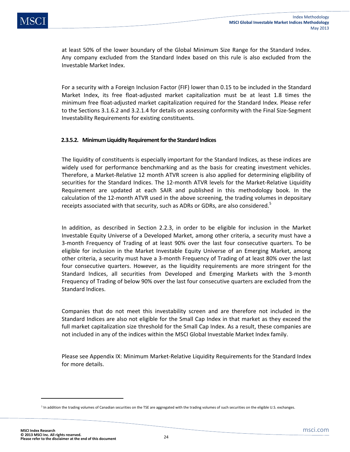at least 50% of the lower boundary of the Global Minimum Size Range for the Standard Index. Any company excluded from the Standard Index based on this rule is also excluded from the Investable Market Index.

For a security with a Foreign Inclusion Factor (FIF) lower than 0.15 to be included in the Standard Market Index, its free float-adjusted market capitalization must be at least 1.8 times the minimum free float-adjusted market capitalization required for the Standard Index. Please refer to the Sections 3.1.6.2 and 3.2.1.4 for details on assessing conformity with the Final Size-Segment Investability Requirements for existing constituents.

## **2.3.5.2. Minimum Liquidity Requirement for the Standard Indices**

The liquidity of constituents is especially important for the Standard Indices, as these indices are widely used for performance benchmarking and as the basis for creating investment vehicles. Therefore, a Market-Relative 12 month ATVR screen is also applied for determining eligibility of securities for the Standard Indices. The 12-month ATVR levels for the Market-Relative Liquidity Requirement are updated at each SAIR and published in this methodology book. In the calculation of the 12-month ATVR used in the above screening, the trading volumes in depositary receipts associated with that security, such as ADRs or GDRs, are also considered.<sup>5</sup>

In addition, as described in Section 2.2.3, in order to be eligible for inclusion in the Market Investable Equity Universe of a Developed Market, among other criteria, a security must have a 3-month Frequency of Trading of at least 90% over the last four consecutive quarters. To be eligible for inclusion in the Market Investable Equity Universe of an Emerging Market, among other criteria, a security must have a 3-month Frequency of Trading of at least 80% over the last four consecutive quarters. However, as the liquidity requirements are more stringent for the Standard Indices, all securities from Developed and Emerging Markets with the 3-month Frequency of Trading of below 90% over the last four consecutive quarters are excluded from the Standard Indices.

Companies that do not meet this investability screen and are therefore not included in the Standard Indices are also not eligible for the Small Cap Index in that market as they exceed the full market capitalization size threshold for the Small Cap Index. As a result, these companies are not included in any of the indices within the MSCI Global Investable Market Index family.

Please see Appendix IX: Minimum Market-Relative Liquidity Requirements for the Standard Index for more details.

 $\overline{\phantom{a}}$ 

<sup>&</sup>lt;sup>5</sup> In addition the trading volumes of Canadian securities on the TSE are aggregated with the trading volumes of such securities on the eligible U.S. exchanges.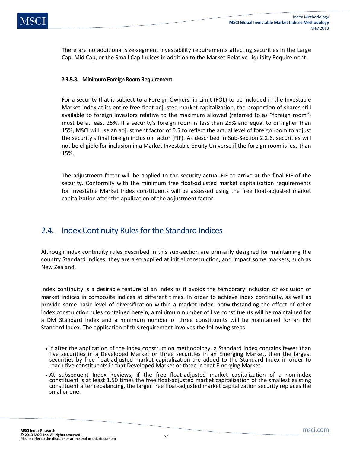There are no additional size-segment investability requirements affecting securities in the Large Cap, Mid Cap, or the Small Cap Indices in addition to the Market-Relative Liquidity Requirement.

## **2.3.5.3. Minimum Foreign Room Requirement**

For a security that is subject to a Foreign Ownership Limit (FOL) to be included in the Investable Market Index at its entire free-float adjusted market capitalization, the proportion of shares still available to foreign investors relative to the maximum allowed (referred to as "foreign room") must be at least 25%. If a security's foreign room is less than 25% and equal to or higher than 15%, MSCI will use an adjustment factor of 0.5 to reflect the actual level of foreign room to adjust the security's final foreign inclusion factor (FIF). As described in Sub-Section 2.2.6, securities will not be eligible for inclusion in a Market Investable Equity Universe if the foreign room is less than 15%.

The adjustment factor will be applied to the security actual FIF to arrive at the final FIF of the security. Conformity with the minimum free float-adjusted market capitalization requirements for Investable Market Index constituents will be assessed using the free float-adjusted market capitalization after the application of the adjustment factor.

# 2.4. Index Continuity Rules for the Standard Indices

Although index continuity rules described in this sub-section are primarily designed for maintaining the country Standard Indices, they are also applied at initial construction, and impact some markets, such as New Zealand.

Index continuity is a desirable feature of an index as it avoids the temporary inclusion or exclusion of market indices in composite indices at different times. In order to achieve index continuity, as well as provide some basic level of diversification within a market index, notwithstanding the effect of other index construction rules contained herein, a minimum number of five constituents will be maintained for a DM Standard Index and a minimum number of three constituents will be maintained for an EM Standard Index. The application of this requirement involves the following steps.

- If after the application of the index construction methodology, a Standard Index contains fewer than five securities in a Developed Market or three securities in an Emerging Market, then the largest securities by free float-adjusted market capitalization are added to the Standard Index in order to reach five constituents in that Developed Market or three in that Emerging Market.
- At subsequent Index Reviews, if the free float-adjusted market capitalization of a non-index constituent is at least 1.50 times the free float-adjusted market capitalization of the smallest existing constituent after rebalancing, the larger free float-adjusted market capitalization security replaces the smaller one.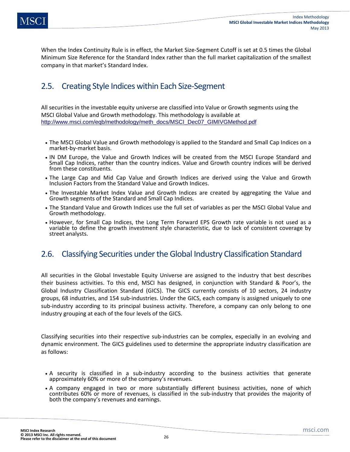When the Index Continuity Rule is in effect, the Market Size-Segment Cutoff is set at 0.5 times the Global Minimum Size Reference for the Standard Index rather than the full market capitalization of the smallest company in that market's Standard Index.

# 2.5. Creating Style Indices within Each Size-Segment

All securities in the investable equity universe are classified into Value or Growth segments using the MSCI Global Value and Growth methodology. This methodology is available at http://www.msci.com/eqb/methodology/meth\_docs/MSCI\_Dec07\_GIMIVGMethod.pdf

- The MSCI Global Value and Growth methodology is applied to the Standard and Small Cap Indices on a market-by-market basis.
- IN DM Europe, the Value and Growth Indices will be created from the MSCI Europe Standard and Small Cap Indices, rather than the country indices. Value and Growth country indices will be derived from these constituents.
- The Large Cap and Mid Cap Value and Growth Indices are derived using the Value and Growth Inclusion Factors from the Standard Value and Growth Indices.
- The Investable Market Index Value and Growth Indices are created by aggregating the Value and Growth segments of the Standard and Small Cap Indices.
- The Standard Value and Growth Indices use the full set of variables as per the MSCI Global Value and Growth methodology.
- However, for Small Cap Indices, the Long Term Forward EPS Growth rate variable is not used as a variable to define the growth investment style characteristic, due to lack of consistent coverage by street analysts.

# 2.6. Classifying Securities under the Global Industry Classification Standard

All securities in the Global Investable Equity Universe are assigned to the industry that best describes their business activities. To this end, MSCI has designed, in conjunction with Standard & Poor's, the Global Industry Classification Standard (GICS). The GICS currently consists of 10 sectors, 24 industry groups, 68 industries, and 154 sub-industries. Under the GICS, each company is assigned uniquely to one sub-industry according to its principal business activity. Therefore, a company can only belong to one industry grouping at each of the four levels of the GICS.

Classifying securities into their respective sub-industries can be complex, especially in an evolving and dynamic environment. The GICS guidelines used to determine the appropriate industry classification are as follows:

- A security is classified in a sub-industry according to the business activities that generate approximately 60% or more of the company's revenues.
- A company engaged in two or more substantially different business activities, none of which contributes 60% or more of revenues, is classified in the sub-industry that provides the majority of both the company's revenues and earnings.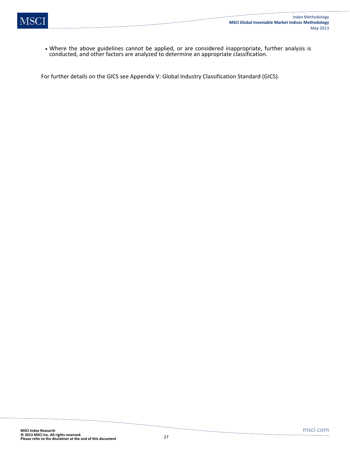

• Where the above guidelines cannot be applied, or are considered inappropriate, further analysis is conducted, and other factors are analyzed to determine an appropriate classification.

For further details on the GICS see Appendix V: Global Industry Classification Standard (GICS).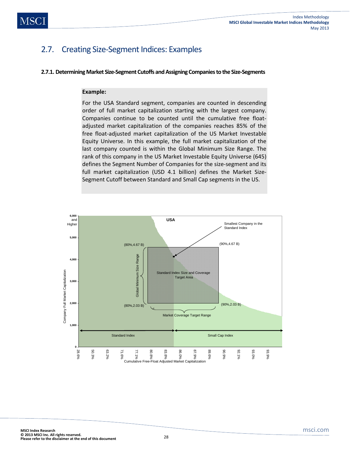# 2.7. Creating Size-Segment Indices: Examples

#### **2.7.1. Determining Market Size-Segment Cutoffs and Assigning Companies to the Size-Segments**

#### **Example:**

For the USA Standard segment, companies are counted in descending order of full market capitalization starting with the largest company. Companies continue to be counted until the cumulative free floatadjusted market capitalization of the companies reaches 85% of the free float-adjusted market capitalization of the US Market Investable Equity Universe. In this example, the full market capitalization of the last company counted is within the Global Minimum Size Range. The rank of this company in the US Market Investable Equity Universe (645) defines the Segment Number of Companies for the size-segment and its full market capitalization (USD 4.1 billion) defines the Market Size-Segment Cutoff between Standard and Small Cap segments in the US.

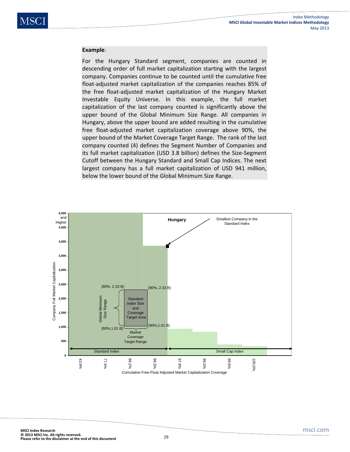#### **Example**:

For the Hungary Standard segment, companies are counted in descending order of full market capitalization starting with the largest company. Companies continue to be counted until the cumulative free float-adjusted market capitalization of the companies reaches 85% of the free float-adjusted market capitalization of the Hungary Market Investable Equity Universe. In this example, the full market capitalization of the last company counted is significantly above the upper bound of the Global Minimum Size Range. All companies in Hungary, above the upper bound are added resulting in the cumulative free float-adjusted market capitalization coverage above 90%, the upper bound of the Market Coverage Target Range. The rank of the last company counted (4) defines the Segment Number of Companies and its full market capitalization (USD 3.8 billion) defines the Size-Segment Cutoff between the Hungary Standard and Small Cap Indices. The next largest company has a full market capitalization of USD 941 million, below the lower bound of the Global Minimum Size Range.

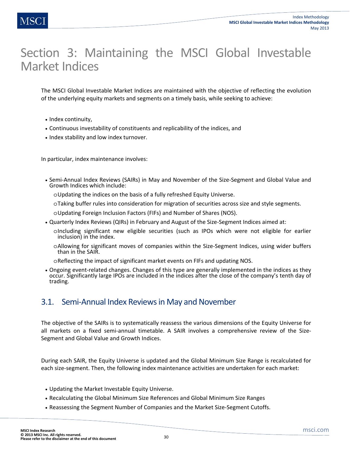# Section 3: Maintaining the MSCI Global Investable Market Indices

The MSCI Global Investable Market Indices are maintained with the objective of reflecting the evolution of the underlying equity markets and segments on a timely basis, while seeking to achieve:

- Index continuity,
- Continuous investability of constituents and replicability of the indices, and
- Index stability and low index turnover.

In particular, index maintenance involves:

- Semi-Annual Index Reviews (SAIRs) in May and November of the Size-Segment and Global Value and Growth Indices which include:
	- oUpdating the indices on the basis of a fully refreshed Equity Universe.
	- oTaking buffer rules into consideration for migration of securities across size and style segments.
	- oUpdating Foreign Inclusion Factors (FIFs) and Number of Shares (NOS).
- Quarterly Index Reviews (QIRs) in February and August of the Size-Segment Indices aimed at:
	- oIncluding significant new eligible securities (such as IPOs which were not eligible for earlier inclusion) in the index.
	- oAllowing for significant moves of companies within the Size-Segment Indices, using wider buffers than in the SAIR.

oReflecting the impact of significant market events on FIFs and updating NOS.

• Ongoing event-related changes. Changes of this type are generally implemented in the indices as they occur. Significantly large IPOs are included in the indices after the close of the company's tenth day of trading.

# 3.1. Semi-Annual Index Reviews in May and November

The objective of the SAIRs is to systematically reassess the various dimensions of the Equity Universe for all markets on a fixed semi-annual timetable. A SAIR involves a comprehensive review of the Size-Segment and Global Value and Growth Indices.

During each SAIR, the Equity Universe is updated and the Global Minimum Size Range is recalculated for each size-segment. Then, the following index maintenance activities are undertaken for each market:

- Updating the Market Investable Equity Universe.
- Recalculating the Global Minimum Size References and Global Minimum Size Ranges
- Reassessing the Segment Number of Companies and the Market Size-Segment Cutoffs.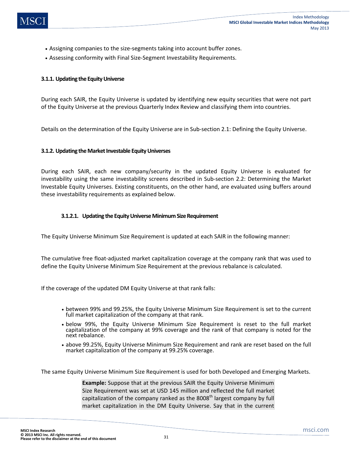- Assigning companies to the size-segments taking into account buffer zones.
- Assessing conformity with Final Size-Segment Investability Requirements.

## **3.1.1. Updating the Equity Universe**

During each SAIR, the Equity Universe is updated by identifying new equity securities that were not part of the Equity Universe at the previous Quarterly Index Review and classifying them into countries.

Details on the determination of the Equity Universe are in Sub-section 2.1: Defining the Equity Universe.

### **3.1.2. Updating the Market Investable Equity Universes**

During each SAIR, each new company/security in the updated Equity Universe is evaluated for investability using the same investability screens described in Sub-section 2.2: Determining the Market Investable Equity Universes. Existing constituents, on the other hand, are evaluated using buffers around these investability requirements as explained below.

### **3.1.2.1. Updating the Equity Universe Minimum Size Requirement**

The Equity Universe Minimum Size Requirement is updated at each SAIR in the following manner:

The cumulative free float-adjusted market capitalization coverage at the company rank that was used to define the Equity Universe Minimum Size Requirement at the previous rebalance is calculated.

If the coverage of the updated DM Equity Universe at that rank falls:

- between 99% and 99.25%, the Equity Universe Minimum Size Requirement is set to the current full market capitalization of the company at that rank.
- below 99%, the Equity Universe Minimum Size Requirement is reset to the full market capitalization of the company at 99% coverage and the rank of that company is noted for the next rebalance.
- above 99.25%, Equity Universe Minimum Size Requirement and rank are reset based on the full market capitalization of the company at 99.25% coverage.

The same Equity Universe Minimum Size Requirement is used for both Developed and Emerging Markets.

**Example:** Suppose that at the previous SAIR the Equity Universe Minimum Size Requirement was set at USD 145 million and reflected the full market capitalization of the company ranked as the  $8008<sup>th</sup>$  largest company by full market capitalization in the DM Equity Universe. Say that in the current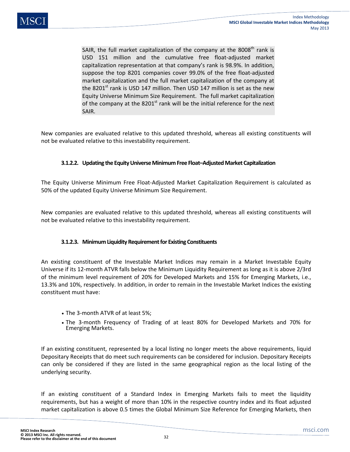SAIR, the full market capitalization of the company at the  $8008<sup>th</sup>$  rank is USD 151 million and the cumulative free float-adjusted market capitalization representation at that company's rank is 98.9%. In addition, suppose the top 8201 companies cover 99.0% of the free float-adjusted market capitalization and the full market capitalization of the company at the 8201 $^{\rm st}$  rank is USD 147 million. Then USD 147 million is set as the new Equity Universe Minimum Size Requirement. The full market capitalization of the company at the  $8201<sup>st</sup>$  rank will be the initial reference for the next SAIR.

New companies are evaluated relative to this updated threshold, whereas all existing constituents will not be evaluated relative to this investability requirement.

## **3.1.2.2. Updating the Equity Universe Minimum Free Float–Adjusted Market Capitalization**

The Equity Universe Minimum Free Float-Adjusted Market Capitalization Requirement is calculated as 50% of the updated Equity Universe Minimum Size Requirement.

New companies are evaluated relative to this updated threshold, whereas all existing constituents will not be evaluated relative to this investability requirement.

## **3.1.2.3. Minimum Liquidity Requirement for Existing Constituents**

An existing constituent of the Investable Market Indices may remain in a Market Investable Equity Universe if its 12-month ATVR falls below the Minimum Liquidity Requirement as long as it is above 2/3rd of the minimum level requirement of 20% for Developed Markets and 15% for Emerging Markets, i.e., 13.3% and 10%, respectively. In addition, in order to remain in the Investable Market Indices the existing constituent must have:

- The 3-month ATVR of at least 5%;
- The 3-month Frequency of Trading of at least 80% for Developed Markets and 70% for Emerging Markets.

If an existing constituent, represented by a local listing no longer meets the above requirements, liquid Depositary Receipts that do meet such requirements can be considered for inclusion. Depositary Receipts can only be considered if they are listed in the same geographical region as the local listing of the underlying security.

If an existing constituent of a Standard Index in Emerging Markets fails to meet the liquidity requirements, but has a weight of more than 10% in the respective country index and its float adjusted market capitalization is above 0.5 times the Global Minimum Size Reference for Emerging Markets, then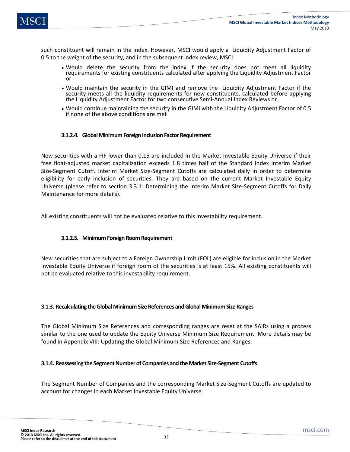such constituent will remain in the index. However, MSCI would apply a Liquidity Adjustment Factor of 0.5 to the weight of the security, and in the subsequent index review, MSCI:

- Would delete the security from the index if the security does not meet all liquidity requirements for existing constituents calculated after applying the Liquidity Adjustment Factor or
- Would maintain the security in the GIMI and remove the Liquidity Adjustment Factor if the security meets all the liquidity requirements for new constituents, calculated before applying the Liquidity Adjustment Factor for two consecutive Semi-Annual Index Reviews or
- Would continue maintaining the security in the GIMI with the Liquidity Adjustment Factor of 0.5 if none of the above conditions are met

## **3.1.2.4. Global Minimum Foreign Inclusion Factor Requirement**

New securities with a FIF lower than 0.15 are included in the Market Investable Equity Universe if their free float-adjusted market capitalization exceeds 1.8 times half of the Standard Index Interim Market Size-Segment Cutoff. Interim Market Size-Segment Cutoffs are calculated daily in order to determine eligibility for early inclusion of securities. They are based on the current Market Investable Equity Universe (please refer to section 3.3.1: Determining the Interim Market Size-Segment Cutoffs for Daily Maintenance for more details).

All existing constituents will not be evaluated relative to this investability requirement.

# **3.1.2.5. Minimum Foreign Room Requirement**

New securities that are subject to a Foreign Ownership Limit (FOL) are eligible for inclusion in the Market Investable Equity Universe if foreign room of the securities is at least 15%. All existing constituents will not be evaluated relative to this investability requirement.

## **3.1.3. Recalculating the Global Minimum Size References and Global Minimum Size Ranges**

The Global Minimum Size References and corresponding ranges are reset at the SAIRs using a process similar to the one used to update the Equity Universe Minimum Size Requirement. More details may be found in Appendix VIII: Updating the Global Minimum Size References and Ranges.

## **3.1.4. Reassessing the Segment Number of Companies and the Market Size-Segment Cutoffs**

The Segment Number of Companies and the corresponding Market Size-Segment Cutoffs are updated to account for changes in each Market Investable Equity Universe.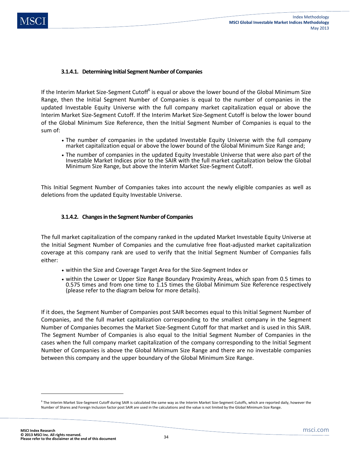## **3.1.4.1. Determining Initial Segment Number of Companies**

If the Interim Market Size-Segment Cutoff<sup>6</sup> is equal or above the lower bound of the Global Minimum Size Range, then the Initial Segment Number of Companies is equal to the number of companies in the updated Investable Equity Universe with the full company market capitalization equal or above the Interim Market Size-Segment Cutoff. If the Interim Market Size-Segment Cutoff is below the lower bound of the Global Minimum Size Reference, then the Initial Segment Number of Companies is equal to the sum of:

- The number of companies in the updated Investable Equity Universe with the full company market capitalization equal or above the lower bound of the Global Minimum Size Range and;
- The number of companies in the updated Equity Investable Universe that were also part of the Investable Market Indices prior to the SAIR with the full market capitalization below the Global Minimum Size Range, but above the Interim Market Size-Segment Cutoff.

This Initial Segment Number of Companies takes into account the newly eligible companies as well as deletions from the updated Equity Investable Universe.

### **3.1.4.2. Changes in the Segment Number of Companies**

The full market capitalization of the company ranked in the updated Market Investable Equity Universe at the Initial Segment Number of Companies and the cumulative free float-adjusted market capitalization coverage at this company rank are used to verify that the Initial Segment Number of Companies falls either:

- within the Size and Coverage Target Area for the Size-Segment Index or
- within the Lower or Upper Size Range Boundary Proximity Areas, which span from 0.5 times to 0.575 times and from one time to 1.15 times the Global Minimum Size Reference respectively (please refer to the diagram below for more details).

If it does, the Segment Number of Companies post SAIR becomes equal to this Initial Segment Number of Companies, and the full market capitalization corresponding to the smallest company in the Segment Number of Companies becomes the Market Size-Segment Cutoff for that market and is used in this SAIR. The Segment Number of Companies is also equal to the Initial Segment Number of Companies in the cases when the full company market capitalization of the company corresponding to the Initial Segment Number of Companies is above the Global Minimum Size Range and there are no investable companies between this company and the upper boundary of the Global Minimum Size Range.

l

<sup>&</sup>lt;sup>6</sup> The Interim Market Size-Segment Cutoff during SAIR is calculated the same way as the Interim Market Size-Segment Cutoffs, which are reported daily, however the Number of Shares and Foreign Inclusion factor post SAIR are used in the calculations and the value is not limited by the Global Minimum Size Range.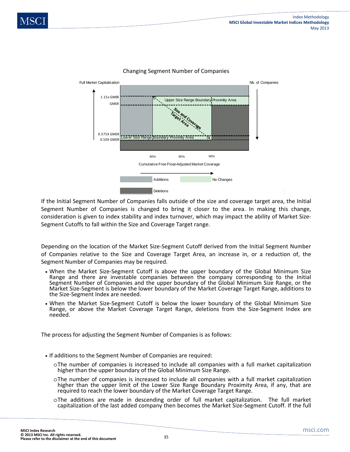

### Changing Segment Number of Companies

If the Initial Segment Number of Companies falls outside of the size and coverage target area, the Initial Segment Number of Companies is changed to bring it closer to the area. In making this change, consideration is given to index stability and index turnover, which may impact the ability of Market Size-Segment Cutoffs to fall within the Size and Coverage Target range.

Depending on the location of the Market Size-Segment Cutoff derived from the Initial Segment Number of Companies relative to the Size and Coverage Target Area, an increase in, or a reduction of, the Segment Number of Companies may be required.

- When the Market Size-Segment Cutoff is above the upper boundary of the Global Minimum Size Range and there are investable companies between the company corresponding to the Initial Segment Number of Companies and the upper boundary of the Global Minimum Size Range, or the Market Size-Segment is below the lower boundary of the Market Coverage Target Range, additions to the Size-Segment Index are needed.
- When the Market Size-Segment Cutoff is below the lower boundary of the Global Minimum Size Range, or above the Market Coverage Target Range, deletions from the Size-Segment Index are needed.

The process for adjusting the Segment Number of Companies is as follows:

- If additions to the Segment Number of Companies are required:
	- oThe number of companies is increased to include all companies with a full market capitalization higher than the upper boundary of the Global Minimum Size Range.
	- oThe number of companies is increased to include all companies with a full market capitalization higher than the upper limit of the Lower Size Range Boundary Proximity Area, if any, that are required to reach the lower boundary of the Market Coverage Target Range.
	- oThe additions are made in descending order of full market capitalization. The full market capitalization of the last added company then becomes the Market Size-Segment Cutoff. If the full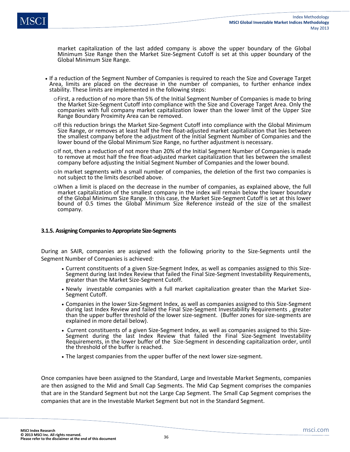market capitalization of the last added company is above the upper boundary of the Global Minimum Size Range then the Market Size-Segment Cutoff is set at this upper boundary of the Global Minimum Size Range.

- If a reduction of the Segment Number of Companies is required to reach the Size and Coverage Target Area, limits are placed on the decrease in the number of companies, to further enhance index stability. These limits are implemented in the following steps:
	- oFirst, a reduction of no more than 5% of the Initial Segment Number of Companies is made to bring the Market Size-Segment Cutoff into compliance with the Size and Coverage Target Area. Only the companies with full company market capitalization lower than the lower limit of the Upper Size Range Boundary Proximity Area can be removed.
	- oIf this reduction brings the Market Size-Segment Cutoff into compliance with the Global Minimum Size Range, or removes at least half the free float-adjusted market capitalization that lies between the smallest company before the adjustment of the Initial Segment Number of Companies and the lower bound of the Global Minimum Size Range, no further adjustment is necessary.
	- oIf not, then a reduction of not more than 20% of the Initial Segment Number of Companies is made to remove at most half the free float-adjusted market capitalization that lies between the smallest company before adjusting the Initial Segment Number of Companies and the lower bound.
	- oIn market segments with a small number of companies, the deletion of the first two companies is not subject to the limits described above.
	- oWhen a limit is placed on the decrease in the number of companies, as explained above, the full market capitalization of the smallest company in the index will remain below the lower boundary of the Global Minimum Size Range. In this case, the Market Size-Segment Cutoff is set at this lower bound of 0.5 times the Global Minimum Size Reference instead of the size of the smallest company.

#### **3.1.5. Assigning Companies to Appropriate Size-Segments**

During an SAIR, companies are assigned with the following priority to the Size-Segments until the Segment Number of Companies is achieved:

- Current constituents of a given Size-Segment Index, as well as companies assigned to this Size-Segment during last Index Review that failed the Final Size-Segment Investability Requirements, greater than the Market Size-Segment Cutoff.
- Newly investable companies with a full market capitalization greater than the Market Size-Segment Cutoff.
- Companies in the lower Size-Segment Index, as well as companies assigned to this Size-Segment during last Index Review and failed the Final Size-Segment Investability Requirements , greater than the upper buffer threshold of the lower size-segment. (Buffer zones for size-segments are explained in more detail below).
- Current constituents of a given Size-Segment Index, as well as companies assigned to this Size-Segment during the last Index Review that failed the Final Size-Segment Investability Requirements, in the lower buffer of the Size-Segment in descending capitalization order, until the threshold of the buffer is reached.
- The largest companies from the upper buffer of the next lower size-segment.

Once companies have been assigned to the Standard, Large and Investable Market Segments, companies are then assigned to the Mid and Small Cap Segments. The Mid Cap Segment comprises the companies that are in the Standard Segment but not the Large Cap Segment. The Small Cap Segment comprises the companies that are in the Investable Market Segment but not in the Standard Segment.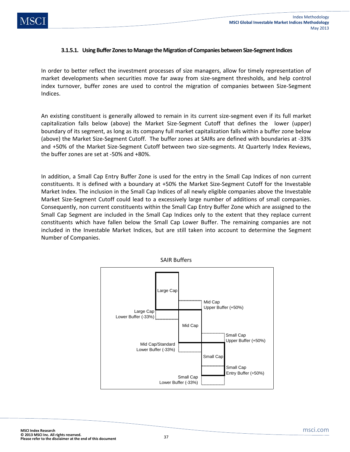### **3.1.5.1. Using Buffer Zones to Manage the Migration of Companies between Size-Segment Indices**

In order to better reflect the investment processes of size managers, allow for timely representation of market developments when securities move far away from size-segment thresholds, and help control index turnover, buffer zones are used to control the migration of companies between Size-Segment Indices.

An existing constituent is generally allowed to remain in its current size-segment even if its full market capitalization falls below (above) the Market Size-Segment Cutoff that defines the lower (upper) boundary of its segment, as long as its company full market capitalization falls within a buffer zone below (above) the Market Size-Segment Cutoff. The buffer zones at SAIRs are defined with boundaries at -33% and +50% of the Market Size-Segment Cutoff between two size-segments. At Quarterly Index Reviews, the buffer zones are set at -50% and +80%.

In addition, a Small Cap Entry Buffer Zone is used for the entry in the Small Cap Indices of non current constituents. It is defined with a boundary at +50% the Market Size-Segment Cutoff for the Investable Market Index. The inclusion in the Small Cap Indices of all newly eligible companies above the Investable Market Size-Segment Cutoff could lead to a excessively large number of additions of small companies. Consequently, non current constituents within the Small Cap Entry Buffer Zone which are assigned to the Small Cap Segment are included in the Small Cap Indices only to the extent that they replace current constituents which have fallen below the Small Cap Lower Buffer. The remaining companies are not included in the Investable Market Indices, but are still taken into account to determine the Segment Number of Companies.



SAIR Buffers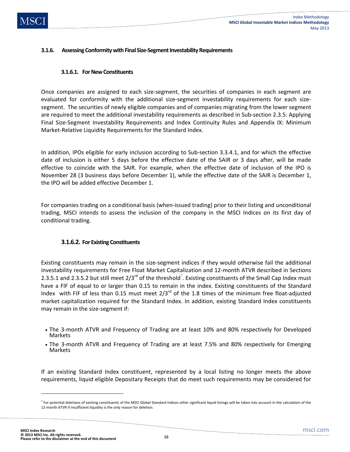# **3.1.6. Assessing Conformity with Final Size-Segment Investability Requirements**

### **3.1.6.1. For New Constituents**

Once companies are assigned to each size-segment, the securities of companies in each segment are evaluated for conformity with the additional size-segment investability requirements for each sizesegment. The securities of newly eligible companies and of companies migrating from the lower segment are required to meet the additional investability requirements as described in Sub-section 2.3.5: Applying Final Size-Segment Investability Requirements and Index Continuity Rules and Appendix IX: Minimum Market-Relative Liquidity Requirements for the Standard Index.

In addition, IPOs eligible for early inclusion according to Sub-section 3.3.4.1, and for which the effective date of inclusion is either 5 days before the effective date of the SAIR or 3 days after, will be made effective to coincide with the SAIR. For example, when the effective date of inclusion of the IPO is November 28 (3 business days before December 1), while the effective date of the SAIR is December 1, the IPO will be added effective December 1.

For companies trading on a conditional basis (when-issued trading) prior to their listing and unconditional trading, MSCI intends to assess the inclusion of the company in the MSCI Indices on its first day of conditional trading.

# **3.1.6.2. For Existing Constituents**

Existing constituents may remain in the size-segment indices if they would otherwise fail the additional investability requirements for Free Float Market Capitalization and 12-month ATVR described in Sections 2.3.5.1 and 2.3.5.2 but still meet  $2/3^{rd}$  of the threshold<sup>7</sup>. Existing constituents of the Small Cap Index must have a FIF of equal to or larger than 0.15 to remain in the index. Existing constituents of the Standard Index with FIF of less than 0.15 must meet  $2/3^{rd}$  of the 1.8 times of the minimum free float-adjusted market capitalization required for the Standard Index. In addition, existing Standard Index constituents may remain in the size-segment if:

- The 3-month ATVR and Frequency of Trading are at least 10% and 80% respectively for Developed Markets
- The 3-month ATVR and Frequency of Trading are at least 7.5% and 80% respectively for Emerging Markets

If an existing Standard Index constituent, represented by a local listing no longer meets the above requirements, liquid eligible Depositary Receipts that do meet such requirements may be considered for

 $\overline{a}$ 

<sup>&</sup>lt;sup>7</sup> For potential deletions of existing constituents of the MSCI Global Standard Indices other significant liquid listings will be taken into account in the calculation of the 12-month ATVR if insufficient liquidity is the only reason for deletion.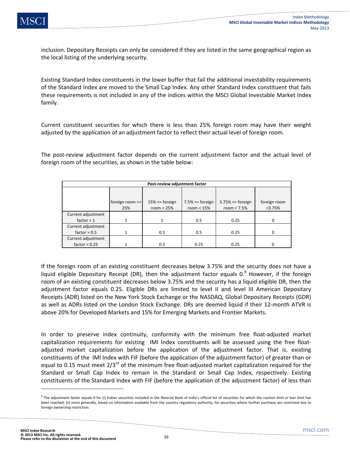inclusion. Depositary Receipts can only be considered if they are listed in the same geographical region as the local listing of the underlying security.

Existing Standard Index constituents in the lower buffer that fail the additional investability requirements of the Standard Index are moved to the Small Cap Index. Any other Standard Index constituent that fails these requirements is not included in any of the indices within the MSCI Global Investable Market Index family.

Current constituent securities for which there is less than 25% foreign room may have their weight adjusted by the application of an adjustment factor to reflect their actual level of foreign room.

The post-review adjustment factor depends on the current adjustment factor and the actual level of foreign room of the securities, as shown in the table below:

| Post-review adjustment factor |                          |                                     |                                      |                                        |                        |
|-------------------------------|--------------------------|-------------------------------------|--------------------------------------|----------------------------------------|------------------------|
|                               | foreign room $>=$<br>25% | $15\% \leq$ foreign<br>room $< 25%$ | $7.5\% \leq$ foreign<br>room $< 15%$ | $3.75\% \leq$ foreign<br>room $< 7.5%$ | foreign room<br><3.75% |
| Current adjustment            |                          |                                     |                                      |                                        |                        |
| factor = $1$                  |                          |                                     | 0.5                                  | 0.25                                   | <sup>0</sup>           |
| Current adjustment            |                          |                                     |                                      |                                        |                        |
| $factor = 0.5$                | 1                        | 0.5                                 | 0.5                                  | 0.25                                   | $\Omega$               |
| Current adjustment            |                          |                                     |                                      |                                        |                        |
| factor = $0.25$               |                          | 0.5                                 | 0.25                                 | 0.25                                   | O                      |

If the foreign room of an existing constituent decreases below 3.75% and the security does not have a liquid eligible Depositary Receipt (DR), then the adjustment factor equals  $0.^8$  However, if the foreign room of an existing constituent decreases below 3.75% and the security has a liquid eligible DR, then the adjustment factor equals 0.25. Eligible DRs are limited to level II and level III American Depositary Receipts (ADR) listed on the New York Stock Exchange or the NASDAQ, Global Depositary Receipts (GDR) as well as ADRs listed on the London Stock Exchange. DRs are deemed liquid if their 12-month ATVR is above 20% for Developed Markets and 15% for Emerging Markets and Frontier Markets.

In order to preserve index continuity, conformity with the minimum free float-adjusted market capitalization requirements for existing IMI Index constituents will be assessed using the free floatadjusted market capitalization before the application of the adjustment factor. That is, existing constituents of the IMI Index with FIF (before the application of the adjustment factor) of greater than or equal to 0.15 must meet  $2/3^{rd}$  of the minimum free float-adjusted market capitalization required for the Standard or Small Cap Index to remain in the Standard or Small Cap Index, respectively. Existing constituents of the Standard Index with FIF (before the application of the adjustment factor) of less than

 $\overline{\phantom{a}}$ 

 $^8$  The adjustment factor equals 0 for (i) Indian securities included in the Reserve Bank of India's official list of securities for which the caution limit or ban limit has been reached; (ii) more generally, based on information available from the country regulatory authority, for securities where further purchase are restricted due to foreign ownership restriction.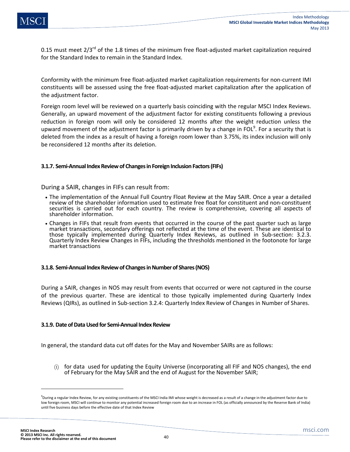

0.15 must meet  $2/3^{rd}$  of the 1.8 times of the minimum free float-adjusted market capitalization required for the Standard Index to remain in the Standard Index.

Conformity with the minimum free float-adjusted market capitalization requirements for non-current IMI constituents will be assessed using the free float-adjusted market capitalization after the application of the adjustment factor.

Foreign room level will be reviewed on a quarterly basis coinciding with the regular MSCI Index Reviews. Generally, an upward movement of the adjustment factor for existing constituents following a previous reduction in foreign room will only be considered 12 months after the weight reduction unless the upward movement of the adjustment factor is primarily driven by a change in FOL<sup>9</sup>. For a security that is deleted from the index as a result of having a foreign room lower than 3.75%, its index inclusion will only be reconsidered 12 months after its deletion.

### **3.1.7. Semi-Annual Index Review of Changes in Foreign Inclusion Factors (FIFs)**

During a SAIR, changes in FIFs can result from:

- The implementation of the Annual Full Country Float Review at the May SAIR. Once a year a detailed review of the shareholder information used to estimate free float for constituent and non-constituent securities is carried out for each country. The review is comprehensive, covering all aspects of shareholder information.
- Changes in FIFs that result from events that occurred in the course of the past quarter such as large market transactions, secondary offerings not reflected at the time of the event. These are identical to those typically implemented during Quarterly Index Reviews, as outlined in Sub-section: 3.2.3. Quarterly Index Review Changes in FIFs, including the thresholds mentioned in the footonote for large market transactions

### **3.1.8. Semi-Annual Index Review of Changes in Number of Shares (NOS)**

During a SAIR, changes in NOS may result from events that occurred or were not captured in the course of the previous quarter. These are identical to those typically implemented during Quarterly Index Reviews (QIRs), as outlined in Sub-section 3.2.4: Quarterly Index Review of Changes in Number of Shares.

### **3.1.9. Date of Data Used for Semi-Annual Index Review**

In general, the standard data cut off dates for the May and November SAIRs are as follows:

for data used for updating the Equity Universe (incorporating all FIF and NOS changes), the end of February for the May SAIR and the end of August for the November SAIR;

 $\overline{\phantom{a}}$ 

<sup>&</sup>lt;sup>9</sup>During a regular Index Review, for any existing constituents of the MSCI India IMI whose weight is decreased as a result of a change in the adjustment factor due to low foreign room, MSCI will continue to monitor any potential increased foreign room due to an increase in FOL (as officially announced by the Reserve Bank of India) until five business days before the effective date of that Index Review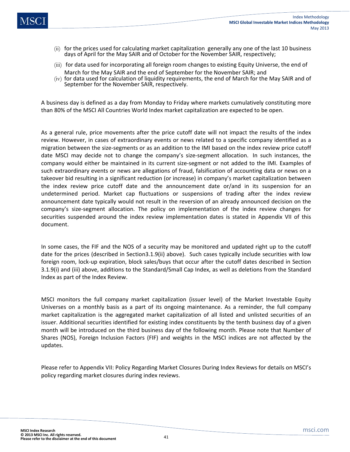- (ii) for the prices used for calculating market capitalization generally any one of the last 10 business days of April for the May SAIR and of October for the November SAIR, respectively;
- (iii) for data used for incorporating all foreign room changes to existing Equity Universe, the end of March for the May SAIR and the end of September for the November SAIR; and
- (iv) for data used for calculation of liquidity requirements, the end of March for the May SAIR and of September for the November SAIR, respectively.

A business day is defined as a day from Monday to Friday where markets cumulatively constituting more than 80% of the MSCI All Countries World Index market capitalization are expected to be open.

As a general rule, price movements after the price cutoff date will not impact the results of the index review. However, in cases of extraordinary events or news related to a specific company identified as a migration between the size-segments or as an addition to the IMI based on the index review price cutoff date MSCI may decide not to change the company's size-segment allocation. In such instances, the company would either be maintained in its current size-segment or not added to the IMI. Examples of such extraordinary events or news are allegations of fraud, falsification of accounting data or news on a takeover bid resulting in a significant reduction (or increase) in company's market capitalization between the index review price cutoff date and the announcement date or/and in its suspension for an undetermined period. Market cap fluctuations or suspensions of trading after the index review announcement date typically would not result in the reversion of an already announced decision on the company's size-segment allocation. The policy on implementation of the index review changes for securities suspended around the index review implementation dates is stated in Appendix VII of this document.

In some cases, the FIF and the NOS of a security may be monitored and updated right up to the cutoff date for the prices (described in Section3.1.9(ii) above). Such cases typically include securities with low foreign room, lock-up expiration, block sales/buys that occur after the cutoff dates described in Section 3.1.9(i) and (iii) above, additions to the Standard/Small Cap Index, as well as deletions from the Standard Index as part of the Index Review.

MSCI monitors the full company market capitalization (issuer level) of the Market Investable Equity Universes on a monthly basis as a part of its ongoing maintenance. As a reminder, the full company market capitalization is the aggregated market capitalization of all listed and unlisted securities of an issuer. Additional securities identified for existing index constituents by the tenth business day of a given month will be introduced on the third business day of the following month. Please note that Number of Shares (NOS), Foreign Inclusion Factors (FIF) and weights in the MSCI indices are not affected by the updates.

Please refer to Appendix VII: Policy Regarding Market Closures During Index Reviews for details on MSCI's policy regarding market closures during index reviews.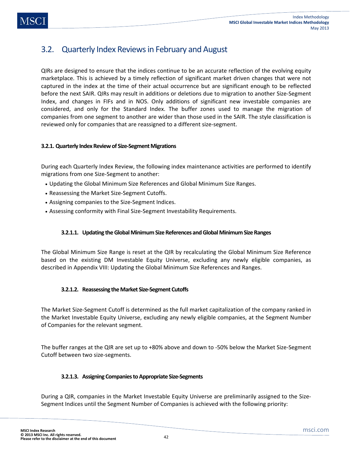QIRs are designed to ensure that the indices continue to be an accurate reflection of the evolving equity marketplace. This is achieved by a timely reflection of significant market driven changes that were not captured in the index at the time of their actual occurrence but are significant enough to be reflected before the next SAIR. QIRs may result in additions or deletions due to migration to another Size-Segment Index, and changes in FIFs and in NOS. Only additions of significant new investable companies are considered, and only for the Standard Index. The buffer zones used to manage the migration of companies from one segment to another are wider than those used in the SAIR. The style classification is reviewed only for companies that are reassigned to a different size-segment.

# **3.2.1. Quarterly Index Review of Size-Segment Migrations**

During each Quarterly Index Review, the following index maintenance activities are performed to identify migrations from one Size-Segment to another:

- Updating the Global Minimum Size References and Global Minimum Size Ranges.
- Reassessing the Market Size-Segment Cutoffs.
- Assigning companies to the Size-Segment Indices.
- Assessing conformity with Final Size-Segment Investability Requirements.

# **3.2.1.1. Updating the Global Minimum Size References and Global Minimum Size Ranges**

The Global Minimum Size Range is reset at the QIR by recalculating the Global Minimum Size Reference based on the existing DM Investable Equity Universe, excluding any newly eligible companies, as described in Appendix VIII: Updating the Global Minimum Size References and Ranges.

# **3.2.1.2. Reassessing the Market Size-Segment Cutoffs**

The Market Size-Segment Cutoff is determined as the full market capitalization of the company ranked in the Market Investable Equity Universe, excluding any newly eligible companies, at the Segment Number of Companies for the relevant segment.

The buffer ranges at the QIR are set up to +80% above and down to -50% below the Market Size-Segment Cutoff between two size-segments.

# **3.2.1.3. Assigning Companies to Appropriate Size-Segments**

During a QIR, companies in the Market Investable Equity Universe are preliminarily assigned to the Size-Segment Indices until the Segment Number of Companies is achieved with the following priority: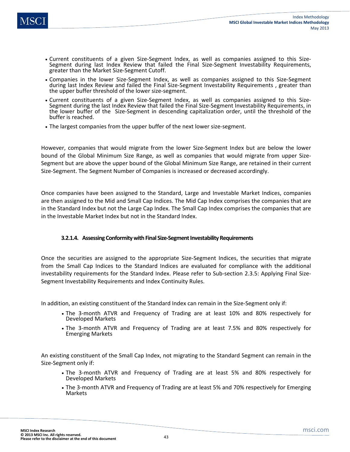- Current constituents of a given Size-Segment Index, as well as companies assigned to this Size-Segment during last Index Review that failed the Final Size-Segment Investability Requirements, greater than the Market Size-Segment Cutoff.
- Companies in the lower Size-Segment Index, as well as companies assigned to this Size-Segment during last Index Review and failed the Final Size-Segment Investability Requirements , greater than the upper buffer threshold of the lower size-segment.
- Current constituents of a given Size-Segment Index, as well as companies assigned to this Size-Segment during the last Index Review that failed the Final Size-Segment Investability Requirements, in the lower buffer of the Size-Segment in descending capitalization order, until the threshold of the buffer is reached.
- The largest companies from the upper buffer of the next lower size-segment.

However, companies that would migrate from the lower Size-Segment Index but are below the lower bound of the Global Minimum Size Range, as well as companies that would migrate from upper Size-Segment but are above the upper bound of the Global Minimum Size Range, are retained in their current Size-Segment. The Segment Number of Companies is increased or decreased accordingly.

Once companies have been assigned to the Standard, Large and Investable Market Indices, companies are then assigned to the Mid and Small Cap Indices. The Mid Cap Index comprises the companies that are in the Standard Index but not the Large Cap Index. The Small Cap Index comprises the companies that are in the Investable Market Index but not in the Standard Index.

# **3.2.1.4. Assessing Conformity with Final Size-Segment Investability Requirements**

Once the securities are assigned to the appropriate Size-Segment Indices, the securities that migrate from the Small Cap Indices to the Standard Indices are evaluated for compliance with the additional investability requirements for the Standard Index. Please refer to Sub-section 2.3.5: Applying Final Size-Segment Investability Requirements and Index Continuity Rules.

In addition, an existing constituent of the Standard Index can remain in the Size-Segment only if:

- The 3-month ATVR and Frequency of Trading are at least 10% and 80% respectively for Developed Markets
- The 3-month ATVR and Frequency of Trading are at least 7.5% and 80% respectively for Emerging Markets

An existing constituent of the Small Cap Index, not migrating to the Standard Segment can remain in the Size-Segment only if:

- The 3-month ATVR and Frequency of Trading are at least 5% and 80% respectively for Developed Markets
- The 3-month ATVR and Frequency of Trading are at least 5% and 70% respectively for Emerging Markets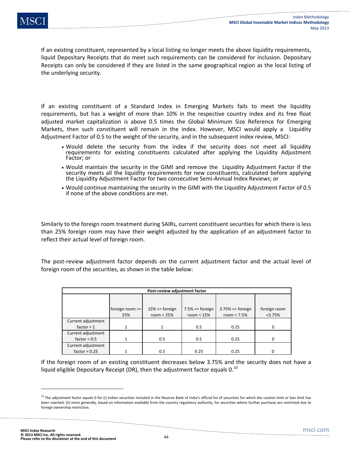If an existing constituent, represented by a local listing no longer meets the above liquidity requirements, liquid Depositary Receipts that do meet such requirements can be considered for inclusion. Depositary Receipts can only be considered if they are listed in the same geographical region as the local listing of the underlying security.

If an existing constituent of a Standard Index in Emerging Markets fails to meet the liquidity requirements, but has a weight of more than 10% in the respective country index and its free float adjusted market capitalization is above 0.5 times the Global Minimum Size Reference for Emerging Markets, then such constituent will remain in the index. However, MSCI would apply a Liquidity Adjustment Factor of 0.5 to the weight of the security, and in the subsequent index review, MSCI:

- Would delete the security from the index if the security does not meet all liquidity requirements for existing constituents calculated after applying the Liquidity Adjustment Factor; or
- Would maintain the security in the GIMI and remove the Liquidity Adjustment Factor if the security meets all the liquidity requirements for new constituents, calculated before applying the Liquidity Adjustment Factor for two consecutive Semi-Annual Index Reviews; or
- Would continue maintaining the security in the GIMI with the Liquidity Adjustment Factor of 0.5 if none of the above conditions are met.

Similarly to the foreign room treatment during SAIRs, current constituent securities for which there is less than 25% foreign room may have their weight adjusted by the application of an adjustment factor to reflect their actual level of foreign room.

The post-review adjustment factor depends on the current adjustment factor and the actual level of foreign room of the securities, as shown in the table below:

| Post-review adjustment factor |                          |                                    |                                      |                                        |                        |
|-------------------------------|--------------------------|------------------------------------|--------------------------------------|----------------------------------------|------------------------|
|                               | foreign room $>=$<br>25% | $15% \leq$ foreign<br>room $< 25%$ | $7.5\% \leq$ foreign<br>room $< 15%$ | $3.75\% \leq$ foreign<br>room $< 7.5%$ | foreign room<br><3.75% |
| Current adjustment            |                          |                                    |                                      |                                        |                        |
| factor = $1$                  |                          |                                    | 0.5                                  | 0.25                                   | <sup>0</sup>           |
| Current adjustment            |                          |                                    |                                      |                                        |                        |
| factor = $0.5$                |                          | 0.5                                | 0.5                                  | 0.25                                   |                        |
| Current adjustment            |                          |                                    |                                      |                                        |                        |
| factor = $0.25$               |                          | 0.5                                | 0.25                                 | 0.25                                   |                        |

If the foreign room of an existing constituent decreases below 3.75% and the security does not have a liquid eligible Depositary Receipt (DR), then the adjustment factor equals  $0.^{10}$ 

 $\overline{\phantom{a}}$ 

 $10$  The adjustment factor equals 0 for (i) Indian securities included in the Reserve Bank of India's official list of securities for which the caution limit or ban limit has been reached; (ii) more generally, based on information available from the country regulatory authority, for securities where further purchase are restricted due to foreign ownership restriction.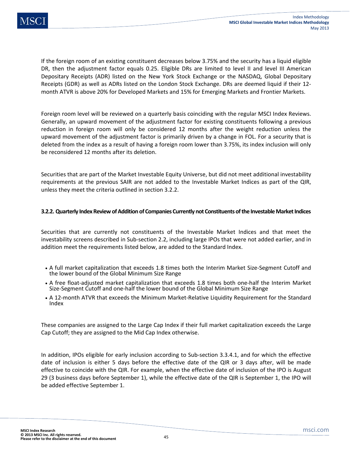If the foreign room of an existing constituent decreases below 3.75% and the security has a liquid eligible DR, then the adjustment factor equals 0.25. Eligible DRs are limited to level II and level III American Depositary Receipts (ADR) listed on the New York Stock Exchange or the NASDAQ, Global Depositary Receipts (GDR) as well as ADRs listed on the London Stock Exchange. DRs are deemed liquid if their 12 month ATVR is above 20% for Developed Markets and 15% for Emerging Markets and Frontier Markets.

Foreign room level will be reviewed on a quarterly basis coinciding with the regular MSCI Index Reviews. Generally, an upward movement of the adjustment factor for existing constituents following a previous reduction in foreign room will only be considered 12 months after the weight reduction unless the upward movement of the adjustment factor is primarily driven by a change in FOL. For a security that is deleted from the index as a result of having a foreign room lower than 3.75%, its index inclusion will only be reconsidered 12 months after its deletion.

Securities that are part of the Market Investable Equity Universe, but did not meet additional investability requirements at the previous SAIR are not added to the Investable Market Indices as part of the QIR, unless they meet the criteria outlined in section 3.2.2.

# **3.2.2. Quarterly Index Review of Addition of Companies Currently not Constituents of the Investable Market Indices**

Securities that are currently not constituents of the Investable Market Indices and that meet the investability screens described in Sub-section 2.2, including large IPOs that were not added earlier, and in addition meet the requirements listed below, are added to the Standard Index.

- A full market capitalization that exceeds 1.8 times both the Interim Market Size-Segment Cutoff and the lower bound of the Global Minimum Size Range
- A free float-adjusted market capitalization that exceeds 1.8 times both one-half the Interim Market Size-Segment Cutoff and one-half the lower bound of the Global Minimum Size Range
- A 12-month ATVR that exceeds the Minimum Market-Relative Liquidity Requirement for the Standard Index

These companies are assigned to the Large Cap Index if their full market capitalization exceeds the Large Cap Cutoff; they are assigned to the Mid Cap Index otherwise.

In addition, IPOs eligible for early inclusion according to Sub-section 3.3.4.1, and for which the effective date of inclusion is either 5 days before the effective date of the QIR or 3 days after, will be made effective to coincide with the QIR. For example, when the effective date of inclusion of the IPO is August 29 (3 business days before September 1), while the effective date of the QIR is September 1, the IPO will be added effective September 1.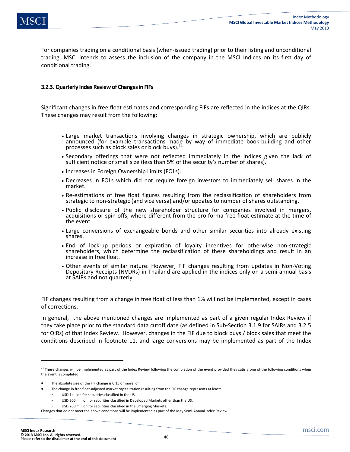For companies trading on a conditional basis (when-issued trading) prior to their listing and unconditional trading, MSCI intends to assess the inclusion of the company in the MSCI Indices on its first day of conditional trading.

### **3.2.3. Quarterly Index Review of Changes in FIFs**

Significant changes in free float estimates and corresponding FIFs are reflected in the indices at the QIRs. These changes may result from the following:

- Large market transactions involving changes in strategic ownership, which are publicly announced (for example transactions made by way of immediate book-building and other processes such as block sales or block buys).
- Secondary offerings that were not reflected immediately in the indices given the lack of sufficient notice or small size (less than 5% of the security's number of shares).
- Increases in Foreign Ownership Limits (FOLs).
- Decreases in FOLs which did not require foreign investors to immediately sell shares in the market.
- Re-estimations of free float figures resulting from the reclassification of shareholders from strategic to non-strategic (and vice versa) and/or updates to number of shares outstanding.
- Public disclosure of the new shareholder structure for companies involved in mergers, acquisitions or spin-offs, where different from the pro forma free float estimate at the time of the event.
- Large conversions of exchangeable bonds and other similar securities into already existing shares.
- End of lock-up periods or expiration of loyalty incentives for otherwise non-strategic shareholders, which determine the reclassification of these shareholdings and result in an increase in free float.
- Other events of similar nature. However, FIF changes resulting from updates in Non-Voting Depositary Receipts (NVDRs) in Thailand are applied in the indices only on a semi-annual basis at SAIRs and not quarterly.

FIF changes resulting from a change in free float of less than 1% will not be implemented, except in cases of corrections.

In general, the above mentioned changes are implemented as part of a given regular Index Review if they take place prior to the standard data cutoff date (as defined in Sub-Section 3.1.9 for SAIRs and 3.2.5 for QIRs) of that Index Review. However, changes in the FIF due to block buys / block sales that meet the conditions described in footnote 11, and large conversions may be implemented as part of the Index

USD 200 million for securities classified in the Emerging Markets.

 $\overline{a}$ 

 $11$  These changes will be implemented as part of the Index Review following the completion of the event provided they satisfy one of the following conditions when the event is completed:

The absolute size of the FIF change is 0.15 or more, or

The change in free float-adjusted market capitalization resulting from the FIF change represents at least:

<sup>-</sup> USD 1billion for securities classified in the US.

USD 500 million for securities classified in Developed Markets other than the US.

Changes that do not meet the above conditions will be implemented as part of the May Semi-Annual Index Review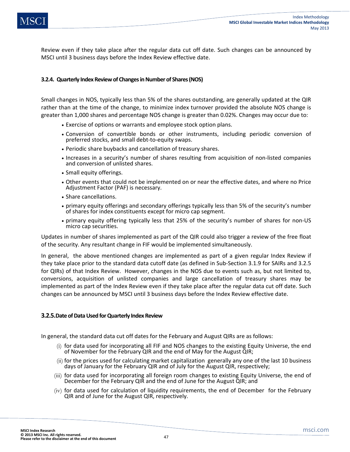Review even if they take place after the regular data cut off date. Such changes can be announced by MSCI until 3 business days before the Index Review effective date.

### **3.2.4. Quarterly Index Review of Changes in Number of Shares (NOS)**

Small changes in NOS, typically less than 5% of the shares outstanding, are generally updated at the QIR rather than at the time of the change, to minimize index turnover provided the absolute NOS change is greater than 1,000 shares and percentage NOS change is greater than 0.02%. Changes may occur due to:

- Exercise of options or warrants and employee stock option plans.
- Conversion of convertible bonds or other instruments, including periodic conversion of preferred stocks, and small debt-to-equity swaps.
- Periodic share buybacks and cancellation of treasury shares.
- Increases in a security's number of shares resulting from acquisition of non-listed companies and conversion of unlisted shares.
- Small equity offerings.
- Other events that could not be implemented on or near the effective dates, and where no Price Adjustment Factor (PAF) is necessary.
- Share cancellations.
- primary equity offerings and secondary offerings typically less than 5% of the security's number of shares for index constituents except for micro cap segment.
- primary equity offering typically less that 25% of the security's number of shares for non-US micro cap securities.

Updates in number of shares implemented as part of the QIR could also trigger a review of the free float of the security. Any resultant change in FIF would be implemented simultaneously.

In general, the above mentioned changes are implemented as part of a given regular Index Review if they take place prior to the standard data cutoff date (as defined in Sub-Section 3.1.9 for SAIRs and 3.2.5 for QIRs) of that Index Review. However, changes in the NOS due to events such as, but not limited to, conversions, acquisition of unlisted companies and large cancellation of treasury shares may be implemented as part of the Index Review even if they take place after the regular data cut off date. Such changes can be announced by MSCI until 3 business days before the Index Review effective date.

### **3.2.5.Date of Data Used for Quarterly Index Review**

In general, the standard data cut off dates for the February and August QIRs are as follows:

- (i) for data used for incorporating all FIF and NOS changes to the existing Equity Universe, the end of November for the February QIR and the end of May for the August QIR;
- (ii) for the prices used for calculating market capitalization generally any one of the last 10 business days of January for the February QIR and of July for the August QIR, respectively;
- (iii) for data used for incorporating all foreign room changes to existing Equity Universe, the end of December for the February QIR and the end of June for the August QIR; and
- (iv) for data used for calculation of liquidity requirements, the end of December for the February QIR and of June for the August QIR, respectively.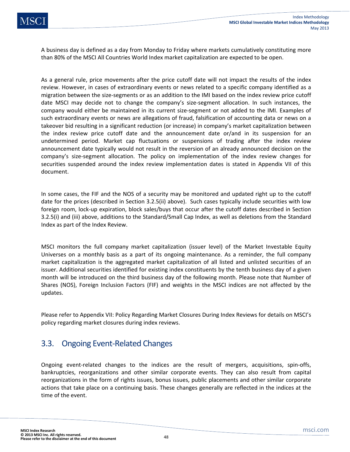A business day is defined as a day from Monday to Friday where markets cumulatively constituting more than 80% of the MSCI All Countries World Index market capitalization are expected to be open.

As a general rule, price movements after the price cutoff date will not impact the results of the index review. However, in cases of extraordinary events or news related to a specific company identified as a migration between the size-segments or as an addition to the IMI based on the index review price cutoff date MSCI may decide not to change the company's size-segment allocation. In such instances, the company would either be maintained in its current size-segment or not added to the IMI. Examples of such extraordinary events or news are allegations of fraud, falsification of accounting data or news on a takeover bid resulting in a significant reduction (or increase) in company's market capitalization between the index review price cutoff date and the announcement date or/and in its suspension for an undetermined period. Market cap fluctuations or suspensions of trading after the index review announcement date typically would not result in the reversion of an already announced decision on the company's size-segment allocation. The policy on implementation of the index review changes for securities suspended around the index review implementation dates is stated in Appendix VII of this document.

In some cases, the FIF and the NOS of a security may be monitored and updated right up to the cutoff date for the prices (described in Section 3.2.5(ii) above). Such cases typically include securities with low foreign room, lock-up expiration, block sales/buys that occur after the cutoff dates described in Section 3.2.5(i) and (iii) above, additions to the Standard/Small Cap Index, as well as deletions from the Standard Index as part of the Index Review.

MSCI monitors the full company market capitalization (issuer level) of the Market Investable Equity Universes on a monthly basis as a part of its ongoing maintenance. As a reminder, the full company market capitalization is the aggregated market capitalization of all listed and unlisted securities of an issuer. Additional securities identified for existing index constituents by the tenth business day of a given month will be introduced on the third business day of the following month. Please note that Number of Shares (NOS), Foreign Inclusion Factors (FIF) and weights in the MSCI indices are not affected by the updates.

Please refer to Appendix VII: Policy Regarding Market Closures During Index Reviews for details on MSCI's policy regarding market closures during index reviews.

# 3.3. Ongoing Event-Related Changes

Ongoing event-related changes to the indices are the result of mergers, acquisitions, spin-offs, bankruptcies, reorganizations and other similar corporate events. They can also result from capital reorganizations in the form of rights issues, bonus issues, public placements and other similar corporate actions that take place on a continuing basis. These changes generally are reflected in the indices at the time of the event.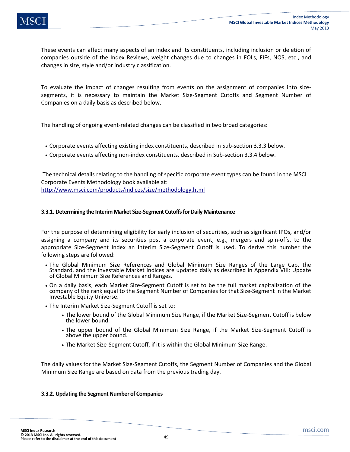These events can affect many aspects of an index and its constituents, including inclusion or deletion of companies outside of the Index Reviews, weight changes due to changes in FOLs, FIFs, NOS, etc., and changes in size, style and/or industry classification.

To evaluate the impact of changes resulting from events on the assignment of companies into sizesegments, it is necessary to maintain the Market Size-Segment Cutoffs and Segment Number of Companies on a daily basis as described below.

The handling of ongoing event-related changes can be classified in two broad categories:

- Corporate events affecting existing index constituents, described in Sub-section 3.3.3 below.
- Corporate events affecting non-index constituents, described in Sub-section 3.3.4 below.

 The technical details relating to the handling of specific corporate event types can be found in the MSCI Corporate Events Methodology book available at: http://www.msci.com/products/indices/size/methodology.html

### **3.3.1. Determining the Interim Market Size-Segment Cutoffs for Daily Maintenance**

For the purpose of determining eligibility for early inclusion of securities, such as significant IPOs, and/or assigning a company and its securities post a corporate event, e.g., mergers and spin-offs, to the appropriate Size-Segment Index an Interim Size-Segment Cutoff is used. To derive this number the following steps are followed:

- The Global Minimum Size References and Global Minimum Size Ranges of the Large Cap, the Standard, and the Investable Market Indices are updated daily as described in Appendix VIII: Update of Global Minimum Size References and Ranges.
- On a daily basis, each Market Size-Segment Cutoff is set to be the full market capitalization of the company of the rank equal to the Segment Number of Companies for that Size-Segment in the Market Investable Equity Universe.
- The Interim Market Size-Segment Cutoff is set to:
	- The lower bound of the Global Minimum Size Range, if the Market Size-Segment Cutoff is below the lower bound.
	- The upper bound of the Global Minimum Size Range, if the Market Size-Segment Cutoff is above the upper bound.
	- The Market Size-Segment Cutoff, if it is within the Global Minimum Size Range.

The daily values for the Market Size-Segment Cutoffs, the Segment Number of Companies and the Global Minimum Size Range are based on data from the previous trading day.

### **3.3.2. Updating the Segment Number of Companies**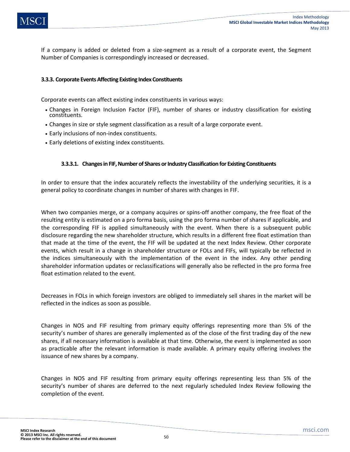If a company is added or deleted from a size-segment as a result of a corporate event, the Segment Number of Companies is correspondingly increased or decreased.

# **3.3.3. Corporate Events Affecting Existing Index Constituents**

Corporate events can affect existing index constituents in various ways:

- Changes in Foreign Inclusion Factor (FIF), number of shares or industry classification for existing constituents.
- Changes in size or style segment classification as a result of a large corporate event.
- Early inclusions of non-index constituents.
- Early deletions of existing index constituents.

# **3.3.3.1. Changes in FIF, Number of Shares or Industry Classification for Existing Constituents**

In order to ensure that the index accurately reflects the investability of the underlying securities, it is a general policy to coordinate changes in number of shares with changes in FIF.

When two companies merge, or a company acquires or spins-off another company, the free float of the resulting entity is estimated on a pro forma basis, using the pro forma number of shares if applicable, and the corresponding FIF is applied simultaneously with the event. When there is a subsequent public disclosure regarding the new shareholder structure, which results in a different free float estimation than that made at the time of the event, the FIF will be updated at the next Index Review. Other corporate events, which result in a change in shareholder structure or FOLs and FIFs, will typically be reflected in the indices simultaneously with the implementation of the event in the index. Any other pending shareholder information updates or reclassifications will generally also be reflected in the pro forma free float estimation related to the event.

Decreases in FOLs in which foreign investors are obliged to immediately sell shares in the market will be reflected in the indices as soon as possible.

Changes in NOS and FIF resulting from primary equity offerings representing more than 5% of the security's number of shares are generally implemented as of the close of the first trading day of the new shares, if all necessary information is available at that time. Otherwise, the event is implemented as soon as practicable after the relevant information is made available. A primary equity offering involves the issuance of new shares by a company.

Changes in NOS and FIF resulting from primary equity offerings representing less than 5% of the security's number of shares are deferred to the next regularly scheduled Index Review following the completion of the event.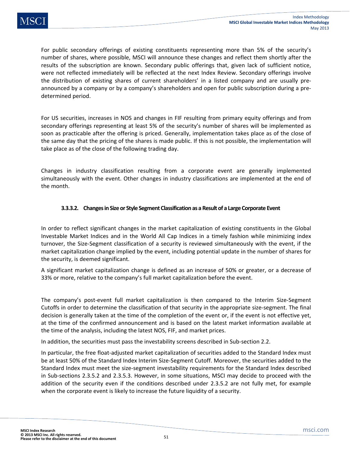For public secondary offerings of existing constituents representing more than 5% of the security's number of shares, where possible, MSCI will announce these changes and reflect them shortly after the results of the subscription are known. Secondary public offerings that, given lack of sufficient notice, were not reflected immediately will be reflected at the next Index Review. Secondary offerings involve the distribution of existing shares of current shareholders' in a listed company and are usually preannounced by a company or by a company's shareholders and open for public subscription during a predetermined period.

For US securities, increases in NOS and changes in FIF resulting from primary equity offerings and from secondary offerings representing at least 5% of the security's number of shares will be implemented as soon as practicable after the offering is priced. Generally, implementation takes place as of the close of the same day that the pricing of the shares is made public. If this is not possible, the implementation will take place as of the close of the following trading day.

Changes in industry classification resulting from a corporate event are generally implemented simultaneously with the event. Other changes in industry classifications are implemented at the end of the month.

# **3.3.3.2. Changes in Size or Style Segment Classification as a Result of a Large Corporate Event**

In order to reflect significant changes in the market capitalization of existing constituents in the Global Investable Market Indices and in the World All Cap Indices in a timely fashion while minimizing index turnover, the Size-Segment classification of a security is reviewed simultaneously with the event, if the market capitalization change implied by the event, including potential update in the number of shares for the security, is deemed significant.

A significant market capitalization change is defined as an increase of 50% or greater, or a decrease of 33% or more, relative to the company's full market capitalization before the event.

The company's post-event full market capitalization is then compared to the Interim Size-Segment Cutoffs in order to determine the classification of that security in the appropriate size-segment. The final decision is generally taken at the time of the completion of the event or, if the event is not effective yet, at the time of the confirmed announcement and is based on the latest market information available at the time of the analysis, including the latest NOS, FIF, and market prices.

In addition, the securities must pass the investability screens described in Sub-section 2.2.

In particular, the free float-adjusted market capitalization of securities added to the Standard Index must be at least 50% of the Standard Index Interim Size-Segment Cutoff. Moreover, the securities added to the Standard Index must meet the size-segment investability requirements for the Standard Index described in Sub-sections 2.3.5.2 and 2.3.5.3. However, in some situations, MSCI may decide to proceed with the addition of the security even if the conditions described under 2.3.5.2 are not fully met, for example when the corporate event is likely to increase the future liquidity of a security.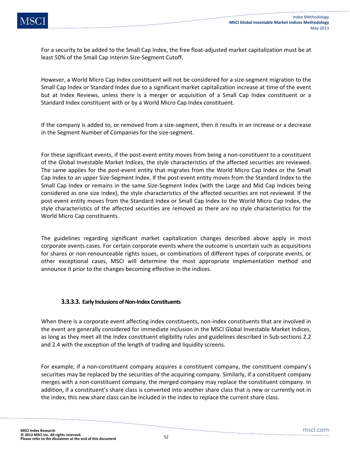For a security to be added to the Small Cap Index, the free float-adjusted market capitalization must be at least 50% of the Small Cap Interim Size-Segment Cutoff.

However, a World Micro Cap Index constituent will not be considered for a size-segment migration to the Small Cap Index or Standard Index due to a significant market capitalization increase at time of the event but at Index Reviews, unless there is a merger or acquisition of a Small Cap Index constituent or a Standard Index constituent with or by a World Micro Cap Index constituent.

If the company is added to, or removed from a size-segment, then it results in an increase or a decrease in the Segment Number of Companies for the size-segment.

For these significant events, if the post-event entity moves from being a non-constituent to a constituent of the Global Investable Market Indices, the style characteristics of the affected securities are reviewed. The same applies for the post-event entity that migrates from the World Micro Cap Index or the Small Cap Index to an upper Size-Segment Index. If the post-event entity moves from the Standard Index to the Small Cap Index or remains in the same Size-Segment Index (with the Large and Mid Cap Indices being considered as one size index), the style characteristics of the affected securities are not reviewed. If the post-event entity moves from the Standard Index or Small Cap Index to the World Micro Cap Index, the style characteristics of the affected securities are removed as there are no style characteristics for the World Micro Cap constituents.

The guidelines regarding significant market capitalization changes described above apply in most corporate events cases. For certain corporate events where the outcome is uncertain such as acquisitions for shares or non-renounceable rights issues, or combinations of different types of corporate events, or other exceptional cases, MSCI will determine the most appropriate implementation method and announce it prior to the changes becoming effective in the indices.

# **3.3.3.3. Early Inclusions of Non-Index Constituents**

When there is a corporate event affecting index constituents, non-index constituents that are involved in the event are generally considered for immediate inclusion in the MSCI Global Investable Market Indices, as long as they meet all the index constituent eligibility rules and guidelines described in Sub-sections 2.2 and 2.4 with the exception of the length of trading and liquidity screens.

For example, if a non-constituent company acquires a constituent company, the constituent company's securities may be replaced by the securities of the acquiring company. Similarly, if a constituent company merges with a non-constituent company, the merged company may replace the constituent company. In addition, if a constituent's share class is converted into another share class that is new or currently not in the index, this new share class can be included in the index to replace the current share class.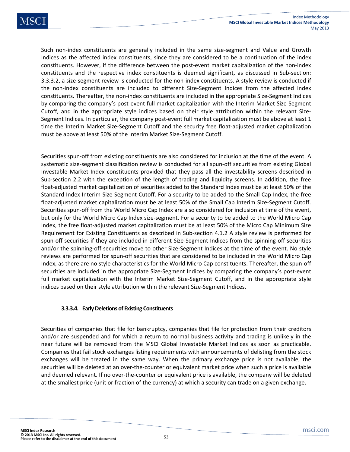Such non-index constituents are generally included in the same size-segment and Value and Growth Indices as the affected index constituents, since they are considered to be a continuation of the index constituents. However, if the difference between the post-event market capitalization of the non-index constituents and the respective index constituents is deemed significant, as discussed in Sub-section: 3.3.3.2, a size-segment review is conducted for the non-index constituents. A style review is conducted if the non-index constituents are included to different Size-Segment Indices from the affected index constituents. Thereafter, the non-index constituents are included in the appropriate Size-Segment Indices by comparing the company's post-event full market capitalization with the Interim Market Size-Segment Cutoff, and in the appropriate style indices based on their style attribution within the relevant Size-Segment Indices. In particular, the company post-event full market capitalization must be above at least 1 time the Interim Market Size-Segment Cutoff and the security free float-adjusted market capitalization must be above at least 50% of the Interim Market Size-Segment Cutoff.

Securities spun-off from existing constituents are also considered for inclusion at the time of the event. A systematic size-segment classification review is conducted for all spun-off securities from existing Global Investable Market Index constituents provided that they pass all the investability screens described in Sub-section 2.2 with the exception of the length of trading and liquidity screens. In addition, the free float-adjusted market capitalization of securities added to the Standard Index must be at least 50% of the Standard Index Interim Size-Segment Cutoff. For a security to be added to the Small Cap Index, the free float-adjusted market capitalization must be at least 50% of the Small Cap Interim Size-Segment Cutoff. Securities spun-off from the World Micro Cap Index are also considered for inclusion at time of the event, but only for the World Micro Cap Index size-segment. For a security to be added to the World Micro Cap Index, the free float-adjusted market capitalization must be at least 50% of the Micro Cap Minimum Size Requirement for Existing Constituents as described in Sub-section 4.1.2 A style review is performed for spun-off securities if they are included in different Size-Segment Indices from the spinning-off securities and/or the spinning-off securities move to other Size-Segment Indices at the time of the event. No style reviews are performed for spun-off securities that are considered to be included in the World Micro Cap Index, as there are no style characteristics for the World Micro Cap constituents. Thereafter, the spun-off securities are included in the appropriate Size-Segment Indices by comparing the company's post-event full market capitalization with the Interim Market Size-Segment Cutoff, and in the appropriate style indices based on their style attribution within the relevant Size-Segment Indices.

# **3.3.3.4. Early Deletions of Existing Constituents**

Securities of companies that file for bankruptcy, companies that file for protection from their creditors and/or are suspended and for which a return to normal business activity and trading is unlikely in the near future will be removed from the MSCI Global Investable Market Indices as soon as practicable. Companies that fail stock exchanges listing requirements with announcements of delisting from the stock exchanges will be treated in the same way. When the primary exchange price is not available, the securities will be deleted at an over-the-counter or equivalent market price when such a price is available and deemed relevant. If no over-the-counter or equivalent price is available, the company will be deleted at the smallest price (unit or fraction of the currency) at which a security can trade on a given exchange.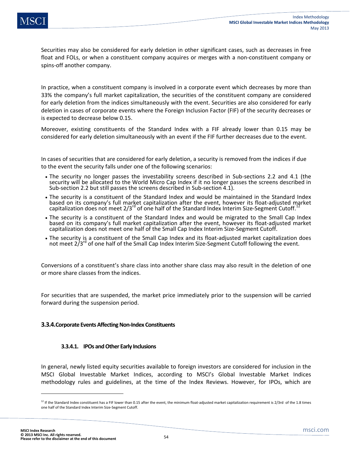Securities may also be considered for early deletion in other significant cases, such as decreases in free float and FOLs, or when a constituent company acquires or merges with a non-constituent company or spins-off another company.

In practice, when a constituent company is involved in a corporate event which decreases by more than 33% the company's full market capitalization, the securities of the constituent company are considered for early deletion from the indices simultaneously with the event. Securities are also considered for early deletion in cases of corporate events where the Foreign Inclusion Factor (FIF) of the security decreases or is expected to decrease below 0.15.

Moreover, existing constituents of the Standard Index with a FIF already lower than 0.15 may be considered for early deletion simultaneously with an event if the FIF further decreases due to the event.

In cases of securities that are considered for early deletion, a security is removed from the indices if due to the event the security falls under one of the following scenarios:

- The security no longer passes the investability screens described in Sub-sections 2.2 and 4.1 (the security will be allocated to the World Micro Cap Index if it no longer passes the screens described in Sub-section 2.2 but still passes the screens described in Sub-section 4.1).
- The security is a constituent of the Standard Index and would be maintained in the Standard Index based on its company's full market capitalization after the event, however its float-adjusted market capitalization does not meet 2/3<sup>rd</sup> of one half of the Standard Index Interim Size-Segment Cutoff.<sup>12</sup>
- The security is a constituent of the Standard Index and would be migrated to the Small Cap Index based on its company's full market capitalization after the event, however its float-adjusted market capitalization does not meet one half of the Small Cap Index Interim Size-Segment Cutoff.
- The security is a constituent of the Small Cap Index and its float-adjusted market capitalization does not meet 2/3rd of one half of the Small Cap Index Interim Size-Segment Cutoff following the event.

Conversions of a constituent's share class into another share class may also result in the deletion of one or more share classes from the indices.

For securities that are suspended, the market price immediately prior to the suspension will be carried forward during the suspension period.

# **3.3.4.Corporate Events Affecting Non-Index Constituents**

### **3.3.4.1. IPOs and Other Early Inclusions**

In general, newly listed equity securities available to foreign investors are considered for inclusion in the MSCI Global Investable Market Indices, according to MSCI's Global Investable Market Indices methodology rules and guidelines, at the time of the Index Reviews. However, for IPOs, which are

l

 $12$  If the Standard Index constituent has a FIF lower than 0.15 after the event, the minimum float-adjusted market capitalization requirement is 2/3rd of the 1.8 times one half of the Standard Index Interim Size-Segment Cutoff.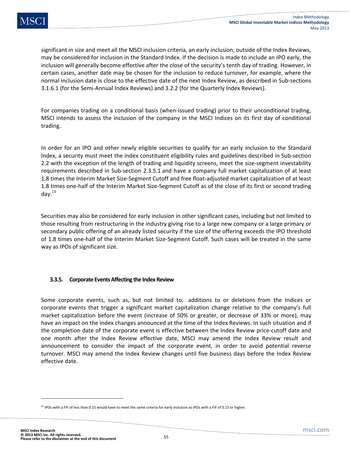significant in size and meet all the MSCI inclusion criteria, an early inclusion, outside of the Index Reviews, may be considered for inclusion in the Standard Index. If the decision is made to include an IPO early, the inclusion will generally become effective after the close of the security's tenth day of trading. However, in certain cases, another date may be chosen for the inclusion to reduce turnover, for example, where the normal inclusion date is close to the effective date of the next Index Review, as described in Sub-sections 3.1.6.1 (for the Semi-Annual Index Reviews) and 3.2.2 (for the Quarterly Index Reviews).

For companies trading on a conditional basis (when-issued trading) prior to their unconditional trading, MSCI intends to assess the inclusion of the company in the MSCI Indices on its first day of conditional trading.

In order for an IPO and other newly eligible securities to qualify for an early inclusion to the Standard Index, a security must meet the index constituent eligibility rules and guidelines described in Sub-section 2.2 with the exception of the length of trading and liquidity screens, meet the size-segment investability requirements described in Sub-section 2.3.5.1 and have a company full market capitalization of at least 1.8 times the Interim Market Size-Segment Cutoff and free float-adjusted market capitalization of at least 1.8 times one-half of the Interim Market Size-Segment Cutoff as of the close of its first or second trading day. $^{13}$ 

Securities may also be considered for early inclusion in other significant cases, including but not limited to those resulting from restructuring in the industry giving rise to a large new company or a large primary or secondary public offering of an already listed security if the size of the offering exceeds the IPO threshold of 1.8 times one-half of the Interim Market Size-Segment Cutoff. Such cases will be treated in the same way as IPOs of significant size.

# **3.3.5. Corporate Events Affecting the Index Review**

Some corporate events, such as, but not limited to, additions to or deletions from the Indices or corporate events that trigger a significant market capitalization change relative to the company's full market capitalization before the event (increase of 50% or greater, or decrease of 33% or more), may have an impact on the index changes announced at the time of the Index Reviews. In such situation and if the completion date of the corporate event is effective between the Index Review price-cutoff date and one month after the Index Review effective date, MSCI may amend the Index Review result and announcement to consider the impact of the corporate event, in order to avoid potential reverse turnover. MSCI may amend the Index Review changes until five business days before the Index Review effective date.

**.** 

 $<sup>13</sup>$  IPOs with a FIF of less than 0.15 would have to meet the same criteria for early inclusion as IPOs with a FIF of 0.15 or higher.</sup>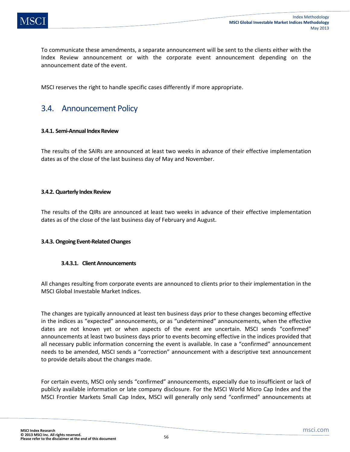To communicate these amendments, a separate announcement will be sent to the clients either with the Index Review announcement or with the corporate event announcement depending on the announcement date of the event.

MSCI reserves the right to handle specific cases differently if more appropriate.

# 3.4. Announcement Policy

### **3.4.1. Semi-Annual Index Review**

The results of the SAIRs are announced at least two weeks in advance of their effective implementation dates as of the close of the last business day of May and November.

### **3.4.2. Quarterly Index Review**

The results of the QIRs are announced at least two weeks in advance of their effective implementation dates as of the close of the last business day of February and August.

# **3.4.3. Ongoing Event-Related Changes**

# **3.4.3.1. Client Announcements**

All changes resulting from corporate events are announced to clients prior to their implementation in the MSCI Global Investable Market Indices.

The changes are typically announced at least ten business days prior to these changes becoming effective in the indices as "expected" announcements, or as "undetermined" announcements, when the effective dates are not known yet or when aspects of the event are uncertain. MSCI sends "confirmed" announcements at least two business days prior to events becoming effective in the indices provided that all necessary public information concerning the event is available. In case a "confirmed" announcement needs to be amended, MSCI sends a "correction" announcement with a descriptive text announcement to provide details about the changes made.

For certain events, MSCI only sends "confirmed" announcements, especially due to insufficient or lack of publicly available information or late company disclosure. For the MSCI World Micro Cap Index and the MSCI Frontier Markets Small Cap Index, MSCI will generally only send "confirmed" announcements at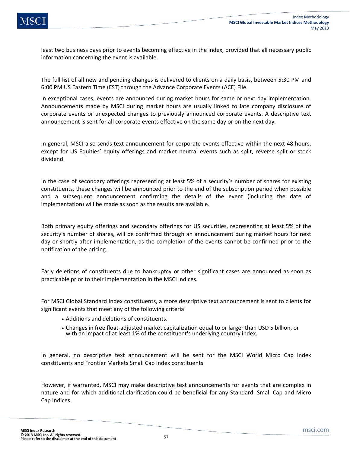least two business days prior to events becoming effective in the index, provided that all necessary public information concerning the event is available.

The full list of all new and pending changes is delivered to clients on a daily basis, between 5:30 PM and 6:00 PM US Eastern Time (EST) through the Advance Corporate Events (ACE) File.

In exceptional cases, events are announced during market hours for same or next day implementation. Announcements made by MSCI during market hours are usually linked to late company disclosure of corporate events or unexpected changes to previously announced corporate events. A descriptive text announcement is sent for all corporate events effective on the same day or on the next day.

In general, MSCI also sends text announcement for corporate events effective within the next 48 hours, except for US Equities' equity offerings and market neutral events such as split, reverse split or stock dividend.

In the case of secondary offerings representing at least 5% of a security's number of shares for existing constituents, these changes will be announced prior to the end of the subscription period when possible and a subsequent announcement confirming the details of the event (including the date of implementation) will be made as soon as the results are available.

Both primary equity offerings and secondary offerings for US securities, representing at least 5% of the security's number of shares, will be confirmed through an announcement during market hours for next day or shortly after implementation, as the completion of the events cannot be confirmed prior to the notification of the pricing.

Early deletions of constituents due to bankruptcy or other significant cases are announced as soon as practicable prior to their implementation in the MSCI indices.

For MSCI Global Standard Index constituents, a more descriptive text announcement is sent to clients for significant events that meet any of the following criteria:

- Additions and deletions of constituents.
- Changes in free float-adjusted market capitalization equal to or larger than USD 5 billion, or with an impact of at least 1% of the constituent's underlying country index.

In general, no descriptive text announcement will be sent for the MSCI World Micro Cap Index constituents and Frontier Markets Small Cap Index constituents.

However, if warranted, MSCI may make descriptive text announcements for events that are complex in nature and for which additional clarification could be beneficial for any Standard, Small Cap and Micro Cap Indices.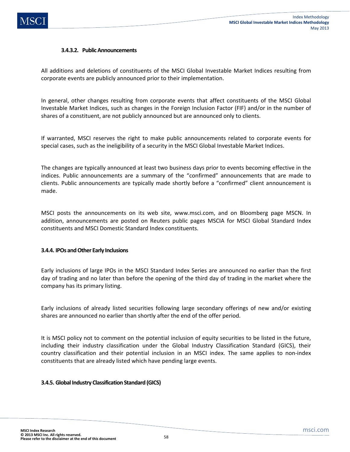### **3.4.3.2. Public Announcements**

All additions and deletions of constituents of the MSCI Global Investable Market Indices resulting from corporate events are publicly announced prior to their implementation.

In general, other changes resulting from corporate events that affect constituents of the MSCI Global Investable Market Indices, such as changes in the Foreign Inclusion Factor (FIF) and/or in the number of shares of a constituent, are not publicly announced but are announced only to clients.

If warranted, MSCI reserves the right to make public announcements related to corporate events for special cases, such as the ineligibility of a security in the MSCI Global Investable Market Indices.

The changes are typically announced at least two business days prior to events becoming effective in the indices. Public announcements are a summary of the "confirmed" announcements that are made to clients. Public announcements are typically made shortly before a "confirmed" client announcement is made.

MSCI posts the announcements on its web site, www.msci.com, and on Bloomberg page MSCN. In addition, announcements are posted on Reuters public pages MSCIA for MSCI Global Standard Index constituents and MSCI Domestic Standard Index constituents.

### **3.4.4. IPOs and Other Early Inclusions**

Early inclusions of large IPOs in the MSCI Standard Index Series are announced no earlier than the first day of trading and no later than before the opening of the third day of trading in the market where the company has its primary listing.

Early inclusions of already listed securities following large secondary offerings of new and/or existing shares are announced no earlier than shortly after the end of the offer period.

It is MSCI policy not to comment on the potential inclusion of equity securities to be listed in the future, including their industry classification under the Global Industry Classification Standard (GICS), their country classification and their potential inclusion in an MSCI index. The same applies to non-index constituents that are already listed which have pending large events.

# **3.4.5. Global Industry Classification Standard (GICS)**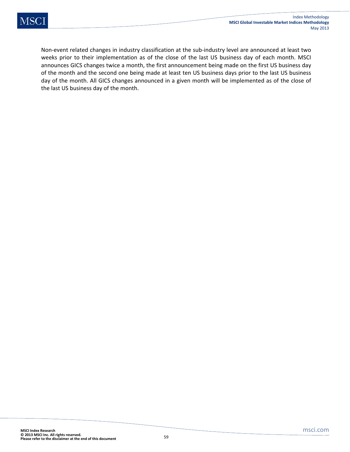Non-event related changes in industry classification at the sub-industry level are announced at least two weeks prior to their implementation as of the close of the last US business day of each month. MSCI announces GICS changes twice a month, the first announcement being made on the first US business day of the month and the second one being made at least ten US business days prior to the last US business day of the month. All GICS changes announced in a given month will be implemented as of the close of the last US business day of the month.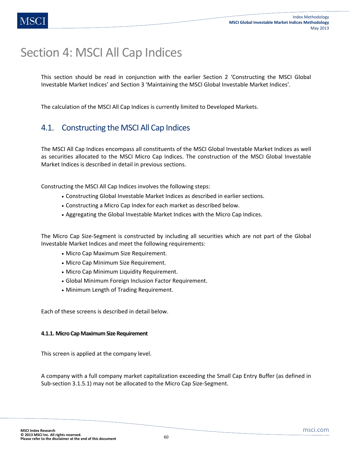# Section 4: MSCI All Cap Indices

This section should be read in conjunction with the earlier Section 2 'Constructing the MSCI Global Investable Market Indices' and Section 3 'Maintaining the MSCI Global Investable Market Indices'.

The calculation of the MSCI All Cap Indices is currently limited to Developed Markets.

# 4.1. Constructing the MSCI All Cap Indices

The MSCI All Cap Indices encompass all constituents of the MSCI Global Investable Market Indices as well as securities allocated to the MSCI Micro Cap Indices. The construction of the MSCI Global Investable Market Indices is described in detail in previous sections.

Constructing the MSCI All Cap Indices involves the following steps:

- Constructing Global Investable Market Indices as described in earlier sections.
- Constructing a Micro Cap Index for each market as described below.
- Aggregating the Global Investable Market Indices with the Micro Cap Indices.

The Micro Cap Size-Segment is constructed by including all securities which are not part of the Global Investable Market Indices and meet the following requirements:

- Micro Cap Maximum Size Requirement.
- Micro Cap Minimum Size Requirement.
- Micro Cap Minimum Liquidity Requirement.
- Global Minimum Foreign Inclusion Factor Requirement.
- Minimum Length of Trading Requirement.

Each of these screens is described in detail below.

# **4.1.1. Micro Cap Maximum Size Requirement**

This screen is applied at the company level.

A company with a full company market capitalization exceeding the Small Cap Entry Buffer (as defined in Sub-section 3.1.5.1) may not be allocated to the Micro Cap Size-Segment.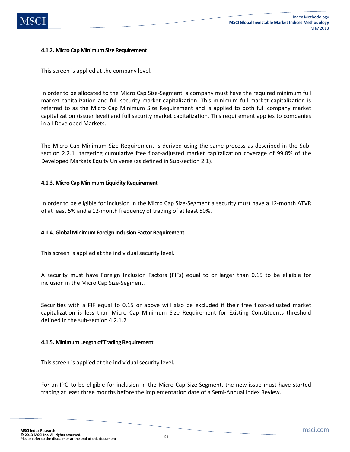# **4.1.2. Micro Cap Minimum Size Requirement**

This screen is applied at the company level.

In order to be allocated to the Micro Cap Size-Segment, a company must have the required minimum full market capitalization and full security market capitalization. This minimum full market capitalization is referred to as the Micro Cap Minimum Size Requirement and is applied to both full company market capitalization (issuer level) and full security market capitalization. This requirement applies to companies in all Developed Markets.

The Micro Cap Minimum Size Requirement is derived using the same process as described in the Subsection 2.2.1 targeting cumulative free float-adjusted market capitalization coverage of 99.8% of the Developed Markets Equity Universe (as defined in Sub-section 2.1).

### **4.1.3. Micro Cap Minimum Liquidity Requirement**

In order to be eligible for inclusion in the Micro Cap Size-Segment a security must have a 12-month ATVR of at least 5% and a 12-month frequency of trading of at least 50%.

# **4.1.4. Global Minimum Foreign Inclusion Factor Requirement**

This screen is applied at the individual security level.

A security must have Foreign Inclusion Factors (FIFs) equal to or larger than 0.15 to be eligible for inclusion in the Micro Cap Size-Segment.

Securities with a FIF equal to 0.15 or above will also be excluded if their free float-adjusted market capitalization is less than Micro Cap Minimum Size Requirement for Existing Constituents threshold defined in the sub-section 4.2.1.2

### **4.1.5. Minimum Length of Trading Requirement**

This screen is applied at the individual security level.

For an IPO to be eligible for inclusion in the Micro Cap Size-Segment, the new issue must have started trading at least three months before the implementation date of a Semi-Annual Index Review.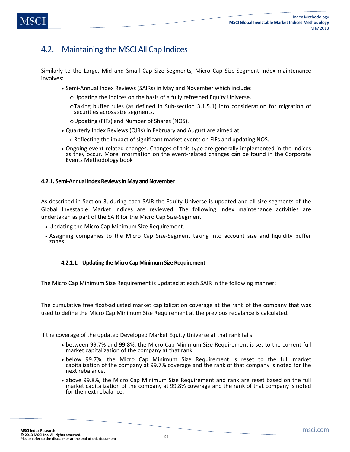# 4.2. Maintaining the MSCI All Cap Indices

Similarly to the Large, Mid and Small Cap Size-Segments, Micro Cap Size-Segment index maintenance involves:

- Semi-Annual Index Reviews (SAIRs) in May and November which include:
	- oUpdating the indices on the basis of a fully refreshed Equity Universe.
	- oTaking buffer rules (as defined in Sub-section 3.1.5.1) into consideration for migration of securities across size segments.
	- oUpdating (FIFs) and Number of Shares (NOS).
- Quarterly Index Reviews (QIRs) in February and August are aimed at:
	- oReflecting the impact of significant market events on FIFs and updating NOS.
- Ongoing event-related changes. Changes of this type are generally implemented in the indices as they occur. More information on the event-related changes can be found in the Corporate Events Methodology book

# **4.2.1. Semi-Annual Index Reviews in May and November**

As described in Section 3, during each SAIR the Equity Universe is updated and all size-segments of the Global Investable Market Indices are reviewed. The following index maintenance activities are undertaken as part of the SAIR for the Micro Cap Size-Segment:

- Updating the Micro Cap Minimum Size Requirement.
- Assigning companies to the Micro Cap Size-Segment taking into account size and liquidity buffer zones.

# **4.2.1.1. Updating the Micro Cap Minimum Size Requirement**

The Micro Cap Minimum Size Requirement is updated at each SAIR in the following manner:

The cumulative free float-adjusted market capitalization coverage at the rank of the company that was used to define the Micro Cap Minimum Size Requirement at the previous rebalance is calculated.

If the coverage of the updated Developed Market Equity Universe at that rank falls:

- between 99.7% and 99.8%, the Micro Cap Minimum Size Requirement is set to the current full market capitalization of the company at that rank.
- below 99.7%, the Micro Cap Minimum Size Requirement is reset to the full market capitalization of the company at 99.7% coverage and the rank of that company is noted for the next rebalance.
- above 99.8%, the Micro Cap Minimum Size Requirement and rank are reset based on the full market capitalization of the company at 99.8% coverage and the rank of that company is noted for the next rebalance.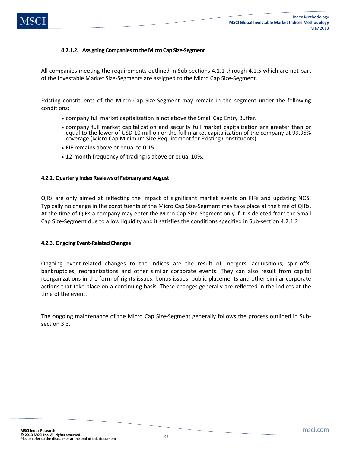# **4.2.1.2. Assigning Companies to the Micro Cap Size-Segment**

All companies meeting the requirements outlined in Sub-sections 4.1.1 through 4.1.5 which are not part of the Investable Market Size-Segments are assigned to the Micro Cap Size-Segment.

Existing constituents of the Micro Cap Size-Segment may remain in the segment under the following conditions:

- company full market capitalization is not above the Small Cap Entry Buffer.
- company full market capitalization and security full market capitalization are greater than or equal to the lower of USD 10 million or the full market capitalization of the company at 99.95% coverage (Micro Cap Minimum Size Requirement for Existing Constituents).
- FIF remains above or equal to 0.15.
- 12-month frequency of trading is above or equal 10%.

### **4.2.2. Quarterly Index Reviews of February and August**

QIRs are only aimed at reflecting the impact of significant market events on FIFs and updating NOS. Typically no change in the constituents of the Micro Cap Size-Segment may take place at the time of QIRs. At the time of QIRs a company may enter the Micro Cap Size-Segment only if it is deleted from the Small Cap Size-Segment due to a low liquidity and it satisfies the conditions specified in Sub-section 4.2.1.2.

### **4.2.3. Ongoing Event-Related Changes**

Ongoing event-related changes to the indices are the result of mergers, acquisitions, spin-offs, bankruptcies, reorganizations and other similar corporate events. They can also result from capital reorganizations in the form of rights issues, bonus issues, public placements and other similar corporate actions that take place on a continuing basis. These changes generally are reflected in the indices at the time of the event.

The ongoing maintenance of the Micro Cap Size-Segment generally follows the process outlined in Subsection 3.3.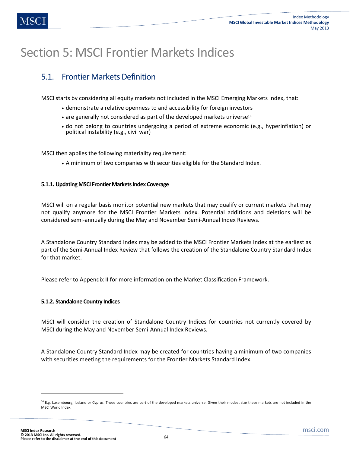# Section 5: MSCI Frontier Markets Indices

# 5.1. Frontier Markets Definition

MSCI starts by considering all equity markets not included in the MSCI Emerging Markets Index, that:

- demonstrate a relative openness to and accessibility for foreign investors
- are generally not considered as part of the developed markets universe<sup>14</sup>
- do not belong to countries undergoing a period of extreme economic (e.g., hyperinflation) or political instability (e.g., civil war)

MSCI then applies the following materiality requirement:

• A minimum of two companies with securities eligible for the Standard Index.

# **5.1.1. Updating MSCI Frontier Markets Index Coverage**

MSCI will on a regular basis monitor potential new markets that may qualify or current markets that may not qualify anymore for the MSCI Frontier Markets Index. Potential additions and deletions will be considered semi-annually during the May and November Semi-Annual Index Reviews.

A Standalone Country Standard Index may be added to the MSCI Frontier Markets Index at the earliest as part of the Semi-Annual Index Review that follows the creation of the Standalone Country Standard Index for that market.

Please refer to Appendix II for more information on the Market Classification Framework.

# **5.1.2. Standalone Country Indices**

MSCI will consider the creation of Standalone Country Indices for countries not currently covered by MSCI during the May and November Semi-Annual Index Reviews.

A Standalone Country Standard Index may be created for countries having a minimum of two companies with securities meeting the requirements for the Frontier Markets Standard Index.

 $\overline{a}$ 

<sup>&</sup>lt;sup>14</sup> E.g. Luxembourg, Iceland or Cyprus. These countries are part of the developed markets universe. Given their modest size these markets are not included in the MSCI World Index.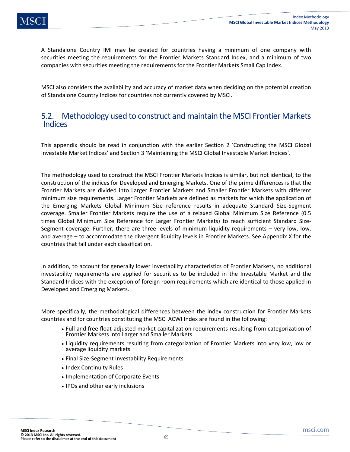A Standalone Country IMI may be created for countries having a minimum of one company with securities meeting the requirements for the Frontier Markets Standard Index, and a minimum of two companies with securities meeting the requirements for the Frontier Markets Small Cap Index.

MSCI also considers the availability and accuracy of market data when deciding on the potential creation of Standalone Country Indices for countries not currently covered by MSCI.

# 5.2. Methodology used to construct and maintain the MSCI Frontier Markets Indices

This appendix should be read in conjunction with the earlier Section 2 'Constructing the MSCI Global Investable Market Indices' and Section 3 'Maintaining the MSCI Global Investable Market Indices'.

The methodology used to construct the MSCI Frontier Markets Indices is similar, but not identical, to the construction of the indices for Developed and Emerging Markets. One of the prime differences is that the Frontier Markets are divided into Larger Frontier Markets and Smaller Frontier Markets with different minimum size requirements. Larger Frontier Markets are defined as markets for which the application of the Emerging Markets Global Minimum Size reference results in adequate Standard Size-Segment coverage. Smaller Frontier Markets require the use of a relaxed Global Minimum Size Reference (0.5 times Global Minimum Size Reference for Larger Frontier Markets) to reach sufficient Standard Size-Segment coverage. Further, there are three levels of minimum liquidity requirements – very low, low, and average – to accommodate the divergent liquidity levels in Frontier Markets. See Appendix X for the countries that fall under each classification.

In addition, to account for generally lower investability characteristics of Frontier Markets, no additional investability requirements are applied for securities to be included in the Investable Market and the Standard Indices with the exception of foreign room requirements which are identical to those applied in Developed and Emerging Markets.

More specifically, the methodological differences between the index construction for Frontier Markets countries and for countries constituting the MSCI ACWI Index are found in the following:

- Full and free float-adjusted market capitalization requirements resulting from categorization of Frontier Markets into Larger and Smaller Markets
- Liquidity requirements resulting from categorization of Frontier Markets into very low, low or average liquidity markets
- Final Size-Segment Investability Requirements
- Index Continuity Rules
- Implementation of Corporate Events
- IPOs and other early inclusions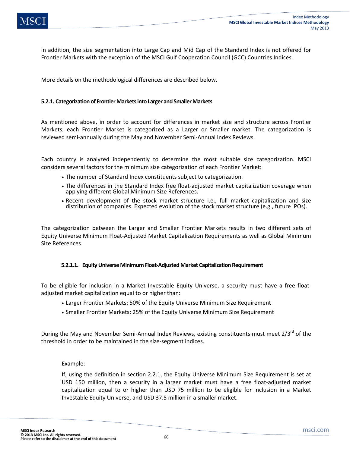In addition, the size segmentation into Large Cap and Mid Cap of the Standard Index is not offered for Frontier Markets with the exception of the MSCI Gulf Cooperation Council (GCC) Countries Indices.

More details on the methodological differences are described below.

### **5.2.1. Categorization of Frontier Markets into Larger and Smaller Markets**

As mentioned above, in order to account for differences in market size and structure across Frontier Markets, each Frontier Market is categorized as a Larger or Smaller market. The categorization is reviewed semi-annually during the May and November Semi-Annual Index Reviews.

Each country is analyzed independently to determine the most suitable size categorization. MSCI considers several factors for the minimum size categorization of each Frontier Market:

- The number of Standard Index constituents subject to categorization.
- The differences in the Standard Index free float-adjusted market capitalization coverage when applying different Global Minimum Size References.
- Recent development of the stock market structure i.e., full market capitalization and size distribution of companies. Expected evolution of the stock market structure (e.g., future IPOs).

The categorization between the Larger and Smaller Frontier Markets results in two different sets of Equity Universe Minimum Float-Adjusted Market Capitalization Requirements as well as Global Minimum Size References.

### **5.2.1.1. Equity Universe Minimum Float-Adjusted Market Capitalization Requirement**

To be eligible for inclusion in a Market Investable Equity Universe, a security must have a free floatadjusted market capitalization equal to or higher than:

- Larger Frontier Markets: 50% of the Equity Universe Minimum Size Requirement
- Smaller Frontier Markets: 25% of the Equity Universe Minimum Size Requirement

During the May and November Semi-Annual Index Reviews, existing constituents must meet  $2/3^{rd}$  of the threshold in order to be maintained in the size-segment indices.

### Example:

If, using the definition in section 2.2.1, the Equity Universe Minimum Size Requirement is set at USD 150 million, then a security in a larger market must have a free float-adjusted market capitalization equal to or higher than USD 75 million to be eligible for inclusion in a Market Investable Equity Universe, and USD 37.5 million in a smaller market.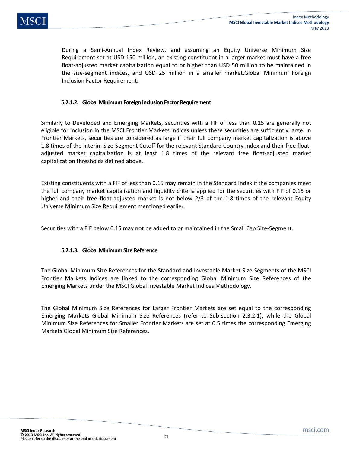During a Semi-Annual Index Review, and assuming an Equity Universe Minimum Size Requirement set at USD 150 million, an existing constituent in a larger market must have a free float-adjusted market capitalization equal to or higher than USD 50 million to be maintained in the size-segment indices, and USD 25 million in a smaller market.Global Minimum Foreign Inclusion Factor Requirement.

# **5.2.1.2. Global Minimum Foreign Inclusion Factor Requirement**

Similarly to Developed and Emerging Markets, securities with a FIF of less than 0.15 are generally not eligible for inclusion in the MSCI Frontier Markets Indices unless these securities are sufficiently large. In Frontier Markets, securities are considered as large if their full company market capitalization is above 1.8 times of the Interim Size-Segment Cutoff for the relevant Standard Country Index and their free floatadjusted market capitalization is at least 1.8 times of the relevant free float-adjusted market capitalization thresholds defined above.

Existing constituents with a FIF of less than 0.15 may remain in the Standard Index if the companies meet the full company market capitalization and liquidity criteria applied for the securities with FIF of 0.15 or higher and their free float-adjusted market is not below 2/3 of the 1.8 times of the relevant Equity Universe Minimum Size Requirement mentioned earlier.

Securities with a FIF below 0.15 may not be added to or maintained in the Small Cap Size-Segment.

# **5.2.1.3. Global Minimum Size Reference**

The Global Minimum Size References for the Standard and Investable Market Size-Segments of the MSCI Frontier Markets Indices are linked to the corresponding Global Minimum Size References of the Emerging Markets under the MSCI Global Investable Market Indices Methodology.

The Global Minimum Size References for Larger Frontier Markets are set equal to the corresponding Emerging Markets Global Minimum Size References (refer to Sub-section 2.3.2.1), while the Global Minimum Size References for Smaller Frontier Markets are set at 0.5 times the corresponding Emerging Markets Global Minimum Size References.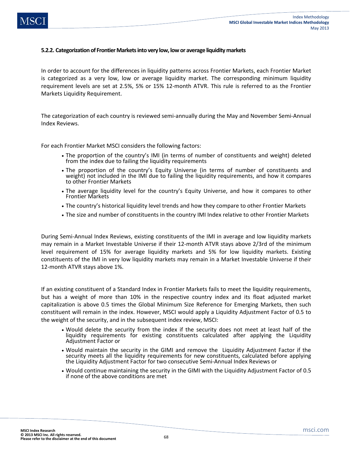### **5.2.2. Categorization of Frontier Markets into very low, low or average liquidity markets**

In order to account for the differences in liquidity patterns across Frontier Markets, each Frontier Market is categorized as a very low, low or average liquidity market. The corresponding minimum liquidity requirement levels are set at 2.5%, 5% or 15% 12-month ATVR. This rule is referred to as the Frontier Markets Liquidity Requirement.

The categorization of each country is reviewed semi-annually during the May and November Semi-Annual Index Reviews.

For each Frontier Market MSCI considers the following factors:

- The proportion of the country's IMI (in terms of number of constituents and weight) deleted from the index due to failing the liquidity requirements
- The proportion of the country's Equity Universe (in terms of number of constituents and weight) not included in the IMI due to failing the liquidity requirements, and how it compares to other Frontier Markets
- The average liquidity level for the country's Equity Universe, and how it compares to other Frontier Markets
- The country's historical liquidity level trends and how they compare to other Frontier Markets
- The size and number of constituents in the country IMI Index relative to other Frontier Markets

During Semi-Annual Index Reviews, existing constituents of the IMI in average and low liquidity markets may remain in a Market Investable Universe if their 12-month ATVR stays above 2/3rd of the minimum level requirement of 15% for average liquidity markets and 5% for low liquidity markets. Existing constituents of the IMI in very low liquidity markets may remain in a Market Investable Universe if their 12-month ATVR stays above 1%.

If an existing constituent of a Standard Index in Frontier Markets fails to meet the liquidity requirements, but has a weight of more than 10% in the respective country index and its float adjusted market capitalization is above 0.5 times the Global Minimum Size Reference for Emerging Markets, then such constituent will remain in the index. However, MSCI would apply a Liquidity Adjustment Factor of 0.5 to the weight of the security, and in the subsequent index review, MSCI:

- Would delete the security from the index if the security does not meet at least half of the liquidity requirements for existing constituents calculated after applying the Liquidity Adjustment Factor or
- Would maintain the security in the GIMI and remove the Liquidity Adjustment Factor if the security meets all the liquidity requirements for new constituents, calculated before applying the Liquidity Adjustment Factor for two consecutive Semi-Annual Index Reviews or
- Would continue maintaining the security in the GIMI with the Liquidity Adjustment Factor of 0.5 if none of the above conditions are met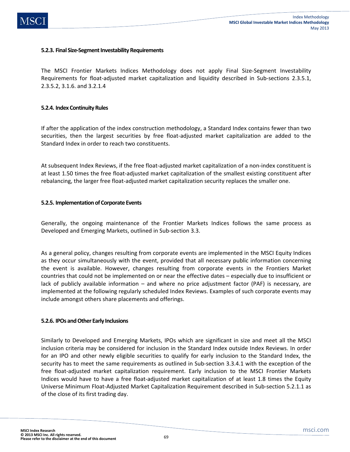### **5.2.3. Final Size-Segment Investability Requirements**

The MSCI Frontier Markets Indices Methodology does not apply Final Size-Segment Investability Requirements for float-adjusted market capitalization and liquidity described in Sub-sections 2.3.5.1, 2.3.5.2, 3.1.6. and 3.2.1.4

### **5.2.4. Index Continuity Rules**

If after the application of the index construction methodology, a Standard Index contains fewer than two securities, then the largest securities by free float-adjusted market capitalization are added to the Standard Index in order to reach two constituents.

At subsequent Index Reviews, if the free float-adjusted market capitalization of a non-index constituent is at least 1.50 times the free float-adjusted market capitalization of the smallest existing constituent after rebalancing, the larger free float-adjusted market capitalization security replaces the smaller one.

### **5.2.5. Implementation of Corporate Events**

Generally, the ongoing maintenance of the Frontier Markets Indices follows the same process as Developed and Emerging Markets, outlined in Sub-section 3.3.

As a general policy, changes resulting from corporate events are implemented in the MSCI Equity Indices as they occur simultaneously with the event, provided that all necessary public information concerning the event is available. However, changes resulting from corporate events in the Frontiers Market countries that could not be implemented on or near the effective dates – especially due to insufficient or lack of publicly available information – and where no price adjustment factor (PAF) is necessary, are implemented at the following regularly scheduled Index Reviews. Examples of such corporate events may include amongst others share placements and offerings.

### **5.2.6. IPOs and Other Early Inclusions**

Similarly to Developed and Emerging Markets, IPOs which are significant in size and meet all the MSCI inclusion criteria may be considered for inclusion in the Standard Index outside Index Reviews. In order for an IPO and other newly eligible securities to qualify for early inclusion to the Standard Index, the security has to meet the same requirements as outlined in Sub-section 3.3.4.1 with the exception of the free float-adjusted market capitalization requirement. Early inclusion to the MSCI Frontier Markets Indices would have to have a free float-adjusted market capitalization of at least 1.8 times the Equity Universe Minimum Float-Adjusted Market Capitalization Requirement described in Sub-section 5.2.1.1 as of the close of its first trading day.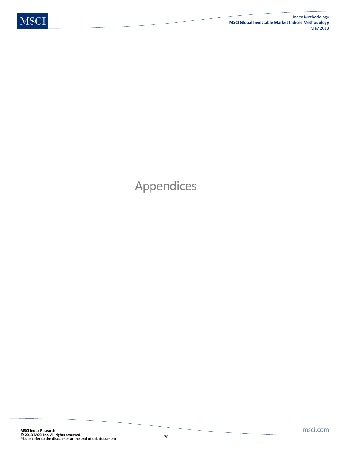# Appendices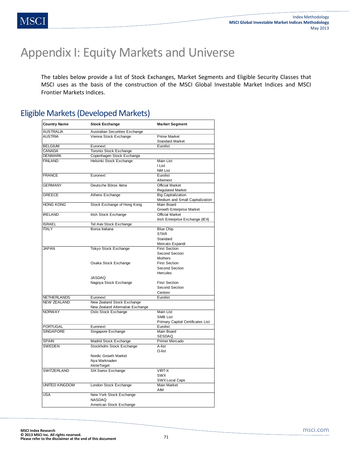# Appendix I: Equity Markets and Universe

The tables below provide a list of Stock Exchanges, Market Segments and Eligible Security Classes that MSCI uses as the basis of the construction of the MSCI Global Investable Market Indices and MSCI Frontier Markets Indices.

# Eligible Markets (Developed Markets)

| <b>Country Name</b> | <b>Stock Exchange</b>                 | <b>Market Segment</b>             |
|---------------------|---------------------------------------|-----------------------------------|
| <b>AUSTRALIA</b>    | <b>Australian Securities Exchange</b> |                                   |
| <b>AUSTRIA</b>      | Vienna Stock Exchange                 | <b>Prime Market</b>               |
|                     |                                       | <b>Standard Market</b>            |
| <b>BELGIUM</b>      | Euronext                              | Eurolist                          |
| CANADA              | <b>Toronto Stock Exchange</b>         |                                   |
| <b>DENMARK</b>      | Copenhagen Stock Exchange             |                                   |
| <b>FINLAND</b>      | <b>Helsinki Stock Exchange</b>        | <b>Main List</b>                  |
|                     |                                       | I List                            |
|                     |                                       | NM List                           |
| <b>FRANCE</b>       | Euronext                              | Eurolist                          |
|                     |                                       | Alternext                         |
| <b>GERMANY</b>      | Deutsche Börse Xetra                  | <b>Official Market</b>            |
|                     |                                       | <b>Regulated Market</b>           |
| <b>GREECE</b>       | Athens Exchange                       | <b>Big Capitalization</b>         |
|                     |                                       | Medium and Small Capitalization   |
| <b>HONG KONG</b>    | Stock Exchange of Hong Kong           | <b>Main Board</b>                 |
|                     |                                       | <b>Growth Enterprise Market</b>   |
| <b>IRELAND</b>      | Irish Stock Exchange                  | <b>Official Market</b>            |
|                     |                                       | Irish Enterprise Exchange (IEX)   |
| <b>ISRAEL</b>       | Tel Aviv Stock Exchange               |                                   |
| <b>ITALY</b>        | Borsa Italiana                        | <b>Blue Chip</b>                  |
|                     |                                       | <b>STAR</b>                       |
|                     |                                       | Standard                          |
|                     |                                       | Mercato Expandi                   |
| <b>JAPAN</b>        | <b>Tokyo Stock Exchange</b>           | <b>First Section</b>              |
|                     |                                       | Second Section                    |
|                     |                                       | <b>Mothers</b>                    |
|                     | Osaka Stock Exchange                  | <b>First Section</b>              |
|                     |                                       | Second Section                    |
|                     |                                       | <b>Hercules</b>                   |
|                     | <b>JASDAQ</b>                         |                                   |
|                     | Nagoya Stock Exchange                 | <b>First Section</b>              |
|                     |                                       | <b>Second Section</b>             |
|                     |                                       | Centrex                           |
| <b>NETHERLANDS</b>  | Euronext                              | Eurolist                          |
| <b>NEW ZEALAND</b>  | New Zealand Stock Exchange            |                                   |
|                     | New Zealand Alternative Exchange      |                                   |
| <b>NORWAY</b>       | Oslo Stock Exchange                   | Main List                         |
|                     |                                       | <b>SMB List</b>                   |
|                     |                                       | Primary Capital Certificates List |
| <b>PORTUGAL</b>     | Euronext                              | Eurolist                          |
| <b>SINGAPORE</b>    | Singapore Exchange                    | Main Board                        |
|                     |                                       | SESDAQ                            |
| <b>SPAIN</b>        | Madrid Stock Exchange                 | <b>Primer Mercado</b>             |
| <b>SWEDEN</b>       | Stockholm Stock Exchange              | A-list<br>O-list                  |
|                     | Nordic Growth Market                  |                                   |
|                     | Nya Marknaden                         |                                   |
|                     | AktieTorget                           |                                   |
| SWITZERLAND         | SIX Swiss Exchange                    | <b>VIRT-X</b>                     |
|                     |                                       | <b>SWX</b>                        |
|                     |                                       | <b>SWX Local Caps</b>             |
| UNITED KINGDOM      | London Stock Exchange                 | <b>Main Market</b>                |
|                     |                                       | AIM                               |
| <b>USA</b>          | New York Stock Exchange               |                                   |
|                     | NASDAQ                                |                                   |
|                     | American Stock Exchange               |                                   |
|                     |                                       |                                   |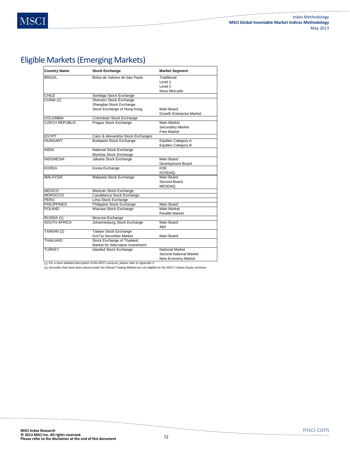# Eligible Markets (Emerging Markets)

| <b>Country Name</b>   | <b>Stock Exchange</b>              | <b>Market Segment</b>           |
|-----------------------|------------------------------------|---------------------------------|
| <b>BRAZIL</b>         | Bolsa de Valores de Sao Paulo      | Traditional                     |
|                       |                                    | Level 1                         |
|                       |                                    | Level 2                         |
|                       |                                    | Novo Mercado                    |
| <b>CHILE</b>          | Santiago Stock Exchange            |                                 |
| CHINA (1)             | Shenzen Stock Exchange             |                                 |
|                       | Shanghai Stock Exchange            |                                 |
|                       | Stock Exchange of Hong Kong        | Main Board                      |
|                       |                                    | <b>Growth Enterprise Market</b> |
| <b>COLOMBIA</b>       | Colombian Stock Exchange           |                                 |
| <b>CZECH REPUBLIC</b> | Prague Stock Exchange              | Main Market                     |
|                       |                                    | Secondary Market                |
|                       |                                    | <b>Free Market</b>              |
| <b>EGYPT</b>          | Cairo & Alexandria Stock Exchanges |                                 |
| <b>HUNGARY</b>        | <b>Budapest Stock Exchange</b>     | <b>Equities Category A</b>      |
|                       |                                    | <b>Equities Category B</b>      |
| <b>INDIA</b>          | National Stock Exchange            |                                 |
|                       | Mumbai Stock Exchange              |                                 |
| <b>INDONESIA</b>      | Jakarta Stock Exchange             | Main Board                      |
|                       |                                    | Development Board               |
| <b>KOREA</b>          | Korea Exchange                     | <b>KSE</b>                      |
|                       |                                    | KOSDAQ                          |
| <b>MALAYSIA</b>       | Malaysia Stock Exchange            | Main Board                      |
|                       |                                    | Second Board                    |
|                       |                                    | <b>MESDAQ</b>                   |
| <b>MEXICO</b>         | Mexican Stock Exchange             |                                 |
| <b>MOROCCO</b>        | Casablanca Stock Exchange          |                                 |
| PERU                  | Lima Stock Exchange                |                                 |
| <b>PHILIPPINES</b>    | Philippine Stock Exchange          | Main Board                      |
| POI AND               | Warsaw Stock Exchange              | <b>Main Market</b>              |
|                       |                                    | <b>Parallel Market</b>          |
| RUSSIA (1)            | Moscow Exchange                    |                                 |
| <b>SOUTH AFRICA</b>   | Johannesburg Stock Exchange        | Main Board                      |
|                       |                                    | AltX                            |
| TAIWAN (2)            | Taiwan Stock Exchange              |                                 |
|                       | GreTai Securities Market           | Main Board                      |
| THAILAND              | Stock Exchange of Thailand         |                                 |
|                       | Market for Alternative Investment  |                                 |
| <b>TURKEY</b>         | Istanbul Stock Exchange            | National Market                 |
|                       |                                    | Second National Market          |
|                       |                                    | <b>New Economy Market</b>       |

(1) *For a more detailed description of the MSCI universe, please refer to Appendix II*

(2) *Securities that have been placed under the Altered Trading Method are not eligible for the MSCI Taiwan Equity Universe*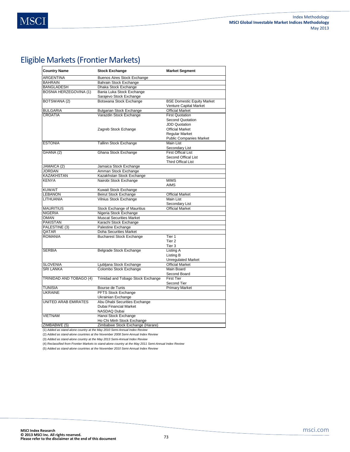# Eligible Markets (Frontier Markets)

| <b>Country Name</b>           | <b>Stock Exchange</b>                                | <b>Market Segment</b>                                       |
|-------------------------------|------------------------------------------------------|-------------------------------------------------------------|
| ARGENTINA                     | Buenos Aires Stock Exchange                          |                                                             |
| <b>BAHRAIN</b>                | Bahrain Stock Exchange                               |                                                             |
| <b>BANGLADESH</b>             | Dhaka Stock Exchange                                 |                                                             |
| <b>BOSNIA HERZEGOVINA (1)</b> | Bania Luka Stock Exchange<br>Sarajevo Stock Exchange |                                                             |
| BOTSWANA (2)                  | Botswana Stock Exchange                              | <b>BSE Domestic Equity Market</b><br>Venture Capital Market |
| <b>BULGARIA</b>               | <b>Bulgarian Stock Exchange</b>                      | <b>Official Market</b>                                      |
| <b>CROATIA</b>                | Varazdin Stock Exchange                              | <b>First Quotation</b>                                      |
|                               |                                                      | Second Quotation                                            |
|                               |                                                      | <b>JDD Quotation</b>                                        |
|                               | Zagreb Stock Echange                                 | <b>Official Market</b>                                      |
|                               |                                                      | <b>Regular Market</b>                                       |
|                               |                                                      | <b>Public Companies Market</b>                              |
| <b>ESTONIA</b>                | <b>Tallinn Stock Exchange</b>                        | <b>Main List</b>                                            |
|                               |                                                      | Secondary List                                              |
| GHANA (2)                     | Ghana Stock Exchange                                 | <b>First Offical List</b>                                   |
|                               |                                                      | Second Offical List                                         |
|                               |                                                      | <b>Third Offical List</b>                                   |
| JAMAICA (2)                   | Jamaica Stock Exchange                               |                                                             |
| <b>JORDAN</b>                 | Amman Stock Exchange                                 |                                                             |
| <b>KAZAKHSTAN</b>             | Kazakhstan Stock Exchange                            |                                                             |
| <b>KENYA</b>                  | Nairobi Stock Exchange                               | <b>MIMS</b><br><b>AIMS</b>                                  |
| <b>KUWAIT</b>                 | Kuwait Stock Exchange                                |                                                             |
| <b>LEBANON</b>                | <b>Beirut Stock Exchange</b>                         | <b>Official Market</b>                                      |
| LITHUANIA                     | Vilnius Stock Exchange                               | <b>Main List</b>                                            |
|                               |                                                      | Secondary List                                              |
| <b>MAURITIUS</b>              | <b>Stock Exchange of Mauritius</b>                   | <b>Official Market</b>                                      |
| <b>NIGERIA</b>                | Nigeria Stock Exchange                               |                                                             |
| <b>OMAN</b>                   | <b>Muscat Securities Market</b>                      |                                                             |
| <b>PAKISTAN</b>               | Karachi Stock Exchange                               |                                                             |
| PALESTINE (3)                 | Palestine Exchange                                   |                                                             |
| QATAR<br><b>ROMANIA</b>       | Doha Securities Market                               |                                                             |
|                               | <b>Bucharest Stock Exchange</b>                      | Tier 1<br>Tier <sub>2</sub>                                 |
|                               |                                                      | Tier 3                                                      |
| <b>SERBIA</b>                 | Belgrade Stock Exchange                              | Listing A                                                   |
|                               |                                                      | Listing B                                                   |
|                               |                                                      | <b>Unregulated Market</b>                                   |
| <b>SLOVENIA</b>               | Ljubljana Stock Exchange                             | <b>Official Market</b>                                      |
| <b>SRI LANKA</b>              | Colombo Stock Exchange                               | Main Board                                                  |
|                               |                                                      | Second Board                                                |
| TRINIDAD AND TOBAGO (4)       | Trinidad and Tobago Stock Exchange                   | <b>First Tier</b>                                           |
|                               |                                                      | Second Tier                                                 |
| <b>TUNISIA</b>                | Bourse de Tunis                                      | <b>Primary Market</b>                                       |
| <b>UKRAINE</b>                | PFTS Stock Exchange                                  |                                                             |
|                               | Ukrainian Exchange                                   |                                                             |
| <b>UNITED ARAB EMIRATES</b>   | Abu Dhabi Securities Exchange                        |                                                             |
|                               | Dubai Financial Market                               |                                                             |
|                               | NASDAQ Dubai                                         |                                                             |
| <b>VIETNAM</b>                | Hanoi Stock Exchange                                 |                                                             |
|                               | Ho Chi Minh Stock Exchange                           |                                                             |
| ZIMBABWE (5)                  | Zimbabwe Stock Exchange (Harare)<br>and Anniellador  |                                                             |

(1) *Added as stand-alone country at the May 2010 Semi-Annual Index Review* (2) *Added as stand-alone countries at the November 2008 Semi-Annual Index Review*

(3) *Added as stand-alone country at the May 2013 Semi-Annual Index Review*

(4) *Reclassified from Frontier Markets to stand-alone country at the May 2011 Semi-Annual Index Review*

(5) *Added as stand-alone countries at the November 2010 Semi-Annual Index Review*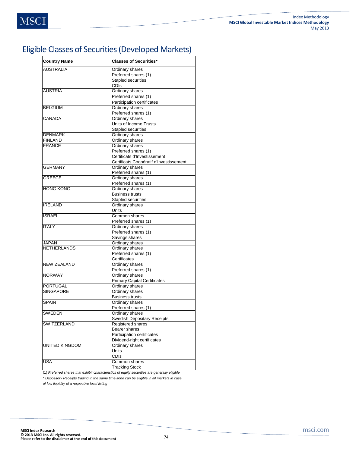# Eligible Classes of Securities (Developed Markets)

| <b>Country Name</b>   | <b>Classes of Securities*</b>           |
|-----------------------|-----------------------------------------|
| <b>AUSTRALIA</b>      | Ordinary shares                         |
|                       | Preferred shares (1)                    |
|                       | <b>Stapled securities</b>               |
|                       | <b>CDIs</b>                             |
| <b>AUSTRIA</b>        | Ordinary shares                         |
|                       | Preferred shares (1)                    |
|                       | Participation certificates              |
| <b>BELGIUM</b>        | Ordinary shares                         |
|                       | Preferred shares (1)                    |
| CANADA                | Ordinary shares                         |
|                       | Units of Income Trusts                  |
|                       | Stapled securities                      |
| <b>DENMARK</b>        | Ordinary shares                         |
| <b>FINLAND</b>        | Ordinary shares                         |
| <b>FRANCE</b>         | Ordinary shares                         |
|                       | Preferred shares (1)                    |
|                       | Certificats d'Investissement            |
|                       | Certificats Coopératif d'Investissement |
| <b>GERMANY</b>        | Ordinary shares                         |
|                       | Preferred shares (1)                    |
| GREECE                | Ordinary shares                         |
|                       | Preferred shares (1)                    |
| <b>HONG KONG</b>      | Ordinary shares                         |
|                       | <b>Business trusts</b>                  |
|                       | <b>Stapled securities</b>               |
| <b>IRELAND</b>        | Ordinary shares                         |
|                       | <b>Units</b>                            |
| <b>ISRAEL</b>         | Common shares                           |
|                       | Preferred shares (1)                    |
| <b>ITALY</b>          | Ordinary shares                         |
|                       | Preferred shares (1)                    |
|                       | Savings shares                          |
| <b>JAPAN</b>          | Ordinary shares                         |
| <b>NETHERLANDS</b>    | Ordinary shares                         |
|                       | Preferred shares (1)                    |
|                       | Certificates                            |
| <b>NEW ZEALAND</b>    | Ordinary shares                         |
|                       | Preferred shares (1)                    |
| <b>NORWAY</b>         | Ordinary shares                         |
|                       | <b>Primary Capital Certificates</b>     |
| PORTUGAL              | Ordinary shares                         |
| <b>SINGAPORE</b>      | Ordinary shares                         |
|                       | <b>Business trusts</b>                  |
| <b>SPAIN</b>          | Ordinary shares                         |
|                       | Preferred shares (1)                    |
| SWEDEN                | Ordinary shares                         |
|                       | Swedish Depositary Receipts             |
| <b>SWITZERLAND</b>    | Registered shares                       |
|                       | Bearer shares                           |
|                       | Participation certificates              |
|                       | Dividend-right certificates             |
| <b>UNITED KINGDOM</b> | Ordinary shares                         |
|                       | <b>Units</b>                            |
|                       |                                         |
|                       | <b>CDIs</b>                             |
| USA                   | Common shares                           |
|                       | <b>Tracking Stock</b>                   |

(1) *Preferred shares that exhibit characteristics of equity securities are generally eligible*

*\* Depository Receipts trading in the same time-zone can be eligible in all markets in case* 

*of low liquidity of a respective local listing*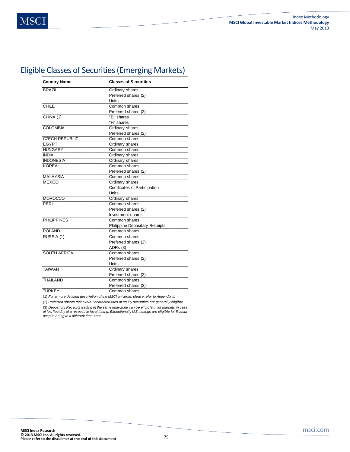## Eligible Classes of Securities (Emerging Markets)

| <b>Country Name</b>   | <b>Classes of Securities</b>          |
|-----------------------|---------------------------------------|
| <b>BRAZIL</b>         | Ordinary shares                       |
|                       | Preferred shares (2)                  |
|                       | Units                                 |
| CHILE                 | Common shares                         |
|                       | Preferred shares (2)                  |
| CHINA (1)             | "B" shares                            |
|                       | "H" shares                            |
| <b>COLOMBIA</b>       | Ordinary shares                       |
|                       | Preferred shares (2)                  |
| <b>CZECH REPUBLIC</b> | Common shares                         |
| <b>EGYPT</b>          | Ordinary shares                       |
| <b>HUNGARY</b>        | Common shares                         |
| <b>INDIA</b>          | Ordinary shares                       |
| <b>INDONESIA</b>      | Ordinary shares                       |
| <b>KOREA</b>          | Common shares                         |
|                       | Preferred shares (2)                  |
| <b>MALAYSIA</b>       | Common shares                         |
| <b>MEXICO</b>         | Ordinary shares                       |
|                       | Certificates of Participation         |
|                       | Units                                 |
| <b>MOROCCO</b>        | Ordinary shares                       |
| PERU                  | Common shares                         |
|                       | Preferred shares (2)                  |
|                       | Investment shares                     |
| <b>PHILIPPINES</b>    | Common shares                         |
|                       | <b>Philippine Depositary Receipts</b> |
| <b>POLAND</b>         | Common shares                         |
| RUSSIA (1)            | Common shares                         |
|                       | Preferred shares (2)                  |
|                       | ADRs (3)                              |
| <b>SOUTH AFRICA</b>   | Common shares                         |
|                       | Preferred shares (2)                  |
|                       | Units                                 |
| <b>TAIWAN</b>         | Ordinary shares                       |
|                       | Preferred shares (2)                  |
| <b>THAILAND</b>       | Common shares                         |
|                       | Preferred shares (2)                  |
| <b>TURKEY</b>         | Common shares                         |

(1) *For a more detailed description of the MSCI universe, please refer to Appendix III*

(2) *Preferred shares that exhibit characteristics of equity securities are generally eligible*

(3) *Depository Receipts trading in the same time-zone can be eligible in all markets in case of low liquidity of a respective local listing. Exceptionally U.S. listings are eligible for Russia despite being in a different time-zone.*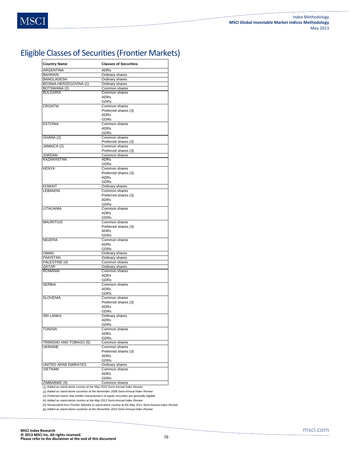# Eligible Classes of Securities (Frontier Markets)

| <b>Country Name</b>     | <b>Classes of Securities</b> |
|-------------------------|------------------------------|
| ARGENTINA               | <b>ADRs</b>                  |
| <b>BAHRAIN</b>          | Ordinary shares              |
| <b>BANGLADESH</b>       | Ordinary shares              |
| BOSNIA-HERZEGOVINA (1)  | Ordinary shares              |
| BOTSWANA (2)            | Common shares                |
| <b>BULGARIA</b>         | Common shares                |
|                         | <b>ADRs</b>                  |
|                         | GDRs                         |
| <b>CROATIA</b>          | Common shares                |
|                         | Preferred shares (3)         |
|                         | <b>ADRs</b>                  |
|                         | <b>GDRs</b>                  |
| <b>ESTONIA</b>          | Common shares                |
|                         | <b>ADRs</b>                  |
|                         | GDRs                         |
| GHANA (2)               | Common shares                |
|                         | Preferred shares (3)         |
|                         | Common shares                |
| JAMAICA (2)             |                              |
|                         | Preferred shares (3)         |
| <b>JORDAN</b>           | Common shares                |
| <b>KAZAKHSTAN</b>       | <b>ADRs</b>                  |
|                         | GDRs                         |
| <b>KENYA</b>            | Common shares                |
|                         | Preferred shares (3)         |
|                         | <b>ADRs</b>                  |
|                         | GDRs                         |
| <b>KUWAIT</b>           | Ordinary shares              |
| <b>LEBANON</b>          | Common shares                |
|                         | Preferred shares (3)         |
|                         | <b>ADRs</b>                  |
|                         | <b>GDRs</b>                  |
| <b>LITHUANIA</b>        | Common shares                |
|                         | <b>ADRs</b>                  |
|                         | <b>GDRs</b>                  |
| <b>MAURITIUS</b>        | Common shares                |
|                         | Preferred shares (3)         |
|                         | ADRs                         |
|                         | GDRs                         |
| <b>NIGERIA</b>          | Common shares                |
|                         | <b>ADRs</b>                  |
|                         | GDRs                         |
| <b>OMAN</b>             | Ordinary shares              |
| PAKISTAN                | Ordinary shares              |
| PALESTINE (4)           | Common shares                |
| QATAR                   | Ordinary shares              |
| <b>ROMANIA</b>          | Common shares                |
|                         | <b>ADRs</b>                  |
|                         | <b>GDRs</b>                  |
| <b>SERBIA</b>           | Common shares                |
|                         | <b>ADRs</b>                  |
|                         | GDRs                         |
| <b>SLOVENIA</b>         | Common shares                |
|                         |                              |
|                         | Preferred shares (3)         |
|                         | ADRs                         |
|                         | GDRs                         |
| SRI LANKA               | Ordinary shares              |
|                         | <b>ADRs</b>                  |
|                         | <b>GDRs</b>                  |
| <b>TUNISIA</b>          | Common shares                |
|                         | <b>ADRs</b>                  |
|                         | <b>GDRs</b>                  |
| TRINIDAD AND TOBAGO (5) | Common shares                |
| <b>UKRAINE</b>          | Common shares                |
|                         | Preferred shares (3)         |
|                         | ADRs                         |
|                         | GDRs                         |
| UNITED ARAB EMIRATES    | Ordinary shares              |
| <b>VIETNAM</b>          | Common shares                |
|                         | <b>ADRs</b>                  |
|                         | GDRs                         |
| ZIMBABWE (6)            | Common shares                |
|                         |                              |

(1) *Added as stand-alone country at the May 2010 Semi-Annual Index Review*

(2) *Added as stand-alone countries at the November 2008 Semi-Annual Index Review*

(3) *Preferred shares that exhibit characteristics of equity securities are generally eligible*

(4) *Added as stand-alone country at the May 2013 Semi-Annual Index Review*

(5) *Reclassified from Frontier Markets to stand-alone country at the May 2011 Semi-Annual Index Review* (6) *Added as stand-alone countries at the November 2010 Semi-Annual Index Review*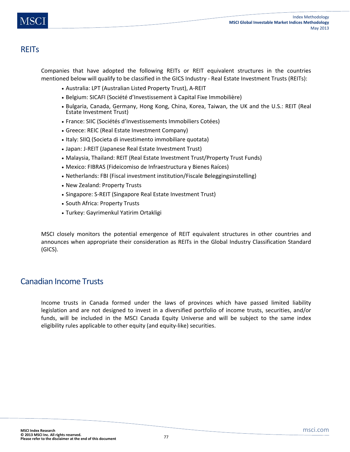## **REIT<sub>S</sub>**

Companies that have adopted the following REITs or REIT equivalent structures in the countries mentioned below will qualify to be classified in the GICS Industry - Real Estate Investment Trusts (REITs):

- Australia: LPT (Australian Listed Property Trust), A-REIT
- Belgium: SICAFI (Société d'Investissement à Capital Fixe Immobilière)
- Bulgaria, Canada, Germany, Hong Kong, China, Korea, Taiwan, the UK and the U.S.: REIT (Real Estate Investment Trust)
- France: SIIC (Sociétés d'Investissements Immobiliers Cotées)
- Greece: REIC (Real Estate Investment Company)
- Italy: SIIQ (Societa di investimento immobiliare quotata)
- Japan: J-REIT (Japanese Real Estate Investment Trust)
- Malaysia, Thailand: REIT (Real Estate Investment Trust/Property Trust Funds)
- Mexico: FIBRAS (Fideicomiso de Infraestructura y Bienes Raíces)
- Netherlands: FBI (Fiscal investment institution/Fiscale Beleggingsinstelling)
- New Zealand: Property Trusts
- Singapore: S-REIT (Singapore Real Estate Investment Trust)
- South Africa: Property Trusts
- Turkey: Gayrimenkul Yatirim Ortakligi

MSCI closely monitors the potential emergence of REIT equivalent structures in other countries and announces when appropriate their consideration as REITs in the Global Industry Classification Standard (GICS).

## Canadian Income Trusts

Income trusts in Canada formed under the laws of provinces which have passed limited liability legislation and are not designed to invest in a diversified portfolio of income trusts, securities, and/or funds, will be included in the MSCI Canada Equity Universe and will be subject to the same index eligibility rules applicable to other equity (and equity-like) securities.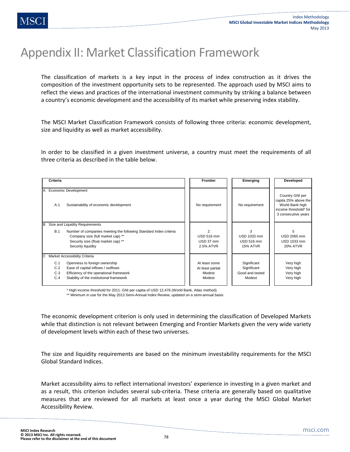# Appendix II: Market Classification Framework

The classification of markets is a key input in the process of index construction as it drives the composition of the investment opportunity sets to be represented. The approach used by MSCI aims to reflect the views and practices of the international investment community by striking a balance between a country's economic development and the accessibility of its market while preserving index stability.

The MSCI Market Classification Framework consists of following three criteria: economic development, size and liquidity as well as market accessibility.

In order to be classified in a given investment universe, a country must meet the requirements of all three criteria as described in the table below.

| Criteria                                                                                                                                                                                                                  | <b>Frontier</b>                                       | Emerging                                                | Developed                                                                                                  |
|---------------------------------------------------------------------------------------------------------------------------------------------------------------------------------------------------------------------------|-------------------------------------------------------|---------------------------------------------------------|------------------------------------------------------------------------------------------------------------|
| <b>Economic Development</b><br>IA.<br>Sustainability of economic development<br>A.1                                                                                                                                       | No requirement                                        | No requirement                                          | Country GNI per<br>capita 25% above the<br>World Bank high<br>income threshold* for<br>3 consecutive years |
| Size and Liquidity Requirements<br>ΙB<br>B.1<br>Number of companies meeting the following Standard Index criteria<br>Company size (full market cap) **<br>Security size (float market cap) **<br>Security liquidity       | っ<br><b>USD 516 mm</b><br>USD 37 mm<br>2.5% ATVR      | USD 1033 mm<br><b>USD 516 mm</b><br><b>15% ATVR</b>     | 5<br>USD 2065 mm<br>USD 1033 mm<br><b>20% ATVR</b>                                                         |
| C Market Accessibility Criteria<br>C.1<br>Openness to foreign ownership<br>C.2<br>Ease of capital inflows / outflows<br>Efficiency of the operational framework<br>C.3<br>C.4<br>Stability of the institutional framework | At least some<br>At least partial<br>Modest<br>Modest | Significant<br>Significant<br>Good and tested<br>Modest | Very high<br>Very high<br>Very high<br>Very high                                                           |

\* High income threshold for 2011: GNI per capita of USD 12,476 (World Bank, Atlas method)

\*\* Minimum in use for the May 2013 Semi-Annual Index Review, updated on a semi-annual basis

The economic development criterion is only used in determining the classification of Developed Markets while that distinction is not relevant between Emerging and Frontier Markets given the very wide variety of development levels within each of these two universes.

The size and liquidity requirements are based on the minimum investability requirements for the MSCI Global Standard Indices.

Market accessibility aims to reflect international investors' experience in investing in a given market and as a result, this criterion includes several sub-criteria. These criteria are generally based on qualitative measures that are reviewed for all markets at least once a year during the MSCI Global Market Accessibility Review.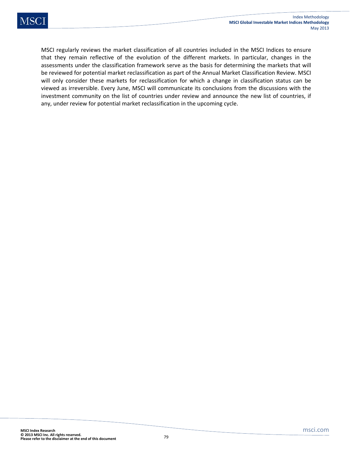MSCI regularly reviews the market classification of all countries included in the MSCI Indices to ensure that they remain reflective of the evolution of the different markets. In particular, changes in the assessments under the classification framework serve as the basis for determining the markets that will be reviewed for potential market reclassification as part of the Annual Market Classification Review. MSCI will only consider these markets for reclassification for which a change in classification status can be viewed as irreversible. Every June, MSCI will communicate its conclusions from the discussions with the investment community on the list of countries under review and announce the new list of countries, if any, under review for potential market reclassification in the upcoming cycle.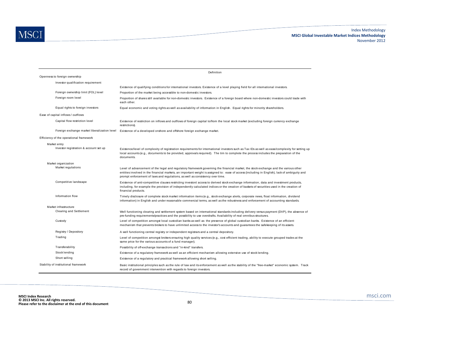|                                              | Definition                                                                                                                                                                                                                                                                                                                                                           |
|----------------------------------------------|----------------------------------------------------------------------------------------------------------------------------------------------------------------------------------------------------------------------------------------------------------------------------------------------------------------------------------------------------------------------|
| Openness to foreign ownership                |                                                                                                                                                                                                                                                                                                                                                                      |
| Investor qualification requirement           |                                                                                                                                                                                                                                                                                                                                                                      |
|                                              | Existence of qualifying conditions for international investors. Existence of a level playing field for all international investors.                                                                                                                                                                                                                                  |
| Foreign ownership limit (FOL) level          | Proportion of the market being accessible to non-domestic investors.                                                                                                                                                                                                                                                                                                 |
| Foreign room level                           | Proportion of shares still available for non-domestic investors. Existence of a foreign board where non-domestic investors could trade with<br>each other.                                                                                                                                                                                                           |
| Equal rights to foreign investors            | Equal economic and voting rights as well as availability of information in English. Equal rights for minority shareholders.                                                                                                                                                                                                                                          |
| Ease of capital inflows / outflows           |                                                                                                                                                                                                                                                                                                                                                                      |
| Capital flow restriction level               | Existence of restriction on inflows and outflows of foreign capital to/from the local stock market (excluding foreign currency exchange<br>restrictions).                                                                                                                                                                                                            |
| Foreign exchange market liberalization level | Existence of a developed onshore and offshore foreign exchange market.                                                                                                                                                                                                                                                                                               |
| Efficiency of the operational framework      |                                                                                                                                                                                                                                                                                                                                                                      |
| Market entry                                 |                                                                                                                                                                                                                                                                                                                                                                      |
| Investor registration & account set up       | Existence/level of complexity of registration requirements for international investors such as Tax IDs as well as ease/complexity for setting up<br>local accounts (e.g., documents to be provided, approvals required). The tim to complete the process includes the preparation of the<br>documents.                                                               |
| Market organization                          |                                                                                                                                                                                                                                                                                                                                                                      |
| Market regulations                           | Level of advancement of the legal and regulatory framework governing the financial market, the stock exchange and the various other<br>entities involved in the financial markets, an important weight is assigned to: ease of access (including in English), lack of ambiguity and<br>prompt enforcement of laws and regulations, as well as consistency over time. |
| Competitive landscape                        | Existence of anti-competitive clauses restricting investors' access to derived stock exchange information, data and investment products,<br>including, for example the provision of independently calculated indices or the creation of baskets of securities used in the creation of<br>financial products.                                                         |
| Information flow                             | Timely disclosure of complete stock market information items (e.g., stock exchange alerts, corporate news, float information, dividend<br>information) in English and under reasonable commercial terms, as well as the robustness and enforcement of accounting standards.                                                                                          |
| Market infrastructure                        |                                                                                                                                                                                                                                                                                                                                                                      |
| Clearing and Settlement                      | Well functioning clearing and settlement system based on international standards including delivery versus payment (DVP), the absence of<br>pre-funding requirements/practices and the possibility to use overdrafts. Availability of real omnibus structures.                                                                                                       |
| Custody                                      | Level of competition amongst local custodian banks as well as the presence of global custodian banks. Existence of an efficient<br>mechanism that prevents brokers to have unlimited access to the investor's accounts and guarantees the safekeeping of its assets.                                                                                                 |
| Registry / Depository                        | A well functioning central registry or independent registrars and a central depository.                                                                                                                                                                                                                                                                              |
| Trading                                      | Level of competition amongst brokers ensuring high quality services (e.g., cost efficient trading, ability to execute grouped trades at the<br>same price for the various accounts of a fund manager).                                                                                                                                                               |
| Transferability                              | Possibility of off-exchange transactions and "in-kind" transfers.                                                                                                                                                                                                                                                                                                    |
| Stock lending                                | Existence of a regulatory framework as well as an efficient mechanism allowing extensive use of stock lending.                                                                                                                                                                                                                                                       |
| Short selling                                | Existence of a regulatory and practical framework allowing short selling.                                                                                                                                                                                                                                                                                            |
| Stability of institutional framework         | Basic institutional principles such as the rule of law and its enforcement as well as the stability of the "free-market" economic system. Track<br>record of government intervention with regards to foreign investors.                                                                                                                                              |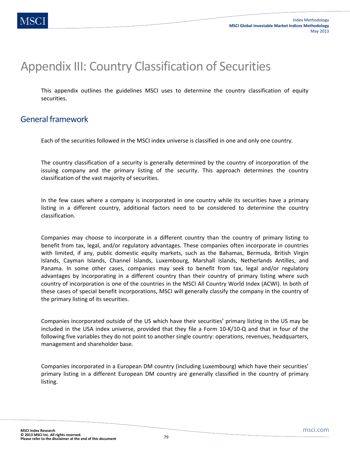# Appendix III: Country Classification of Securities

This appendix outlines the guidelines MSCI uses to determine the country classification of equity securities.

## General framework

Each of the securities followed in the MSCI index universe is classified in one and only one country.

The country classification of a security is generally determined by the country of incorporation of the issuing company and the primary listing of the security. This approach determines the country classification of the vast majority of securities.

In the few cases where a company is incorporated in one country while its securities have a primary listing in a different country, additional factors need to be considered to determine the country classification.

Companies may choose to incorporate in a different country than the country of primary listing to benefit from tax, legal, and/or regulatory advantages. These companies often incorporate in countries with limited, if any, public domestic equity markets, such as the Bahamas, Bermuda, British Virgin Islands, Cayman Islands, Channel Islands, Luxembourg, Marshall Islands, Netherlands Antilles, and Panama. In some other cases, companies may seek to benefit from tax, legal and/or regulatory advantages by incorporating in a different country than their country of primary listing where such country of incorporation is one of the countries in the MSCI All Country World Index (ACWI). In both of these cases of special benefit incorporations, MSCI will generally classify the company in the country of the primary listing of its securities.

Companies incorporated outside of the US which have their securities' primary listing in the US may be included in the USA index universe, provided that they file a Form 10-K/10-Q and that in four of the following five variables they do not point to another single country: operations, revenues, headquarters, management and shareholder base.

Companies incorporated in a European DM country (including Luxembourg) which have their securities' primary listing in a different European DM country are generally classified in the country of primary listing.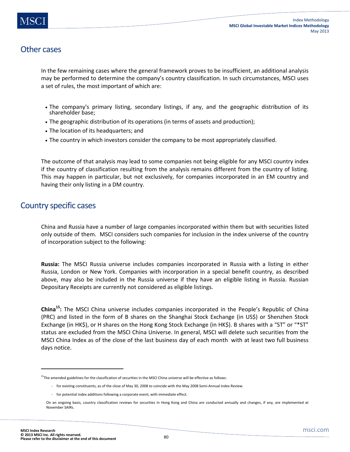## Other cases

In the few remaining cases where the general framework proves to be insufficient, an additional analysis may be performed to determine the company's country classification. In such circumstances, MSCI uses a set of rules, the most important of which are:

- The company's primary listing, secondary listings, if any, and the geographic distribution of its shareholder base;
- The geographic distribution of its operations (in terms of assets and production);
- The location of its headquarters; and
- The country in which investors consider the company to be most appropriately classified.

The outcome of that analysis may lead to some companies not being eligible for any MSCI country index if the country of classification resulting from the analysis remains different from the country of listing. This may happen in particular, but not exclusively, for companies incorporated in an EM country and having their only listing in a DM country.

## Country specific cases

China and Russia have a number of large companies incorporated within them but with securities listed only outside of them. MSCI considers such companies for inclusion in the index universe of the country of incorporation subject to the following:

**Russia:** The MSCI Russia universe includes companies incorporated in Russia with a listing in either Russia, London or New York. Companies with incorporation in a special benefit country, as described above, may also be included in the Russia universe if they have an eligible listing in Russia. Russian Depositary Receipts are currently not considered as eligible listings.

**China15:** The MSCI China universe includes companies incorporated in the People's Republic of China (PRC) and listed in the form of B shares on the Shanghai Stock Exchange (in US\$) or Shenzhen Stock Exchange (in HK\$), or H shares on the Hong Kong Stock Exchange (in HK\$). B shares with a "ST" or "\*ST" status are excluded from the MSCI China Universe. In general, MSCI will delete such securities from the MSCI China Index as of the close of the last business day of each month with at least two full business days notice.

**.** 

 $15$ The amended guidelines for the classification of securities in the MSCI China universe will be effective as follows:

<sup>-</sup> for existing constituents, as of the close of May 30, 2008 to coincide with the May 2008 Semi-Annual Index Review.

<sup>-</sup> for potential index additions following a corporate event, with immediate effect.

On an ongoing basis, country classification reviews for securities in Hong Kong and China are conducted annually and changes, if any, are implemented at November SAIRs.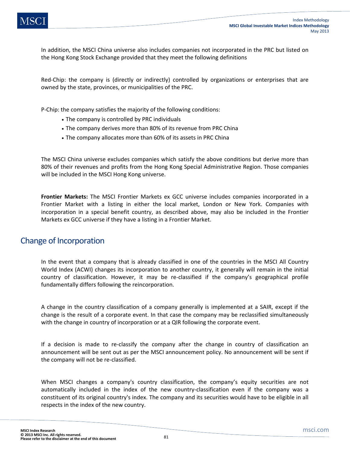In addition, the MSCI China universe also includes companies not incorporated in the PRC but listed on the Hong Kong Stock Exchange provided that they meet the following definitions

Red-Chip: the company is (directly or indirectly) controlled by organizations or enterprises that are owned by the state, provinces, or municipalities of the PRC.

P-Chip: the company satisfies the majority of the following conditions:

- The company is controlled by PRC individuals
- The company derives more than 80% of its revenue from PRC China
- The company allocates more than 60% of its assets in PRC China

The MSCI China universe excludes companies which satisfy the above conditions but derive more than 80% of their revenues and profits from the Hong Kong Special Administrative Region. Those companies will be included in the MSCI Hong Kong universe.

**Frontier Markets:** The MSCI Frontier Markets ex GCC universe includes companies incorporated in a Frontier Market with a listing in either the local market, London or New York. Companies with incorporation in a special benefit country, as described above, may also be included in the Frontier Markets ex GCC universe if they have a listing in a Frontier Market.

### Change of Incorporation

In the event that a company that is already classified in one of the countries in the MSCI All Country World Index (ACWI) changes its incorporation to another country, it generally will remain in the initial country of classification. However, it may be re-classified if the company's geographical profile fundamentally differs following the reincorporation.

A change in the country classification of a company generally is implemented at a SAIR, except if the change is the result of a corporate event. In that case the company may be reclassified simultaneously with the change in country of incorporation or at a QIR following the corporate event.

If a decision is made to re-classify the company after the change in country of classification an announcement will be sent out as per the MSCI announcement policy. No announcement will be sent if the company will not be re-classified.

When MSCI changes a company's country classification, the company's equity securities are not automatically included in the index of the new country-classification even if the company was a constituent of its original country's index. The company and its securities would have to be eligible in all respects in the index of the new country.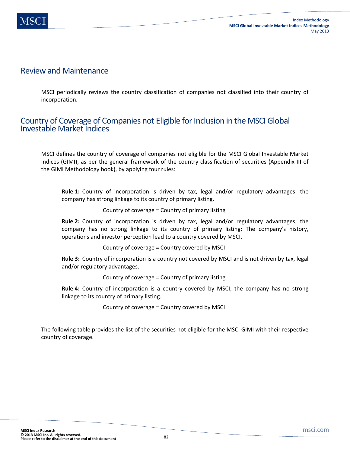### Review and Maintenance

MSCI periodically reviews the country classification of companies not classified into their country of incorporation.

### Country of Coverage of Companies not Eligible for Inclusion in the MSCI Global Investable Market Indices

MSCI defines the country of coverage of companies not eligible for the MSCI Global Investable Market Indices (GIMI), as per the general framework of the country classification of securities (Appendix III of the GIMI Methodology book), by applying four rules:

**Rule 1:** Country of incorporation is driven by tax, legal and/or regulatory advantages; the company has strong linkage to its country of primary listing.

### Country of coverage = Country of primary listing

**Rule 2:** Country of incorporation is driven by tax, legal and/or regulatory advantages; the company has no strong linkage to its country of primary listing; The company's history, operations and investor perception lead to a country covered by MSCI.

Country of coverage = Country covered by MSCI

**Rule 3:** Country of incorporation is a country not covered by MSCI and is not driven by tax, legal and/or regulatory advantages.

Country of coverage = Country of primary listing

**Rule 4:** Country of incorporation is a country covered by MSCI; the company has no strong linkage to its country of primary listing.

Country of coverage = Country covered by MSCI

The following table provides the list of the securities not eligible for the MSCI GIMI with their respective country of coverage.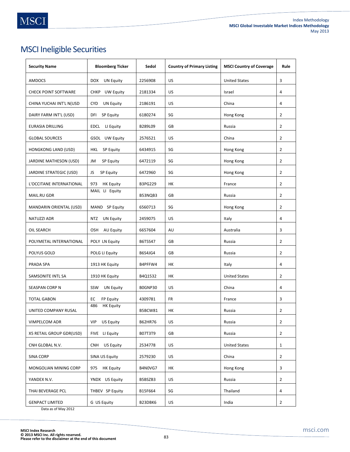# MSCI Ineligible Securities

| <b>Security Name</b>        | <b>Bloomberg Ticker</b>        | Sedol          | <b>Country of Primary Listing</b> | <b>MSCI Country of Coverage</b> | Rule           |
|-----------------------------|--------------------------------|----------------|-----------------------------------|---------------------------------|----------------|
| AMDOCS                      | DOX<br>UN Equity               | 2256908        | US                                | <b>United States</b>            | 3              |
| <b>CHECK POINT SOFTWARE</b> | CHKP UW Equity                 | 2181334        | US                                | Israel                          | 4              |
| CHINA YUCHAI INT'L N(USD    | <b>CYD</b><br>UN Equity        | 2186191        | US                                | China                           | 4              |
| DAIRY FARM INT'L (USD)      | DFI<br><b>SP Equity</b>        | 6180274        | SG                                | Hong Kong                       | $\overline{2}$ |
| <b>EURASIA DRILLING</b>     | EDCL LI Equity                 | B289L09        | GB                                | Russia                          | $\overline{2}$ |
| <b>GLOBAL SOURCES</b>       | GSOL UW Equity                 | 2576521        | US                                | China                           | $\overline{2}$ |
| <b>HONGKONG LAND (USD)</b>  | <b>HKL</b><br><b>SP Equity</b> | 6434915        | SG                                | Hong Kong                       | $\overline{2}$ |
| JARDINE MATHESON (USD)      | SP Equity<br>JM                | 6472119        | SG                                | Hong Kong                       | 2              |
| JARDINE STRATEGIC (USD)     | JS<br>SP Equity                | 6472960        | SG                                | Hong Kong                       | $\overline{2}$ |
| L'OCCITANE INTERNATIONAL    | 973<br><b>HK Equity</b>        | B3PG229        | HК                                | France                          | $\overline{2}$ |
| MAIL.RU GDR                 | MAIL LI Equity                 | B53NQB3        | GB                                | Russia                          | $\overline{2}$ |
| MANDARIN ORIENTAL (USD)     | MAND SP Equity                 | 6560713        | SG                                | Hong Kong                       | $\overline{2}$ |
| NATUZZI ADR                 | NTZ UN Equity                  | 2459075        | US                                | Italy                           | 4              |
| OIL SEARCH                  | OSH<br>AU Equity               | 6657604        | AU                                | Australia                       | 3              |
| POLYMETAL INTERNATIONAL     | POLY LN Equity                 | B6T5S47        | GB                                | Russia                          | 2              |
| POLYUS GOLD                 | POLG LI Equity                 | <b>B6S4JG4</b> | GB                                | Russia                          | $\overline{2}$ |
| PRADA SPA                   | 1913 HK Equity                 | B4PFFW4        | HК                                | Italy                           | 4              |
| SAMSONITE INTL SA           | 1910 HK Equity                 | B4Q1532        | HК                                | <b>United States</b>            | 2              |
| SEASPAN CORP N              | SSW<br><b>UN Equity</b>        | BOGNP30        | US                                | China                           | 4              |
| <b>TOTAL GABON</b>          | EC<br>FP Equity                | 4309781        | FR                                | France                          | 3              |
| UNITED COMPANY RUSAL        | <b>HK Equity</b><br>486        | B5BCW81        | HК                                | Russia                          | $\overline{2}$ |
| VIMPELCOM ADR               | VIP US Equity                  | B62HR76        | US                                | Russia                          | $\overline{2}$ |
| X5 RETAIL GROUP GDR(USD)    | FIVE LI Equity                 | B07T3T9        | GB                                | Russia                          | $\overline{2}$ |
| CNH GLOBAL N.V.             | US Equity<br><b>CNH</b>        | 2534778        | US                                | <b>United States</b>            | $\mathbf{1}$   |
| <b>SINA CORP</b>            | SINA US Equity                 | 2579230        | US                                | China                           | $\overline{2}$ |
| MONGOLIAN MINING CORP       | 975 HK Equity                  | B4N0VG7        | НK                                | Hong Kong                       | 3              |
| YANDEX N.V.                 | YNDX US Equity                 | B5BSZB3        | US.                               | Russia                          | $\overline{2}$ |
| THAI BEVERAGE PCL           | THBEV SP Equity                | B15F664        | SG                                | Thailand                        | 4              |
| <b>GENPACT LIMITED</b>      | G US Equity                    | B23DBK6        | US                                | India                           | $\overline{2}$ |

Data as of May 2012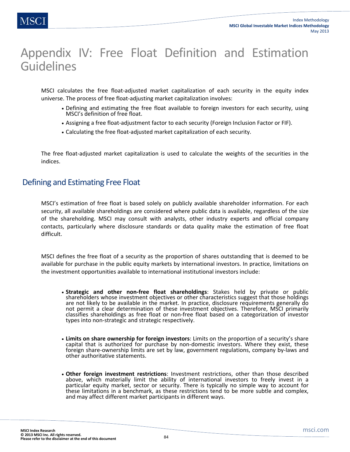# Appendix IV: Free Float Definition and Estimation **Guidelines**

MSCI calculates the free float-adjusted market capitalization of each security in the equity index universe. The process of free float-adjusting market capitalization involves:

- Defining and estimating the free float available to foreign investors for each security, using MSCI's definition of free float.
- Assigning a free float-adjustment factor to each security (Foreign Inclusion Factor or FIF).
- Calculating the free float-adjusted market capitalization of each security.

The free float-adjusted market capitalization is used to calculate the weights of the securities in the indices.

### Defining and Estimating Free Float

MSCI's estimation of free float is based solely on publicly available shareholder information. For each security, all available shareholdings are considered where public data is available, regardless of the size of the shareholding. MSCI may consult with analysts, other industry experts and official company contacts, particularly where disclosure standards or data quality make the estimation of free float difficult.

MSCI defines the free float of a security as the proportion of shares outstanding that is deemed to be available for purchase in the public equity markets by international investors. In practice, limitations on the investment opportunities available to international institutional investors include:

- **Strategic and other non-free float shareholdings**: Stakes held by private or public shareholders whose investment objectives or other characteristics suggest that those holdings are not likely to be available in the market. In practice, disclosure requirements generally do not permit a clear determination of these investment objectives. Therefore, MSCI primarily classifies shareholdings as free float or non-free float based on a categorization of investor types into non-strategic and strategic respectively.
- **Limits on share ownership for foreign investors**: Limits on the proportion of a security's share capital that is authorized for purchase by non-domestic investors. Where they exist, these foreign share-ownership limits are set by law, government regulations, company by-laws and other authoritative statements.
- **Other foreign investment restrictions**: Investment restrictions, other than those described above, which materially limit the ability of international investors to freely invest in a particular equity market, sector or security. There is typically no simple way to account for these limitations in a benchmark, as these restrictions tend to be more subtle and complex, and may affect different market participants in different ways.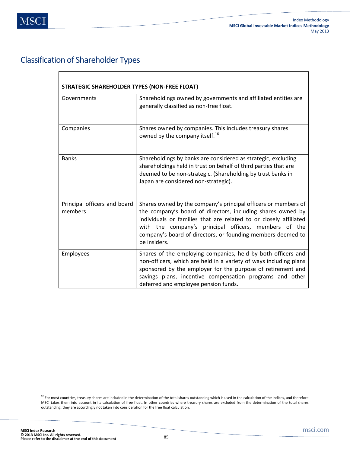## Classification of Shareholder Types

| <b>STRATEGIC SHAREHOLDER TYPES (NON-FREE FLOAT)</b> |                                                                                                                                                                                                                                                                                                                                            |
|-----------------------------------------------------|--------------------------------------------------------------------------------------------------------------------------------------------------------------------------------------------------------------------------------------------------------------------------------------------------------------------------------------------|
| Governments                                         | Shareholdings owned by governments and affiliated entities are<br>generally classified as non-free float.                                                                                                                                                                                                                                  |
| Companies                                           | Shares owned by companies. This includes treasury shares<br>owned by the company itself. <sup>16</sup>                                                                                                                                                                                                                                     |
| <b>Banks</b>                                        | Shareholdings by banks are considered as strategic, excluding<br>shareholdings held in trust on behalf of third parties that are<br>deemed to be non-strategic. (Shareholding by trust banks in<br>Japan are considered non-strategic).                                                                                                    |
| Principal officers and board<br>members             | Shares owned by the company's principal officers or members of<br>the company's board of directors, including shares owned by<br>individuals or families that are related to or closely affiliated<br>with the company's principal officers, members of the<br>company's board of directors, or founding members deemed to<br>be insiders. |
| Employees                                           | Shares of the employing companies, held by both officers and<br>non-officers, which are held in a variety of ways including plans<br>sponsored by the employer for the purpose of retirement and<br>savings plans, incentive compensation programs and other<br>deferred and employee pension funds.                                       |

 $\overline{\phantom{a}}$ 

<sup>&</sup>lt;sup>12</sup> For most countries, treasury shares are included in the determination of the total shares outstanding which is used in the calculation of the indices, and therefore MSCI takes them into account in its calculation of free float. In other countries where treasury shares are excluded from the determination of the total shares outstanding, they are accordingly not taken into consideration for the free float calculation.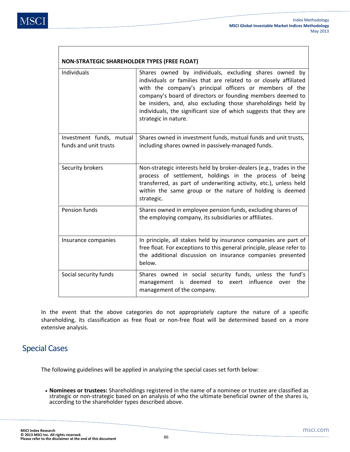| <b>NON-STRATEGIC SHAREHOLDER TYPES (FREE FLOAT)</b> |                                                                                                                                                                                                                                                                                                                                                                                                                   |
|-----------------------------------------------------|-------------------------------------------------------------------------------------------------------------------------------------------------------------------------------------------------------------------------------------------------------------------------------------------------------------------------------------------------------------------------------------------------------------------|
| <b>Individuals</b>                                  | Shares owned by individuals, excluding shares owned by<br>individuals or families that are related to or closely affiliated<br>with the company's principal officers or members of the<br>company's board of directors or founding members deemed to<br>be insiders, and, also excluding those shareholdings held by<br>individuals, the significant size of which suggests that they are<br>strategic in nature. |
| Investment funds, mutual<br>funds and unit trusts   | Shares owned in investment funds, mutual funds and unit trusts,<br>including shares owned in passively-managed funds.                                                                                                                                                                                                                                                                                             |
| Security brokers                                    | Non-strategic interests held by broker-dealers (e.g., trades in the<br>process of settlement, holdings in the process of being<br>transferred, as part of underwriting activity, etc.), unless held<br>within the same group or the nature of holding is deemed<br>strategic.                                                                                                                                     |
| <b>Pension funds</b>                                | Shares owned in employee pension funds, excluding shares of<br>the employing company, its subsidiaries or affiliates.                                                                                                                                                                                                                                                                                             |
| Insurance companies                                 | In principle, all stakes held by insurance companies are part of<br>free float. For exceptions to this general principle, please refer to<br>the additional discussion on insurance companies presented<br>helow.                                                                                                                                                                                                 |
| Social security funds                               | Shares owned in social security funds, unless the fund's<br>management is deemed to exert influence<br>the<br>over<br>management of the company.                                                                                                                                                                                                                                                                  |

In the event that the above categories do not appropriately capture the nature of a specific shareholding, its classification as free float or non-free float will be determined based on a more extensive analysis.

## Special Cases

The following guidelines will be applied in analyzing the special cases set forth below:

• **Nominees or trustees:** Shareholdings registered in the name of a nominee or trustee are classified as strategic or non-strategic based on an analysis of who the ultimate beneficial owner of the shares is, according to the shareholder types described above.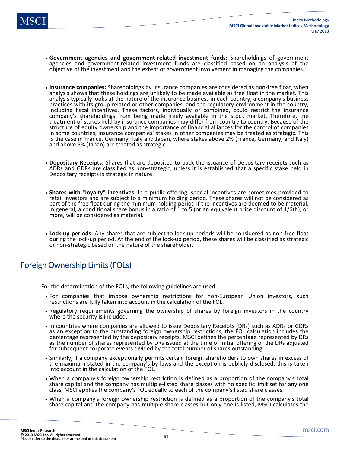- **Government agencies and government-related investment funds:** Shareholdings of government agencies and government-related investment funds are classified based on an analysis of the objective of the investment and the extent of government involvement in managing the companies.
- **Insurance companies:** Shareholdings by insurance companies are considered as non-free float, when analysis shows that these holdings are unlikely to be made available as free float in the market. This analysis typically looks at the nature of the insurance business in each country, a company's business practices with its group-related or other companies, and the regulatory environment in the country, including fiscal incentives. These factors, individually or combined, could restrict the insurance company's shareholdings from being made freely available in the stock market. Therefore, the treatment of stakes held by insurance companies may differ from country to country. Because of the structure of equity ownership and the importance of financial alliances for the control of companies in some countries, insurance companies' stakes in other companies may be treated as strategic. This is the case in France, Germany, Italy and Japan, where stakes above 2% (France, Germany, and Italy) and above 5% (Japan) are treated as strategic.
- **Depositary Receipts:** Shares that are deposited to back the issuance of Depositary receipts such as ADRs and GDRs are classified as non-strategic, unless it is established that a specific stake held in Depositary receipts is strategic in nature.
- **Shares with "loyalty" incentives:** In a public offering, special incentives are sometimes provided to retail investors and are subject to a minimum holding period. These shares will not be considered as part of the free float during the minimum holding period if the incentives are deemed to be material. In general, a conditional share bonus in a ratio of 1 to 5 (or an equivalent price discount of 1/6th), or more, will be considered as material.
- **Lock-up periods:** Any shares that are subject to lock-up periods will be considered as non-free float during the lock-up period. At the end of the lock-up period, these shares will be classified as strategic or non-strategic based on the nature of the shareholder.

## Foreign Ownership Limits (FOLs)

For the determination of the FOLs, the following guidelines are used:

- For companies that impose ownership restrictions for non-European Union investors, such restrictions are fully taken into account in the calculation of the FOL.
- Regulatory requirements governing the ownership of shares by foreign investors in the country where the security is included.
- In countries where companies are allowed to issue Depositary Receipts (DRs) such as ADRs or GDRs as an exception to the outstanding foreign ownership restrictions, the FOL calculation includes the percentage represented by the depositary receipts. MSCI defines the percentage represented by DRs as the number of shares represented by DRs issued at the time of initial offering of the DRs adjusted for subsequent corporate events divided by the total number of shares outstanding.
- Similarly, if a company exceptionally permits certain foreign shareholders to own shares in excess of the maximum stated in the company's by-laws and the exception is publicly disclosed, this is taken into account in the calculation of the FOL.
- When a company's foreign ownership restriction is defined as a proportion of the company's total share capital and the company has multiple-listed share classes with no specific limit set for any one class, MSCI applies the company's FOL equally to each of the company's listed share classes.
- When a company's foreign ownership restriction is defined as a proportion of the company's total share capital and the company has multiple share classes but only one is listed, MSCI calculates the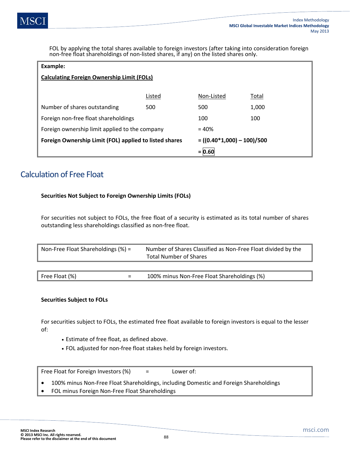FOL by applying the total shares available to foreign investors (after taking into consideration foreign non-free float shareholdings of non-listed shares, if any) on the listed shares only.

| Example:                                               |        |                                |       |  |
|--------------------------------------------------------|--------|--------------------------------|-------|--|
| <b>Calculating Foreign Ownership Limit (FOLs)</b>      |        |                                |       |  |
|                                                        |        |                                |       |  |
|                                                        | Listed | Non-Listed                     | Total |  |
| Number of shares outstanding                           | 500    | 500                            | 1,000 |  |
| Foreign non-free float shareholdings                   |        | 100                            | 100   |  |
| Foreign ownership limit applied to the company         |        | $= 40%$                        |       |  |
| Foreign Ownership Limit (FOL) applied to listed shares |        | $= ((0.40 * 1,000) - 100)/500$ |       |  |
|                                                        |        | $= 0.60$                       |       |  |

## Calculation of Free Float

### **Securities Not Subject to Foreign Ownership Limits (FOLs)**

For securities not subject to FOLs, the free float of a security is estimated as its total number of shares outstanding less shareholdings classified as non-free float.

| Non-Free Float Shareholdings $(\%) =$ |  | Number of Shares Classified as Non-Free Float divided by the<br><b>Total Number of Shares</b> |  |  |
|---------------------------------------|--|-----------------------------------------------------------------------------------------------|--|--|
|                                       |  |                                                                                               |  |  |
| Free Float $(\%)$                     |  | 100% minus Non-Free Float Shareholdings (%)                                                   |  |  |

### **Securities Subject to FOLs**

For securities subject to FOLs, the estimated free float available to foreign investors is equal to the lesser of:

- Estimate of free float, as defined above.
- FOL adjusted for non-free float stakes held by foreign investors.

Free Float for Foreign Investors (%) = Lower of:

• 100% minus Non-Free Float Shareholdings, including Domestic and Foreign Shareholdings

• FOL minus Foreign Non-Free Float Shareholdings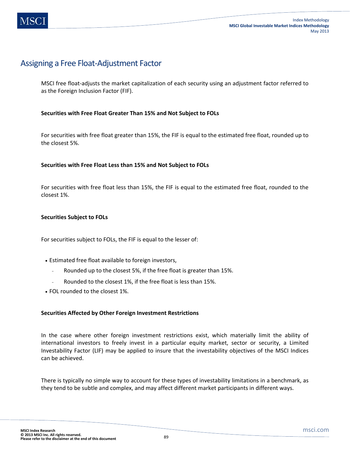## Assigning a Free Float-Adjustment Factor

MSCI free float-adjusts the market capitalization of each security using an adjustment factor referred to as the Foreign Inclusion Factor (FIF).

### **Securities with Free Float Greater Than 15% and Not Subject to FOLs**

For securities with free float greater than 15%, the FIF is equal to the estimated free float, rounded up to the closest 5%.

### **Securities with Free Float Less than 15% and Not Subject to FOLs**

For securities with free float less than 15%, the FIF is equal to the estimated free float, rounded to the closest 1%.

### **Securities Subject to FOLs**

For securities subject to FOLs, the FIF is equal to the lesser of:

- Estimated free float available to foreign investors,
	- Rounded up to the closest 5%, if the free float is greater than 15%.
	- Rounded to the closest 1%, if the free float is less than 15%.
- FOL rounded to the closest 1%.

### **Securities Affected by Other Foreign Investment Restrictions**

In the case where other foreign investment restrictions exist, which materially limit the ability of international investors to freely invest in a particular equity market, sector or security, a Limited Investability Factor (LIF) may be applied to insure that the investability objectives of the MSCI Indices can be achieved.

There is typically no simple way to account for these types of investability limitations in a benchmark, as they tend to be subtle and complex, and may affect different market participants in different ways.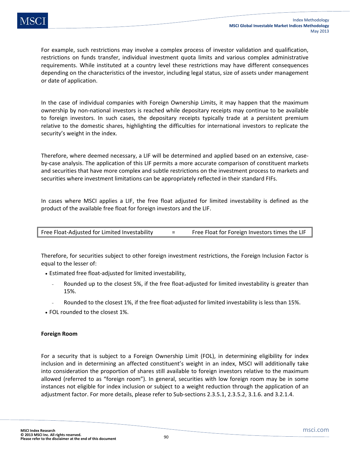For example, such restrictions may involve a complex process of investor validation and qualification, restrictions on funds transfer, individual investment quota limits and various complex administrative requirements. While instituted at a country level these restrictions may have different consequences depending on the characteristics of the investor, including legal status, size of assets under management or date of application.

In the case of individual companies with Foreign Ownership Limits, it may happen that the maximum ownership by non-national investors is reached while depositary receipts may continue to be available to foreign investors. In such cases, the depositary receipts typically trade at a persistent premium relative to the domestic shares, highlighting the difficulties for international investors to replicate the security's weight in the index.

Therefore, where deemed necessary, a LIF will be determined and applied based on an extensive, caseby-case analysis. The application of this LIF permits a more accurate comparison of constituent markets and securities that have more complex and subtle restrictions on the investment process to markets and securities where investment limitations can be appropriately reflected in their standard FIFs.

In cases where MSCI applies a LIF, the free float adjusted for limited investability is defined as the product of the available free float for foreign investors and the LIF.

| Free Float-Adjusted for Limited Investability |  | Free Float for Foreign Investors times the LIF |
|-----------------------------------------------|--|------------------------------------------------|
|-----------------------------------------------|--|------------------------------------------------|

Therefore, for securities subject to other foreign investment restrictions, the Foreign Inclusion Factor is equal to the lesser of:

- Estimated free float-adjusted for limited investability,
	- Rounded up to the closest 5%, if the free float-adjusted for limited investability is greater than 15%.
	- Rounded to the closest 1%, if the free float-adjusted for limited investability is less than 15%.
- FOL rounded to the closest 1%.

### **Foreign Room**

For a security that is subject to a Foreign Ownership Limit (FOL), in determining eligibility for index inclusion and in determining an affected constituent's weight in an index, MSCI will additionally take into consideration the proportion of shares still available to foreign investors relative to the maximum allowed (referred to as "foreign room"). In general, securities with low foreign room may be in some instances not eligible for index inclusion or subject to a weight reduction through the application of an adjustment factor. For more details, please refer to Sub-sections 2.3.5.1, 2.3.5.2, 3.1.6. and 3.2.1.4.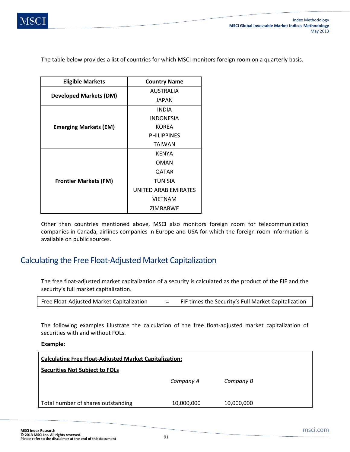The table below provides a list of countries for which MSCI monitors foreign room on a quarterly basis.

| <b>Eligible Markets</b>       | <b>Country Name</b>  |  |  |
|-------------------------------|----------------------|--|--|
|                               | <b>AUSTRALIA</b>     |  |  |
| <b>Developed Markets (DM)</b> | <b>JAPAN</b>         |  |  |
|                               | <b>INDIA</b>         |  |  |
|                               | <b>INDONESIA</b>     |  |  |
| <b>Emerging Markets (EM)</b>  | <b>KOREA</b>         |  |  |
|                               | <b>PHILIPPINES</b>   |  |  |
|                               | <b>TAIWAN</b>        |  |  |
|                               | <b>KFNYA</b>         |  |  |
|                               | OMAN                 |  |  |
|                               | QATAR                |  |  |
| <b>Frontier Markets (FM)</b>  | <b>TUNISIA</b>       |  |  |
|                               | UNITED ARAB EMIRATES |  |  |
|                               | <b>VIETNAM</b>       |  |  |
|                               | ZIMBARWF             |  |  |

Other than countries mentioned above, MSCI also monitors foreign room for telecommunication companies in Canada, airlines companies in Europe and USA for which the foreign room information is available on public sources.

## Calculating the Free Float-Adjusted Market Capitalization

The free float-adjusted market capitalization of a security is calculated as the product of the FIF and the security's full market capitalization.

| Free Float-Adjusted Market Capitalization |  | FIF times the Security's Full Market Capitalization |
|-------------------------------------------|--|-----------------------------------------------------|
|-------------------------------------------|--|-----------------------------------------------------|

The following examples illustrate the calculation of the free float-adjusted market capitalization of securities with and without FOLs.

**Example:** 

| <b>Calculating Free Float-Adjusted Market Capitalization:</b> |            |            |  |  |
|---------------------------------------------------------------|------------|------------|--|--|
| <b>Securities Not Subject to FOLS</b>                         |            |            |  |  |
|                                                               | Company A  | Company B  |  |  |
|                                                               |            |            |  |  |
| Total number of shares outstanding                            | 10,000,000 | 10,000,000 |  |  |
|                                                               |            |            |  |  |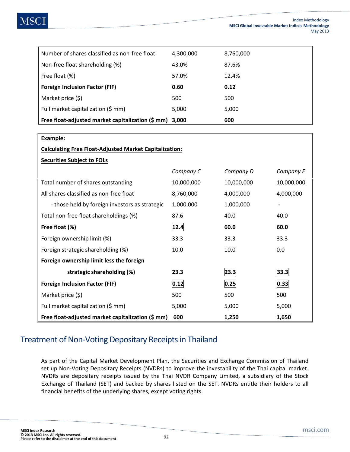|  | MS<br>$\mathbf C$ |  |
|--|-------------------|--|
|--|-------------------|--|

| Number of shares classified as non-free float     | 4,300,000 | 8,760,000 |
|---------------------------------------------------|-----------|-----------|
| Non-free float shareholding (%)                   | 43.0%     | 87.6%     |
| Free float (%)                                    | 57.0%     | 12.4%     |
| <b>Foreign Inclusion Factor (FIF)</b>             | 0.60      | 0.12      |
| Market price (\$)                                 | 500       | 500       |
| Full market capitalization (\$ mm)                | 5,000     | 5,000     |
| Free float-adjusted market capitalization (\$ mm) | 3.000     | 600       |

| Example:                                                                   |                |            |                              |  |  |  |  |
|----------------------------------------------------------------------------|----------------|------------|------------------------------|--|--|--|--|
| <b>Calculating Free Float-Adjusted Market Capitalization:</b>              |                |            |                              |  |  |  |  |
| <b>Securities Subject to FOLs</b>                                          |                |            |                              |  |  |  |  |
|                                                                            | Company C      | Company D  | Company E                    |  |  |  |  |
| Total number of shares outstanding                                         | 10,000,000     | 10,000,000 | 10,000,000                   |  |  |  |  |
| All shares classified as non-free float                                    | 8,760,000      | 4,000,000  | 4,000,000                    |  |  |  |  |
| - those held by foreign investors as strategic                             | 1,000,000      | 1,000,000  | $\qquad \qquad \blacksquare$ |  |  |  |  |
| Total non-free float shareholdings (%)                                     | 87.6           | 40.0       | 40.0                         |  |  |  |  |
| Free float (%)                                                             | 12.4           | 60.0       | 60.0                         |  |  |  |  |
| Foreign ownership limit (%)                                                | 33.3           | 33.3       | 33.3                         |  |  |  |  |
| Foreign strategic shareholding (%)                                         | 10.0           | 10.0       | 0.0                          |  |  |  |  |
| Foreign ownership limit less the foreign                                   |                |            |                              |  |  |  |  |
| strategic shareholding (%)                                                 | 23.3           | 23.3       | 33.3                         |  |  |  |  |
| <b>Foreign Inclusion Factor (FIF)</b>                                      | 0.12<br> 0.25  |            | 0.33                         |  |  |  |  |
| Market price (\$)                                                          | 500            | 500        | 500                          |  |  |  |  |
| Full market capitalization (\$ mm)                                         | 5,000<br>5,000 |            | 5,000                        |  |  |  |  |
| Free float-adjusted market capitalization (\$ mm)<br>600<br>1,250<br>1,650 |                |            |                              |  |  |  |  |

## Treatment of Non-Voting Depositary Receipts in Thailand

As part of the Capital Market Development Plan, the Securities and Exchange Commission of Thailand set up Non-Voting Depositary Receipts (NVDRs) to improve the investability of the Thai capital market. NVDRs are depositary receipts issued by the Thai NVDR Company Limited, a subsidiary of the Stock Exchange of Thailand (SET) and backed by shares listed on the SET. NVDRs entitle their holders to all financial benefits of the underlying shares, except voting rights.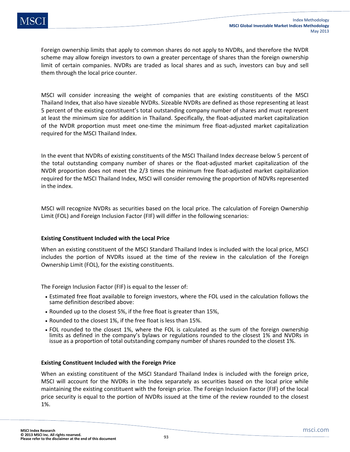Foreign ownership limits that apply to common shares do not apply to NVDRs, and therefore the NVDR scheme may allow foreign investors to own a greater percentage of shares than the foreign ownership limit of certain companies. NVDRs are traded as local shares and as such, investors can buy and sell them through the local price counter.

MSCI will consider increasing the weight of companies that are existing constituents of the MSCI Thailand Index, that also have sizeable NVDRs. Sizeable NVDRs are defined as those representing at least 5 percent of the existing constituent's total outstanding company number of shares and must represent at least the minimum size for addition in Thailand. Specifically, the float-adjusted market capitalization of the NVDR proportion must meet one-time the minimum free float-adjusted market capitalization required for the MSCI Thailand Index.

In the event that NVDRs of existing constituents of the MSCI Thailand Index decrease below 5 percent of the total outstanding company number of shares or the float-adjusted market capitalization of the NVDR proportion does not meet the 2/3 times the minimum free float-adjusted market capitalization required for the MSCI Thailand Index, MSCI will consider removing the proportion of NDVRs represented in the index.

MSCI will recognize NVDRs as securities based on the local price. The calculation of Foreign Ownership Limit (FOL) and Foreign Inclusion Factor (FIF) will differ in the following scenarios:

### **Existing Constituent Included with the Local Price**

When an existing constituent of the MSCI Standard Thailand Index is included with the local price, MSCI includes the portion of NVDRs issued at the time of the review in the calculation of the Foreign Ownership Limit (FOL), for the existing constituents.

The Foreign Inclusion Factor (FIF) is equal to the lesser of:

- Estimated free float available to foreign investors, where the FOL used in the calculation follows the same definition described above:
- Rounded up to the closest 5%, if the free float is greater than 15%,
- Rounded to the closest 1%, if the free float is less than 15%.
- FOL rounded to the closest 1%, where the FOL is calculated as the sum of the foreign ownership limits as defined in the company's bylaws or regulations rounded to the closest 1% and NVDRs in issue as a proportion of total outstanding company number of shares rounded to the closest 1%.

### **Existing Constituent Included with the Foreign Price**

When an existing constituent of the MSCI Standard Thailand Index is included with the foreign price, MSCI will account for the NVDRs in the Index separately as securities based on the local price while maintaining the existing constituent with the foreign price. The Foreign Inclusion Factor (FIF) of the local price security is equal to the portion of NVDRs issued at the time of the review rounded to the closest 1%.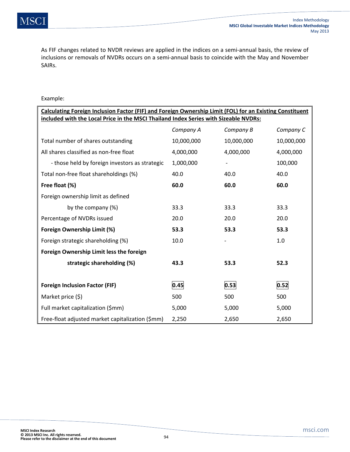As FIF changes related to NVDR reviews are applied in the indices on a semi-annual basis, the review of inclusions or removals of NVDRs occurs on a semi-annual basis to coincide with the May and November SAIRs.

### Example:

| Calculating Foreign Inclusion Factor (FIF) and Foreign Ownership Limit (FOL) for an Existing Constituent |              |            |            |  |  |  |
|----------------------------------------------------------------------------------------------------------|--------------|------------|------------|--|--|--|
| included with the Local Price in the MSCI Thailand Index Series with Sizeable NVDRs:                     |              |            |            |  |  |  |
|                                                                                                          | Company A    | Company B  | Company C  |  |  |  |
| Total number of shares outstanding                                                                       | 10,000,000   | 10,000,000 | 10,000,000 |  |  |  |
| All shares classified as non-free float                                                                  | 4,000,000    | 4,000,000  | 4,000,000  |  |  |  |
| - those held by foreign investors as strategic                                                           | 1,000,000    |            | 100,000    |  |  |  |
| Total non-free float shareholdings (%)                                                                   | 40.0         | 40.0       | 40.0       |  |  |  |
| Free float (%)                                                                                           | 60.0         | 60.0       | 60.0       |  |  |  |
| Foreign ownership limit as defined                                                                       |              |            |            |  |  |  |
| by the company (%)                                                                                       | 33.3<br>33.3 |            | 33.3       |  |  |  |
| Percentage of NVDRs issued                                                                               | 20.0         | 20.0       | 20.0       |  |  |  |
| <b>Foreign Ownership Limit (%)</b>                                                                       | 53.3         | 53.3       | 53.3       |  |  |  |
| Foreign strategic shareholding (%)                                                                       | 10.0         |            | 1.0        |  |  |  |
| Foreign Ownership Limit less the foreign                                                                 |              |            |            |  |  |  |
| strategic shareholding (%)                                                                               | 43.3         | 53.3       | 52.3       |  |  |  |
|                                                                                                          |              |            |            |  |  |  |
| <b>Foreign Inclusion Factor (FIF)</b>                                                                    | 0.45         | 0.53       | 0.52       |  |  |  |
| Market price (\$)                                                                                        | 500          | 500        | 500        |  |  |  |
| Full market capitalization (\$mm)                                                                        | 5,000        | 5,000      | 5,000      |  |  |  |
| Free-float adjusted market capitalization (\$mm)                                                         | 2,250        | 2,650      | 2,650      |  |  |  |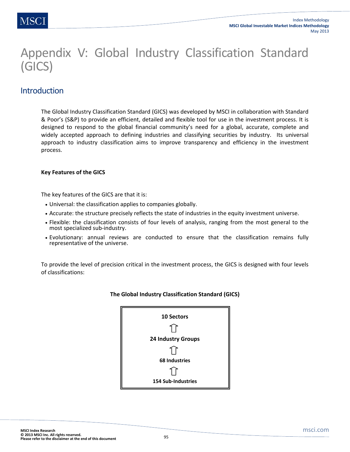# Appendix V: Global Industry Classification Standard (GICS)

## **Introduction**

The Global Industry Classification Standard (GICS) was developed by MSCI in collaboration with Standard & Poor's (S&P) to provide an efficient, detailed and flexible tool for use in the investment process. It is designed to respond to the global financial community's need for a global, accurate, complete and widely accepted approach to defining industries and classifying securities by industry. Its universal approach to industry classification aims to improve transparency and efficiency in the investment process.

### **Key Features of the GICS**

The key features of the GICS are that it is:

- Universal: the classification applies to companies globally.
- Accurate: the structure precisely reflects the state of industries in the equity investment universe.
- Flexible: the classification consists of four levels of analysis, ranging from the most general to the most specialized sub-industry.
- Evolutionary: annual reviews are conducted to ensure that the classification remains fully representative of the universe.

To provide the level of precision critical in the investment process, the GICS is designed with four levels of classifications:



### **The Global Industry Classification Standard (GICS)**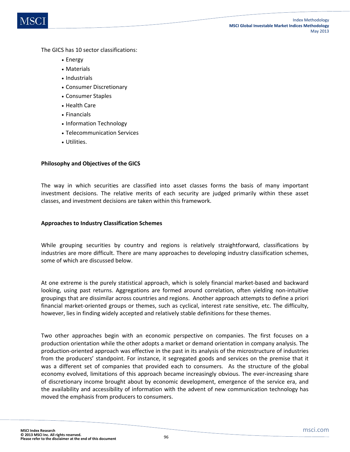

The GICS has 10 sector classifications:

- Energy
- Materials
- Industrials
- Consumer Discretionary
- Consumer Staples
- Health Care
- Financials
- Information Technology
- Telecommunication Services
- Utilities.

### **Philosophy and Objectives of the GICS**

The way in which securities are classified into asset classes forms the basis of many important investment decisions. The relative merits of each security are judged primarily within these asset classes, and investment decisions are taken within this framework.

### **Approaches to Industry Classification Schemes**

While grouping securities by country and regions is relatively straightforward, classifications by industries are more difficult. There are many approaches to developing industry classification schemes, some of which are discussed below.

At one extreme is the purely statistical approach, which is solely financial market-based and backward looking, using past returns. Aggregations are formed around correlation, often yielding non-intuitive groupings that are dissimilar across countries and regions. Another approach attempts to define a priori financial market-oriented groups or themes, such as cyclical, interest rate sensitive, etc. The difficulty, however, lies in finding widely accepted and relatively stable definitions for these themes.

Two other approaches begin with an economic perspective on companies. The first focuses on a production orientation while the other adopts a market or demand orientation in company analysis. The production-oriented approach was effective in the past in its analysis of the microstructure of industries from the producers' standpoint. For instance, it segregated goods and services on the premise that it was a different set of companies that provided each to consumers. As the structure of the global economy evolved, limitations of this approach became increasingly obvious. The ever-increasing share of discretionary income brought about by economic development, emergence of the service era, and the availability and accessibility of information with the advent of new communication technology has moved the emphasis from producers to consumers.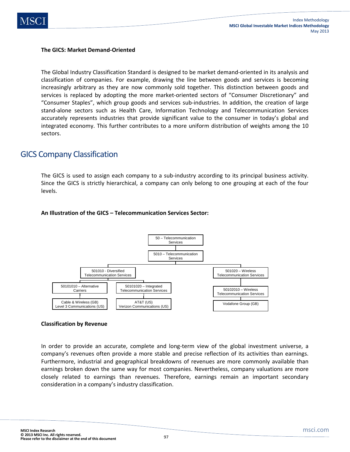

### **The GICS: Market Demand-Oriented**

The Global Industry Classification Standard is designed to be market demand-oriented in its analysis and classification of companies. For example, drawing the line between goods and services is becoming increasingly arbitrary as they are now commonly sold together. This distinction between goods and services is replaced by adopting the more market-oriented sectors of "Consumer Discretionary" and "Consumer Staples", which group goods and services sub-industries. In addition, the creation of large stand-alone sectors such as Health Care, Information Technology and Telecommunication Services accurately represents industries that provide significant value to the consumer in today's global and integrated economy. This further contributes to a more uniform distribution of weights among the 10 sectors.

### GICS Company Classification

The GICS is used to assign each company to a sub-industry according to its principal business activity. Since the GICS is strictly hierarchical, a company can only belong to one grouping at each of the four levels.

### **An Illustration of the GICS – Telecommunication Services Sector:**



#### **Classification by Revenue**

In order to provide an accurate, complete and long-term view of the global investment universe, a company's revenues often provide a more stable and precise reflection of its activities than earnings. Furthermore, industrial and geographical breakdowns of revenues are more commonly available than earnings broken down the same way for most companies. Nevertheless, company valuations are more closely related to earnings than revenues. Therefore, earnings remain an important secondary consideration in a company's industry classification.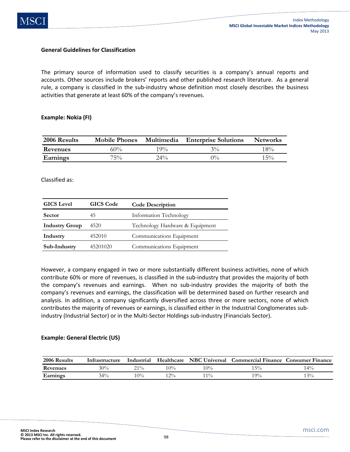

#### **General Guidelines for Classification**

The primary source of information used to classify securities is a company's annual reports and accounts. Other sources include brokers' reports and other published research literature. As a general rule, a company is classified in the sub-industry whose definition most closely describes the business activities that generate at least 60% of the company's revenues.

#### **Example: Nokia (FI)**

| 2006 Results    | <b>Mobile Phones</b> | Multimedia | <b>Enterprise Solutions</b> | <b>Networks</b> |
|-----------------|----------------------|------------|-----------------------------|-----------------|
| Revenues        | 60%                  | $19\%$     | $3\%$                       | $18\%$          |
| <b>Earnings</b> | $75\%$               | $24\%$     | $\gamma_{0/2}$              | $15\%$          |

#### Classified as:

| <b>GICS</b> Level     | <b>GICS</b> Code | <b>Code Description</b>         |  |
|-----------------------|------------------|---------------------------------|--|
| <b>Sector</b>         | 45               | Information Technology          |  |
| <b>Industry Group</b> | 4520             | Technology Hardware & Equipment |  |
| Industry              | 452010           | Communications Equipment        |  |
| Sub-Industry          | 45201020         | Communications Equipment        |  |

However, a company engaged in two or more substantially different business activities, none of which contribute 60% or more of revenues, is classified in the sub-industry that provides the majority of both the company's revenues and earnings. When no sub-industry provides the majority of both the company's revenues and earnings, the classification will be determined based on further research and analysis. In addition, a company significantly diversified across three or more sectors, none of which contributes the majority of revenues or earnings, is classified either in the Industrial Conglomerates subindustry (Industrial Sector) or in the Multi-Sector Holdings sub-industry (Financials Sector).

### **Example: General Electric (US)**

| 2006 Results | Intrastructure | Industrial | Healthcare | <b>NBC</b> Universal | <b>Commercial Finance</b> | <b>Consumer Finance</b> |
|--------------|----------------|------------|------------|----------------------|---------------------------|-------------------------|
| Revenues     | 30%            | $21\%$     | 10%        | $10\%$               | 15%                       | $4\%$                   |
| Earnings     | $34\%$         | $10\%$     | $12\%$     | $1\%$                | 19%                       | 13%                     |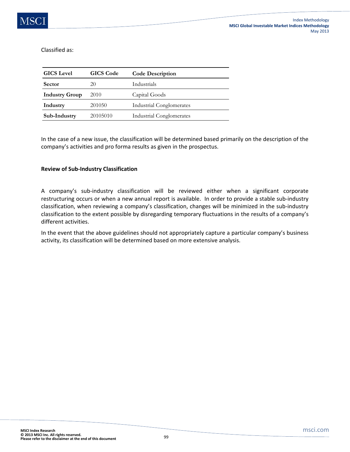Classified as:

| <b>GICS</b> Level     | <b>GICS</b> Code | <b>Code Description</b>         |
|-----------------------|------------------|---------------------------------|
| <b>Sector</b>         | 20               | Industrials                     |
| <b>Industry Group</b> | 2010             | Capital Goods                   |
| Industry              | 201050           | <b>Industrial Conglomerates</b> |
| Sub-Industry          | 20105010         | <b>Industrial Conglomerates</b> |

In the case of a new issue, the classification will be determined based primarily on the description of the company's activities and pro forma results as given in the prospectus.

### **Review of Sub-Industry Classification**

A company's sub-industry classification will be reviewed either when a significant corporate restructuring occurs or when a new annual report is available. In order to provide a stable sub-industry classification, when reviewing a company's classification, changes will be minimized in the sub-industry classification to the extent possible by disregarding temporary fluctuations in the results of a company's different activities.

In the event that the above guidelines should not appropriately capture a particular company's business activity, its classification will be determined based on more extensive analysis.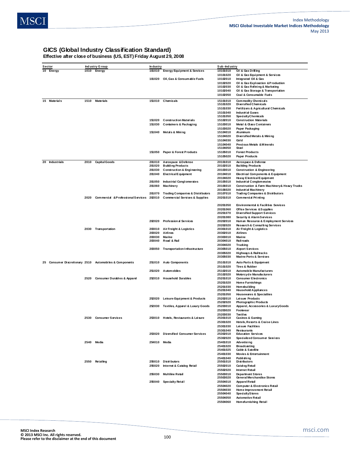### **GICS (Global Industry Classification Standard)**

**Effective after close of business (US, EST) Friday August 29, 2008**

| Sector         |      | Ind ustry G roup                                        | In dustry    |                                             | Sub-Industry         |                                                  |
|----------------|------|---------------------------------------------------------|--------------|---------------------------------------------|----------------------|--------------------------------------------------|
| 10 Energy      |      | 1010 Energy                                             | 101010       | <b>Energy Equipment &amp; Services</b>      | 10101010             | Oil & Gas Drilling                               |
|                |      |                                                         |              |                                             |                      |                                                  |
|                |      |                                                         |              |                                             | 10101020             | Oil & Gas Equipment & Services                   |
|                |      |                                                         |              | 101020 Oil, Gas & Consumable Fuels          | 10102010             | Integrated Oil & Gas                             |
|                |      |                                                         |              |                                             | 10102020             | <b>QI &amp; Gas Exploration &amp; Production</b> |
|                |      |                                                         |              |                                             | 10102030             | Oil & Gas Refining & Marketing                   |
|                |      |                                                         |              |                                             | 10102040             | Oil & Gas Storage & Transportation               |
|                |      |                                                         |              |                                             | 10102050             | Coal & Consumable Fuels                          |
| 15 Materials   | 1510 | <b>Materials</b>                                        |              | 151010 Chemicals                            | 15101010             | Commodity Chemicals                              |
|                |      |                                                         |              |                                             | 15101020             | Diversified Chemicals                            |
|                |      |                                                         |              |                                             | 15101030             | Fertilizers & Agricultural Chemicals             |
|                |      |                                                         |              |                                             | 15101040             | <b>Industrial Gases</b>                          |
|                |      |                                                         |              |                                             | 15101050             | SpecialtyChemicals                               |
|                |      |                                                         | 151020       | <b>Construction Materials</b>               |                      | <b>Construction Materials</b>                    |
|                |      |                                                         |              |                                             | 15102010             |                                                  |
|                |      |                                                         | 151030       | Containers & Packaging                      | 15103010             | <b>Metal &amp; Glass Containers</b>              |
|                |      |                                                         |              |                                             | 15103020             | Paper Packaging                                  |
|                |      |                                                         | 151040       | Metals& Mining                              | 15104010             | Al uminum                                        |
|                |      |                                                         |              |                                             | 15104020             | Diversified Metals & Mining                      |
|                |      |                                                         |              |                                             | 15104030             | Gold                                             |
|                |      |                                                         |              |                                             | 15104040             | Precious Metals & Minerals                       |
|                |      |                                                         |              |                                             | 15104050             | Steel                                            |
|                |      |                                                         | 151050       | Paper & Forest Products                     | 15105010             | <b>Forest Products</b>                           |
|                |      |                                                         |              |                                             | 15105020             | Paper Products                                   |
|                |      |                                                         |              |                                             |                      |                                                  |
| 20 Industrials | 2010 | <b>Capital Goods</b>                                    | 201010       | Aerospace & Defense                         | 20101010             | Aerospace & Defense                              |
|                |      |                                                         | 201020       | <b>Building Products</b>                    | 20102010             | <b>Building Products</b>                         |
|                |      |                                                         | 201030       | <b>Construction &amp; Engineering</b>       | 20103010             | <b>Construction &amp; Engineering</b>            |
|                |      |                                                         | 201040       | Electrical Equipment                        | 20104010             | Electrical Components & Equipment                |
|                |      |                                                         |              |                                             | 20104020             | Heavy Electrical Equipment                       |
|                |      |                                                         | 201050       | <b>Industrial Conglomerates</b>             | 20105010             | Industrial Conglomerates                         |
|                |      |                                                         | 201060       | <b>Machinery</b>                            | 20106010             | Construction & Farm Machinery& Heavy Trucks      |
|                |      |                                                         |              |                                             | 20106020             | <b>Industrial Machinery</b>                      |
|                |      |                                                         | 201070       | <b>Trading Companies &amp; Distributors</b> | 20107010             | <b>Trading Companies &amp; Distributors</b>      |
|                | 2020 | Commercial & Professional Services 202010               |              | <b>Commercial Services &amp; Supplies</b>   | 20201010             | Commercial Printing                              |
|                |      |                                                         |              |                                             |                      |                                                  |
|                |      |                                                         |              |                                             | 20201050             | <b>Environmental &amp; Facilities Services</b>   |
|                |      |                                                         |              |                                             | 20201060             | Office Services & Supplies                       |
|                |      |                                                         |              |                                             | 20201070             | <b>Diversified Support Services</b>              |
|                |      |                                                         |              |                                             | 20201080             | <b>Security &amp; Alarm Services</b>             |
|                |      |                                                         |              | <b>Profession al Services</b>               | 20202010             |                                                  |
|                |      |                                                         | 202020       |                                             |                      | Human Resource & Employment Services             |
|                |      |                                                         |              |                                             | 20202020             | <b>Research &amp; Consulting Services</b>        |
|                |      | 2030 Transportation                                     | 203010       | Air Freight & Logistics                     | 20301010             | Air Freight & Logistics                          |
|                |      |                                                         | 203020       | Airlines                                    | 20302010             | Airlines                                         |
|                |      |                                                         | 203030       | <b>Marine</b>                               | 20303010             | Marine                                           |
|                |      |                                                         | 203040       | Road & Rail                                 | 20304010             | <b>Rail roads</b>                                |
|                |      |                                                         |              |                                             | 20304020             | <b>Trucking</b>                                  |
|                |      |                                                         | 203050       | <b>Transportation Infrastructure</b>        | 20305010             | <b>Airport Services</b>                          |
|                |      |                                                         |              |                                             | 20305020             | Highways & Railtracks                            |
|                |      |                                                         |              |                                             | 20305030             | Marine Ports & Services                          |
|                |      |                                                         |              |                                             |                      |                                                  |
|                |      | 25 Consumer Discretionary 2510 Automobiles & Components | 251010       | <b>Auto Components</b>                      | 25101010             | Auto Parts & Equipment                           |
|                |      |                                                         |              |                                             | 25101020             | <b>Tires &amp; Rubber</b>                        |
|                |      |                                                         | 251020       | <b>Automobiles</b>                          | 25102010             | Automobile Manufacturers                         |
|                |      |                                                         |              |                                             | 25102020             | Motorcyde Manufacturers                          |
|                |      | 2520 Consumer Durables & Apparel                        |              | 252010 Household Durables                   | 25201010             | <b>Consumer Electronics</b>                      |
|                |      |                                                         |              |                                             | 25201020             | <b>Home Furnishings</b>                          |
|                |      |                                                         |              |                                             | 25201030             | Hom ebuilding                                    |
|                |      |                                                         |              |                                             | 25201040             | <b>Household Appli ances</b>                     |
|                |      |                                                         |              |                                             | 25201050             | <b>Housewares &amp; Specialties</b>              |
|                |      |                                                         | 252020       | Leisure Equipment & Products                | 25202010             | Leisure Products                                 |
|                |      |                                                         |              |                                             | 25202020             | Photographic Products                            |
|                |      |                                                         |              | 252030 Textiles, Apparel & Luxury Goods     | 25203010             | Apparel, Accessories & LuxuryGoods               |
|                |      |                                                         |              |                                             | 25203020             | Footwear                                         |
|                |      |                                                         |              |                                             | 25203030             | <b>Textiles</b>                                  |
|                |      | <b>Consumer Services</b>                                |              | 253010 Hotels, Restaurants & Leisure        | 25301010             | Casinos & Gaming                                 |
|                |      |                                                         |              |                                             | 25301020             | <b>Hotels, Resorts &amp; Cruise Lines</b>        |
|                |      |                                                         |              |                                             | 25301030             | Leisure Facilities                               |
|                |      |                                                         |              |                                             |                      |                                                  |
|                |      |                                                         | 253020       |                                             | 25301040             | <b>Restaurants</b>                               |
|                |      |                                                         |              | <b>Diversified Consumer Services</b>        | 25302010             | <b>Education Services</b>                        |
|                |      |                                                         |              |                                             | 25302020             | Specialized Consumer Services                    |
|                |      | 2540 Media                                              | 254010 Media |                                             | 25401010             | Advertising                                      |
|                |      |                                                         |              |                                             | 25401020             | Broadcasting                                     |
|                |      |                                                         |              |                                             | 25401025             | Cable & Satellite                                |
|                |      |                                                         |              |                                             | 25401030             | <b>Movies &amp; Entertainment</b>                |
|                |      |                                                         |              |                                             | 25401040             | Publi shi ng                                     |
|                | 2550 | Retailing                                               | 255010       | <b>Distributors</b>                         | 25501010             | Distributors                                     |
|                |      |                                                         | 255020       | Internet & Catalog Retail                   | 25502010             | Catalog Retail                                   |
|                |      |                                                         |              |                                             | 25502020             | <b>Internet Retail</b>                           |
|                |      |                                                         | 255030       | Multiline Retail                            | 25503010             | Department Stores                                |
|                |      |                                                         |              |                                             | 25503020             | General Merchandise Stores                       |
|                |      |                                                         | 255040       | Specialty Retail                            | 25504010             | Apparel Retail                                   |
|                |      |                                                         |              |                                             |                      |                                                  |
|                |      |                                                         |              |                                             | 25504020<br>25504030 | <b>Computer &amp; Electronics Retail</b>         |
|                |      |                                                         |              |                                             |                      | Home Improvement Retail                          |
|                |      |                                                         |              |                                             | 25504040             | <b>SpecialtyStores</b>                           |
|                |      |                                                         |              |                                             | 25504050             | <b>Automotive Retail</b>                         |
|                |      |                                                         |              |                                             | 25504060             | Homefurnishing Retail                            |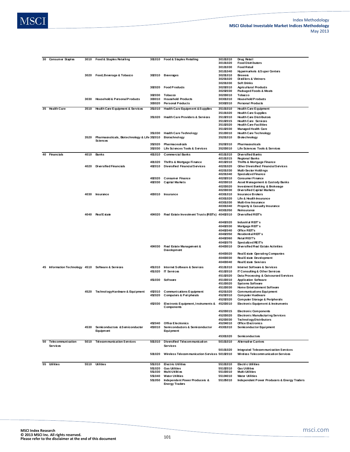

| 30<br>Consumer Staples            |      | 3010 Food & Staples Retailing                | 301010 | Food & Staples Retailing                       | 30101010 | Drug Retail                                  |
|-----------------------------------|------|----------------------------------------------|--------|------------------------------------------------|----------|----------------------------------------------|
|                                   |      |                                              |        |                                                | 30101020 | <b>Food Distributors</b>                     |
|                                   |      |                                              |        |                                                | 30101030 | <b>Food Retail</b>                           |
|                                   |      |                                              |        |                                                | 30101040 | Hypermarkets & Super Centers                 |
|                                   | 3020 | Food, Beverage & Tobacco                     | 302010 | <b>Beverages</b>                               | 30201010 | <b>Brewers</b>                               |
|                                   |      |                                              |        |                                                | 30201020 | Distillers & Vintners                        |
|                                   |      |                                              |        |                                                | 30201030 | <b>Soft Drinks</b>                           |
|                                   |      |                                              | 302020 | <b>Food Products</b>                           | 30202010 | <b>Agricultural Products</b>                 |
|                                   |      |                                              |        |                                                | 30202030 |                                              |
|                                   |      |                                              |        |                                                |          | Packaged Foods & Meats<br>Tobacco            |
|                                   |      |                                              | 302030 | Tobacco                                        | 30203010 |                                              |
|                                   | 3030 | Household & Personal Products                | 303010 | <b>Household Products</b>                      | 30301010 | <b>Household Products</b>                    |
|                                   |      |                                              | 303020 | <b>Personal Products</b>                       | 30302010 | <b>Personal Products</b>                     |
| 35 Health Care                    | 3510 | <b>Health Care Equipment &amp; Services</b>  | 351010 | <b>Health Care Equipment &amp; Supplies</b>    | 35101010 | <b>Health Care Equipment</b>                 |
|                                   |      |                                              |        |                                                | 35101020 | <b>Health Care Supplies</b>                  |
|                                   |      |                                              | 351020 | <b>Health Care Providers &amp; Services</b>    | 35102010 | <b>Health Care Distributors</b>              |
|                                   |      |                                              |        |                                                |          | <b>Health Care Services</b>                  |
|                                   |      |                                              |        |                                                | 35102015 |                                              |
|                                   |      |                                              |        |                                                | 35102020 | <b>Health Care Facilities</b>                |
|                                   |      |                                              |        |                                                | 35102030 | <b>Managed Health Care</b>                   |
|                                   |      |                                              | 351030 | <b>Health Care Technology</b>                  | 35103010 | <b>Health Care Technology</b>                |
|                                   | 3520 | Pharmaceuticals, Biotechnology & Life 352010 |        | <b>Biotechnology</b>                           | 35201010 | <b>Biotechnology</b>                         |
|                                   |      | <b>Sciences</b>                              |        |                                                |          |                                              |
|                                   |      |                                              | 352020 | Pharmaceuticals                                | 35202010 | <b>Pharmaceuticals</b>                       |
|                                   |      |                                              | 352030 | Life Sciences Tools & Services                 | 35203010 | Life Sciences Tools & Services               |
|                                   |      |                                              |        |                                                |          |                                              |
| <b>Financials</b><br>40           | 4010 | Banks                                        | 401010 | <b>Commercial Banks</b>                        | 40101010 | <b>Diversified Banks</b>                     |
|                                   |      |                                              |        |                                                | 40101015 | <b>Regional Banks</b>                        |
|                                   |      |                                              | 401020 | Thrifts & Mortgage Finance                     | 40102010 | <b>Thrifts &amp; Mortgage Finance</b>        |
|                                   | 4020 | Diversified Financials                       | 402010 | <b>Diversified Financial Services</b>          | 40201020 | <b>Other Diversified Financial Services</b>  |
|                                   |      |                                              |        |                                                | 40201030 | Multi-Sector Holdings                        |
|                                   |      |                                              |        |                                                | 40201040 | Specialized Finance                          |
|                                   |      |                                              | 402020 | <b>Consumer Finance</b>                        | 40202010 | <b>Consumer Finance</b>                      |
|                                   |      |                                              | 402030 | <b>Capital Markets</b>                         | 40203010 | Asset Management & Custody Banks             |
|                                   |      |                                              |        |                                                | 40203020 | Investment Banking & Brokerage               |
|                                   |      |                                              |        |                                                | 40203030 | Diversified Capital Markets                  |
|                                   |      | 4030 Insurance                               | 403010 | <b>Insurance</b>                               | 40301010 | <b>Insurance Brokers</b>                     |
|                                   |      |                                              |        |                                                | 40301020 | Life & Health Insurance                      |
|                                   |      |                                              |        |                                                |          |                                              |
|                                   |      |                                              |        |                                                | 40301030 | Multi-line Insurance                         |
|                                   |      |                                              |        |                                                | 40301040 | <b>Property &amp; Casualty Insurance</b>     |
|                                   |      |                                              |        |                                                | 40301050 | Reinsurance                                  |
|                                   |      | 4040 RealEstate                              | 404020 | Real Estate Investment Trusts (REITs) 40402010 |          | Diversified REIT's                           |
|                                   |      |                                              |        |                                                |          |                                              |
|                                   |      |                                              |        |                                                | 40402020 | Industrial REIT's                            |
|                                   |      |                                              |        |                                                | 40402030 | Mortgage REIT's                              |
|                                   |      |                                              |        |                                                | 40402040 | Office REIT's                                |
|                                   |      |                                              |        |                                                | 40402050 | Residential REIT's                           |
|                                   |      |                                              |        |                                                | 40402060 | RetailREIT's                                 |
|                                   |      |                                              |        |                                                | 40402070 | Specialized REIT's                           |
|                                   |      |                                              | 404030 | Real Estate Management &                       | 40403010 | Diversified Real Estate Activities           |
|                                   |      |                                              |        | Development                                    |          |                                              |
|                                   |      |                                              |        |                                                | 40403020 | Real Estate Operating Companies              |
|                                   |      |                                              |        |                                                |          |                                              |
|                                   |      |                                              |        |                                                | 40403030 | Real Estate Development                      |
|                                   |      |                                              |        |                                                | 40403040 | <b>RealEstate Services</b>                   |
| 45<br>Information Technology 4510 |      | Software & Services                          | 451010 | Internet Software & Services                   | 45101010 | Internet Software & Services                 |
|                                   |      |                                              | 451020 | <b>IT Services</b>                             | 45102010 | <b>IT Consulting &amp; Other Services</b>    |
|                                   |      |                                              |        |                                                | 45102020 | Data Processing & Outsourced Services        |
|                                   |      |                                              | 451030 | Software                                       | 45103010 | <b>Application Software</b>                  |
|                                   |      |                                              |        |                                                | 45103020 | <b>Systems Software</b>                      |
|                                   |      |                                              |        |                                                |          | Home Entertainment Software                  |
|                                   |      |                                              |        |                                                | 45103030 |                                              |
|                                   |      | 4520 Technology Hardware & Equipment         | 452010 | <b>Communications Equipment</b>                | 45201020 | Communications Equipment                     |
|                                   |      |                                              | 452020 | <b>Computers &amp; Peripherals</b>             | 45202010 | <b>Computer Hardware</b>                     |
|                                   |      |                                              |        |                                                | 45202020 | Computer Storage & Peripherals               |
|                                   |      |                                              | 452030 | Electronic Equipment, Instruments &            | 45203010 | Electronic Equipment & Instruments           |
|                                   |      |                                              |        | Components                                     |          |                                              |
|                                   |      |                                              |        |                                                | 45203015 | Electronic Components                        |
|                                   |      |                                              |        |                                                | 45203020 | <b>Electronic Manufacturing Services</b>     |
|                                   |      |                                              |        |                                                | 45203030 | <b>TechnologyDistributors</b>                |
|                                   |      |                                              | 452040 | Office Electronics                             | 45204010 | Office Electronics                           |
|                                   | 4530 | Semiconductors & Sem iconductor              | 453010 | Semi conductors & Semi conductor               | 45301010 | Semiconductor Equipment                      |
|                                   |      | <b>Equipment</b>                             |        | <b>Equipment</b>                               |          |                                              |
|                                   |      |                                              |        |                                                | 45301020 |                                              |
|                                   |      |                                              |        |                                                |          | Semiconductors                               |
| 50 Telecommunication<br>Services  | 5010 | <b>Telecommunication Services</b>            | 501010 | Diversified Telecommunication                  | 50101010 | <b>Alternative Carriers</b>                  |
|                                   |      |                                              |        | <b>Services</b>                                |          |                                              |
|                                   |      |                                              |        |                                                | 50101020 | Integrated Telecom munication Services       |
|                                   |      |                                              | 501020 | Wireless Telecom munication Services 50102010  |          | Wireless Telecommunication Services          |
|                                   |      |                                              |        |                                                |          |                                              |
|                                   |      |                                              |        |                                                |          |                                              |
| 55<br>Utilities                   |      | 5510 Utilities                               | 551010 | Electric Utilities                             | 55101010 | <b>Electric Utilities</b>                    |
|                                   |      |                                              | 551020 | <b>Gas Utilities</b>                           | 55102010 | Gas Utilities                                |
|                                   |      |                                              | 551030 | Multi-Utilities                                | 55103010 | Multi-Utilities                              |
|                                   |      |                                              | 551040 | <b>Water Utilities</b>                         | 55104010 | <b>Water Utilities</b>                       |
|                                   |      |                                              |        |                                                |          |                                              |
|                                   |      |                                              | 551050 | <b>Independent Power Producers &amp;</b>       | 55105010 | Independent Power Producers & Energy Traders |
|                                   |      |                                              |        | <b>Energy Traders</b>                          |          |                                              |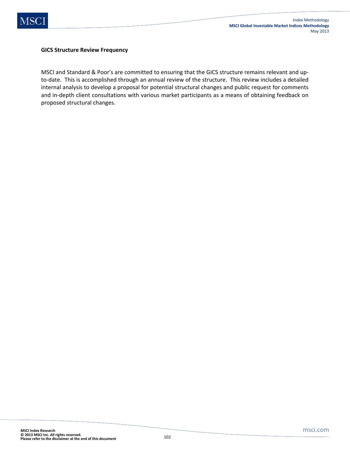

#### **GICS Structure Review Frequency**

MSCI and Standard & Poor's are committed to ensuring that the GICS structure remains relevant and upto-date. This is accomplished through an annual review of the structure. This review includes a detailed internal analysis to develop a proposal for potential structural changes and public request for comments and in-depth client consultations with various market participants as a means of obtaining feedback on proposed structural changes.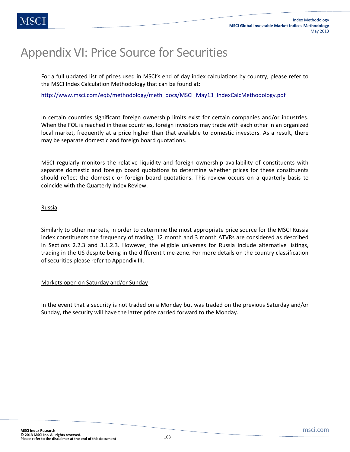# Appendix VI: Price Source for Securities

For a full updated list of prices used in MSCI's end of day index calculations by country, please refer to the MSCI Index Calculation Methodology that can be found at:

http://www.msci.com/eqb/methodology/meth\_docs/MSCI\_May13\_IndexCalcMethodology.pdf

In certain countries significant foreign ownership limits exist for certain companies and/or industries. When the FOL is reached in these countries, foreign investors may trade with each other in an organized local market, frequently at a price higher than that available to domestic investors. As a result, there may be separate domestic and foreign board quotations.

MSCI regularly monitors the relative liquidity and foreign ownership availability of constituents with separate domestic and foreign board quotations to determine whether prices for these constituents should reflect the domestic or foreign board quotations. This review occurs on a quarterly basis to coincide with the Quarterly Index Review.

### Russia

Similarly to other markets, in order to determine the most appropriate price source for the MSCI Russia index constituents the frequency of trading, 12 month and 3 month ATVRs are considered as described in Sections 2.2.3 and 3.1.2.3. However, the eligible universes for Russia include alternative listings, trading in the US despite being in the different time-zone. For more details on the country classification of securities please refer to Appendix III.

### Markets open on Saturday and/or Sunday

In the event that a security is not traded on a Monday but was traded on the previous Saturday and/or Sunday, the security will have the latter price carried forward to the Monday.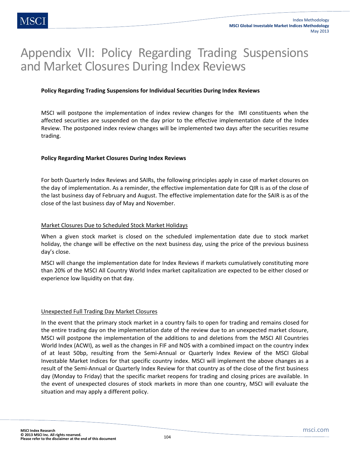# Appendix VII: Policy Regarding Trading Suspensions and Market Closures During Index Reviews

### **Policy Regarding Trading Suspensions for Individual Securities During Index Reviews**

MSCI will postpone the implementation of index review changes for the IMI constituents when the affected securities are suspended on the day prior to the effective implementation date of the Index Review. The postponed index review changes will be implemented two days after the securities resume trading.

### **Policy Regarding Market Closures During Index Reviews**

For both Quarterly Index Reviews and SAIRs, the following principles apply in case of market closures on the day of implementation. As a reminder, the effective implementation date for QIR is as of the close of the last business day of February and August. The effective implementation date for the SAIR is as of the close of the last business day of May and November.

#### Market Closures Due to Scheduled Stock Market Holidays

When a given stock market is closed on the scheduled implementation date due to stock market holiday, the change will be effective on the next business day, using the price of the previous business day's close.

MSCI will change the implementation date for Index Reviews if markets cumulatively constituting more than 20% of the MSCI All Country World Index market capitalization are expected to be either closed or experience low liquidity on that day.

#### Unexpected Full Trading Day Market Closures

In the event that the primary stock market in a country fails to open for trading and remains closed for the entire trading day on the implementation date of the review due to an unexpected market closure, MSCI will postpone the implementation of the additions to and deletions from the MSCI All Countries World Index (ACWI), as well as the changes in FIF and NOS with a combined impact on the country index of at least 50bp, resulting from the Semi-Annual or Quarterly Index Review of the MSCI Global Investable Market Indices for that specific country index. MSCI will implement the above changes as a result of the Semi-Annual or Quarterly Index Review for that country as of the close of the first business day (Monday to Friday) that the specific market reopens for trading and closing prices are available. In the event of unexpected closures of stock markets in more than one country, MSCI will evaluate the situation and may apply a different policy.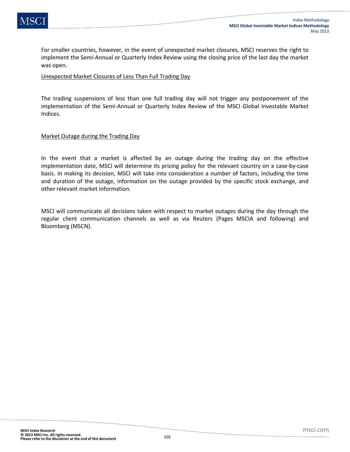For smaller countries, however, in the event of unexpected market closures, MSCI reserves the right to implement the Semi-Annual or Quarterly Index Review using the closing price of the last day the market was open.

### Unexpected Market Closures of Less Than Full Trading Day

The trading suspensions of less than one full trading day will not trigger any postponement of the implementation of the Semi-Annual or Quarterly Index Review of the MSCI Global Investable Market Indices.

### Market Outage during the Trading Day

In the event that a market is affected by an outage during the trading day on the effective implementation date, MSCI will determine its pricing policy for the relevant country on a case-by-case basis. In making its decision, MSCI will take into consideration a number of factors, including the time and duration of the outage, information on the outage provided by the specific stock exchange, and other relevant market information.

MSCI will communicate all decisions taken with respect to market outages during the day through the regular client communication channels as well as via Reuters (Pages MSCIA and following) and Bloomberg (MSCN).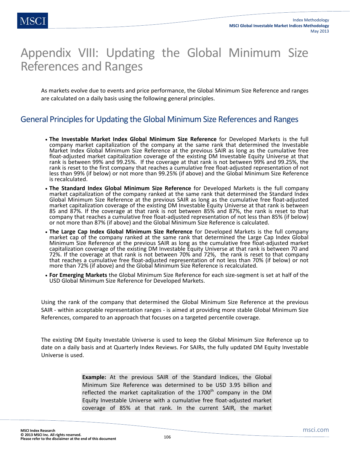# Appendix VIII: Updating the Global Minimum Size References and Ranges

As markets evolve due to events and price performance, the Global Minimum Size Reference and ranges are calculated on a daily basis using the following general principles.

## General Principles for Updating the Global Minimum Size References and Ranges

- **The Investable Market Index Global Minimum Size Reference** for Developed Markets is the full company market capitalization of the company at the same rank that determined the Investable Market Index Global Minimum Size Reference at the previous SAIR as long as the cumulative free float-adjusted market capitalization coverage of the existing DM Investable Equity Universe at that rank is between 99% and 99.25%. If the coverage at that rank is not between 99% and 99.25%, the rank is reset to the first company that reaches a cumulative free float-adjusted representation of not less than 99% (if below) or not more than 99.25% (if above) and the Global Minimum Size Reference is recalculated.
- **The Standard Index Global Minimum Size Reference** for Developed Markets is the full company market capitalization of the company ranked at the same rank that determined the Standard Index Global Minimum Size Reference at the previous SAIR as long as the cumulative free float-adjusted market capitalization coverage of the existing DM Investable Equity Universe at that rank is between 85 and 87%. If the coverage at that rank is not between 85% and 87%, the rank is reset to that company that reaches a cumulative free float-adjusted representation of not less than 85% (if below) or not more than 87% (if above) and the Global Minimum Size Reference is calculated.
- **The Large Cap Index Global Minimum Size Reference** for Developed Markets is the full company market cap of the company ranked at the same rank that determined the Large Cap Index Global Minimum Size Reference at the previous SAIR as long as the cumulative free float-adjusted market capitalization coverage of the existing DM Investable Equity Universe at that rank is between 70 and 72%. If the coverage at that rank is not between 70% and 72%, the rank is reset to that company that reaches a cumulative free float-adjusted representation of not less than 70% (if below) or not more than 72% (if above) and the Global Minimum Size Reference is recalculated.
- **For Emerging Markets** the Global Minimum Size Reference for each size-segment is set at half of the USD Global Minimum Size Reference for Developed Markets.

Using the rank of the company that determined the Global Minimum Size Reference at the previous SAIR - within acceptable representation ranges - is aimed at providing more stable Global Minimum Size References, compared to an approach that focuses on a targeted percentile coverage.

The existing DM Equity Investable Universe is used to keep the Global Minimum Size Reference up to date on a daily basis and at Quarterly Index Reviews. For SAIRs, the fully updated DM Equity Investable Universe is used.

> **Example:** At the previous SAIR of the Standard Indices, the Global Minimum Size Reference was determined to be USD 3.95 billion and reflected the market capitalization of the  $1700<sup>th</sup>$  company in the DM Equity Investable Universe with a cumulative free float-adjusted market coverage of 85% at that rank. In the current SAIR, the market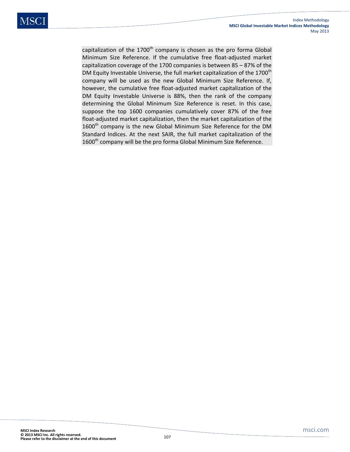capitalization of the  $1700<sup>th</sup>$  company is chosen as the pro forma Global Minimum Size Reference. If the cumulative free float-adjusted market capitalization coverage of the 1700 companies is between 85 – 87% of the DM Equity Investable Universe, the full market capitalization of the 1700<sup>th</sup> company will be used as the new Global Minimum Size Reference. If, however, the cumulative free float-adjusted market capitalization of the DM Equity Investable Universe is 88%, then the rank of the company determining the Global Minimum Size Reference is reset. In this case, suppose the top 1600 companies cumulatively cover 87% of the free float-adjusted market capitalization, then the market capitalization of the 1600<sup>th</sup> company is the new Global Minimum Size Reference for the DM Standard Indices. At the next SAIR, the full market capitalization of the  $1600<sup>th</sup>$  company will be the pro forma Global Minimum Size Reference.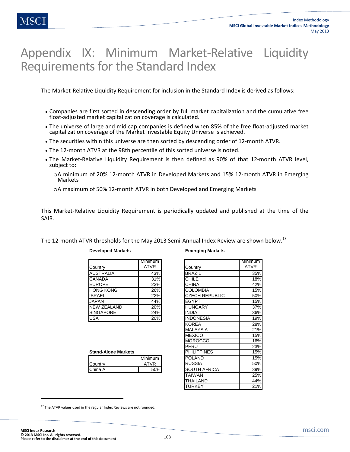# Appendix IX: Minimum Market-Relative Liquidity Requirements for the Standard Index

The Market-Relative Liquidity Requirement for inclusion in the Standard Index is derived as follows:

- Companies are first sorted in descending order by full market capitalization and the cumulative free float-adjusted market capitalization coverage is calculated.
- The universe of large and mid cap companies is defined when 85% of the free float-adjusted market capitalization coverage of the Market Investable Equity Universe is achieved.
- The securities within this universe are then sorted by descending order of 12-month ATVR.
- The 12-month ATVR at the 98th percentile of this sorted universe is noted.
- The Market-Relative Liquidity Requirement is then defined as 90% of that 12-month ATVR level, subject to:
	- oA minimum of 20% 12-month ATVR in Developed Markets and 15% 12-month ATVR in Emerging Markets

oA maximum of 50% 12-month ATVR in both Developed and Emerging Markets

This Market-Relative Liquidity Requirement is periodically updated and published at the time of the SAIR.

The 12-month ATVR thresholds for the May 2013 Semi-Annual Index Review are shown below.<sup>17</sup>

|                    | Minimum     |
|--------------------|-------------|
| Country            | <b>ATVR</b> |
| <b>AUSTRALIA</b>   | 43%         |
| <b>CANADA</b>      | 31%         |
| <b>EUROPE</b>      | 23%         |
| <b>HONG KONG</b>   | 26%         |
| <b>ISRAEL</b>      | 22%         |
| <b>JAPAN</b>       | 44%         |
| <b>NEW ZEALAND</b> | 20%         |
| <b>SINGAPORE</b>   | 24%         |
| <b>USA</b>         | 20%         |

#### **Developed Markets Emerging Markets**

|         | Minimum I   |
|---------|-------------|
| Country | <b>ATVR</b> |
| China A | 50%         |
|         |             |

#### Country Minimum ATVR AUSTRALIA 43% BRAZIL 35% CANADA 31% CHILE 18% EUROPE 23% CHINA 42% COLOMBIA 15% CZECH REPUBLIC 50% JAPAN 44% EGYPT 15% HUNGARY 37% SINGAPORE 24% INDIA 36% INDONESIA 19% KOREA 28% MALAYSIA 21% MEXICO 15% MOROCCO 16% PERU 23%<br>PHILIPPINES 15% **Stand-Alone Markets** The Stand-Alone Markets **15%** POLAND 15%<br>RUSSIA 50% RUSSIA SOUTH AFRICA **SOUTH AFRICA** TAIWAN 25% THAILAND 44% TURKEY 21%

<sup>17</sup> The ATVR values used in the regular Index Reviews are not rounded.

**.**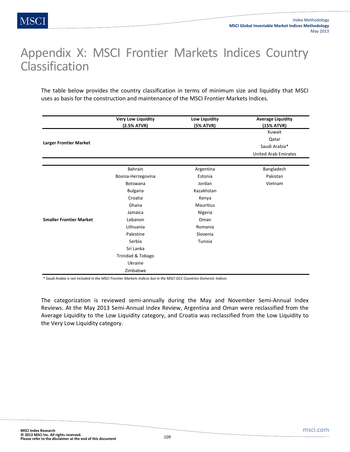# Appendix X: MSCI Frontier Markets Indices Country Classification

The table below provides the country classification in terms of minimum size and liquidity that MSCI uses as basis for the construction and maintenance of the MSCI Frontier Markets Indices.

|                                | <b>Very Low Liquidity</b> | Low Liquidity    | <b>Average Liquidity</b>    |
|--------------------------------|---------------------------|------------------|-----------------------------|
|                                | (2.5% ATVR)               | (5% ATVR)        | (15% ATVR)                  |
|                                |                           |                  | Kuwait                      |
| <b>Larger Frontier Market</b>  |                           |                  | Qatar                       |
|                                |                           |                  | Saudi Arabia*               |
|                                |                           |                  | <b>United Arab Emirates</b> |
|                                | Bahrain                   | Argentina        | Bangladesh                  |
|                                | Bosnia-Herzegovina        | Estonia          | Pakistan                    |
|                                | Botswana                  | Jordan           | Vietnam                     |
|                                | <b>Bulgaria</b>           | Kazakhstan       |                             |
|                                | Croatia                   | Kenya            |                             |
|                                | Ghana                     | <b>Mauritius</b> |                             |
|                                | Jamaica                   | Nigeria          |                             |
| <b>Smaller Frontier Market</b> | Lebanon                   | Oman             |                             |
|                                | Lithuania                 | Romania          |                             |
|                                | Palestine                 | Slovenia         |                             |
|                                | Serbia                    | Tunisia          |                             |
|                                | Sri Lanka                 |                  |                             |
|                                | Trinidad & Tobago         |                  |                             |
|                                | Ukraine                   |                  |                             |
|                                | Zimbabwe                  |                  |                             |

*\* Saudi Arabia is not included in the MSCI Frontier Markets Indices but in the MSCI GCC Countries Domestic Indices*

The categorization is reviewed semi-annually during the May and November Semi-Annual Index Reviews. At the May 2013 Semi-Annual Index Review, Argentina and Oman were reclassified from the Average Liquidity to the Low Liquidity category, and Croatia was reclassified from the Low Liquidity to the Very Low Liquidity category.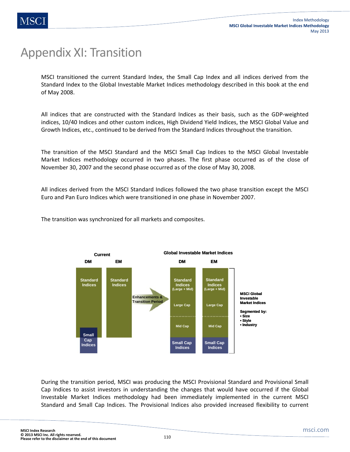# Appendix XI: Transition

MSCI transitioned the current Standard Index, the Small Cap Index and all indices derived from the Standard Index to the Global Investable Market Indices methodology described in this book at the end of May 2008.

All indices that are constructed with the Standard Indices as their basis, such as the GDP-weighted indices, 10/40 Indices and other custom indices, High Dividend Yield Indices, the MSCI Global Value and Growth Indices, etc., continued to be derived from the Standard Indices throughout the transition.

The transition of the MSCI Standard and the MSCI Small Cap Indices to the MSCI Global Investable Market Indices methodology occurred in two phases. The first phase occurred as of the close of November 30, 2007 and the second phase occurred as of the close of May 30, 2008.

All indices derived from the MSCI Standard Indices followed the two phase transition except the MSCI Euro and Pan Euro Indices which were transitioned in one phase in November 2007.

The transition was synchronized for all markets and composites.



During the transition period, MSCI was producing the MSCI Provisional Standard and Provisional Small Cap Indices to assist investors in understanding the changes that would have occurred if the Global Investable Market Indices methodology had been immediately implemented in the current MSCI Standard and Small Cap Indices. The Provisional Indices also provided increased flexibility to current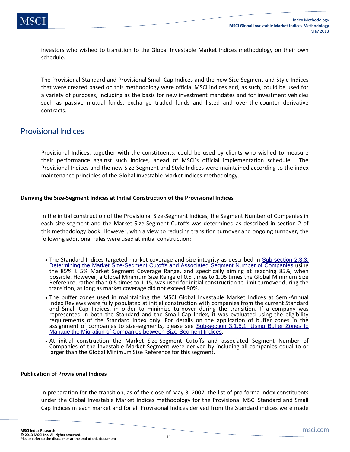investors who wished to transition to the Global Investable Market Indices methodology on their own schedule.

The Provisional Standard and Provisional Small Cap Indices and the new Size-Segment and Style Indices that were created based on this methodology were official MSCI indices and, as such, could be used for a variety of purposes, including as the basis for new investment mandates and for investment vehicles such as passive mutual funds, exchange traded funds and listed and over-the-counter derivative contracts.

### Provisional Indices

Provisional Indices, together with the constituents, could be used by clients who wished to measure their performance against such indices, ahead of MSCI's official implementation schedule. The Provisional Indices and the new Size-Segment and Style Indices were maintained according to the index maintenance principles of the Global Investable Market Indices methodology.

#### **Deriving the Size-Segment Indices at Initial Construction of the Provisional Indices**

In the initial construction of the Provisional Size-Segment Indices, the Segment Number of Companies in each size-segment and the Market Size-Segment Cutoffs was determined as described in section 2 of this methodology book. However, with a view to reducing transition turnover and ongoing turnover, the following additional rules were used at initial construction:

- The Standard Indices targeted market coverage and size integrity as described in Sub-section 2.3.3: Determining the Market Size-Segment Cutoffs and Associated Segment Number of Companies using the 85% ± 5% Market Segment Coverage Range, and specifically aiming at reaching 85%, when possible. However, a Global Minimum Size Range of 0.5 times to 1.05 times the Global Minimum Size Reference, rather than 0.5 times to 1.15, was used for initial construction to limit turnover during the transition, as long as market coverage did not exceed 90%.
- The buffer zones used in maintaining the MSCI Global Investable Market Indices at Semi-Annual Index Reviews were fully populated at initial construction with companies from the current Standard and Small Cap Indices, in order to minimize turnover during the transition. If a company was represented in both the Standard and the Small Cap Index, it was evaluated using the eligibility requirements of the Standard Index only. For details on the application of buffer zones in the assignment of companies to size-segments, please see Sub-section 3.1.5.1: Using Buffer Zones to Manage the Migration of Companies between Size-Segment Indices.
- At initial construction the Market Size-Segment Cutoffs and associated Segment Number of Companies of the Investable Market Segment were derived by including all companies equal to or larger than the Global Minimum Size Reference for this segment.

#### **Publication of Provisional Indices**

In preparation for the transition, as of the close of May 3, 2007, the list of pro forma index constituents under the Global Investable Market Indices methodology for the Provisional MSCI Standard and Small Cap Indices in each market and for all Provisional Indices derived from the Standard indices were made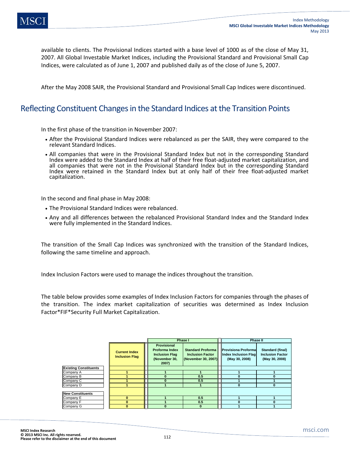available to clients. The Provisional Indices started with a base level of 1000 as of the close of May 31, 2007. All Global Investable Market Indices, including the Provisional Standard and Provisional Small Cap Indices, were calculated as of June 1, 2007 and published daily as of the close of June 5, 2007.

After the May 2008 SAIR, the Provisional Standard and Provisional Small Cap Indices were discontinued.

### Reflecting Constituent Changes in the Standard Indices at the Transition Points

In the first phase of the transition in November 2007:

- After the Provisional Standard Indices were rebalanced as per the SAIR, they were compared to the relevant Standard Indices.
- All companies that were in the Provisional Standard Index but not in the corresponding Standard Index were added to the Standard Index at half of their free float-adjusted market capitalization, and all companies that were not in the Provisional Standard Index but in the corresponding Standard Index were retained in the Standard Index but at only half of their free float-adjusted market capitalization.

In the second and final phase in May 2008:

- The Provisional Standard Indices were rebalanced.
- Any and all differences between the rebalanced Provisional Standard Index and the Standard Index were fully implemented in the Standard Indices.

The transition of the Small Cap Indices was synchronized with the transition of the Standard Indices, following the same timeline and approach.

Index Inclusion Factors were used to manage the indices throughout the transition.

The table below provides some examples of Index Inclusion Factors for companies through the phases of the transition. The index market capitalization of securities was determined as Index Inclusion Factor\*FIF\*Security Full Market Capitalization.

|                              |  |                                               | <b>Phase I</b>                                                                                 |                                                                            |  | <b>Phase II</b>                                                       |                                                               |  |
|------------------------------|--|-----------------------------------------------|------------------------------------------------------------------------------------------------|----------------------------------------------------------------------------|--|-----------------------------------------------------------------------|---------------------------------------------------------------|--|
|                              |  | <b>Current Index</b><br><b>Inclusion Flag</b> | <b>Provisional</b><br><b>Proforma Index</b><br><b>Inclusion Flag</b><br>(November 30,<br>2007) | <b>Standard Proforma</b><br><b>Inclusion Factor</b><br>(November 30, 2007) |  | <b>Provisiona Proformal</b><br>Index Inclusion Flag<br>(May 30, 2008) | Standard (final)<br><b>Inclusion Factor</b><br>(May 30, 2008) |  |
| <b>Existing Constituents</b> |  |                                               |                                                                                                |                                                                            |  |                                                                       |                                                               |  |
| Company A                    |  |                                               |                                                                                                |                                                                            |  |                                                                       |                                                               |  |
| Company B                    |  |                                               |                                                                                                | 0.5                                                                        |  |                                                                       |                                                               |  |
| Company C                    |  |                                               |                                                                                                | 0.5                                                                        |  |                                                                       |                                                               |  |
| Company D                    |  |                                               |                                                                                                |                                                                            |  |                                                                       |                                                               |  |
| <b>New Constituents</b>      |  |                                               |                                                                                                |                                                                            |  |                                                                       |                                                               |  |
| Company E                    |  |                                               |                                                                                                | 0.5                                                                        |  |                                                                       |                                                               |  |
| Company F                    |  |                                               |                                                                                                | 0.5                                                                        |  |                                                                       |                                                               |  |
| Company G                    |  |                                               |                                                                                                |                                                                            |  |                                                                       |                                                               |  |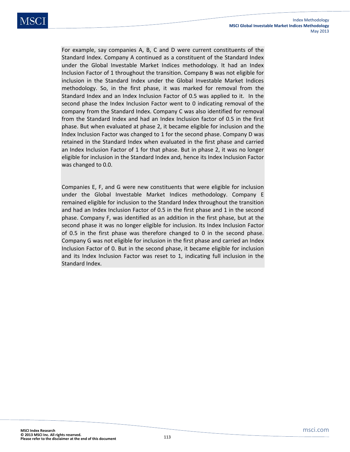For example, say companies A, B, C and D were current constituents of the Standard Index. Company A continued as a constituent of the Standard Index under the Global Investable Market Indices methodology. It had an Index Inclusion Factor of 1 throughout the transition. Company B was not eligible for inclusion in the Standard Index under the Global Investable Market Indices methodology. So, in the first phase, it was marked for removal from the Standard Index and an Index Inclusion Factor of 0.5 was applied to it. In the second phase the Index Inclusion Factor went to 0 indicating removal of the company from the Standard Index. Company C was also identified for removal from the Standard Index and had an Index Inclusion factor of 0.5 in the first phase. But when evaluated at phase 2, it became eligible for inclusion and the Index Inclusion Factor was changed to 1 for the second phase. Company D was retained in the Standard Index when evaluated in the first phase and carried an Index Inclusion Factor of 1 for that phase. But in phase 2, it was no longer eligible for inclusion in the Standard Index and, hence its Index Inclusion Factor was changed to 0.0.

Companies E, F, and G were new constituents that were eligible for inclusion under the Global Investable Market Indices methodology. Company E remained eligible for inclusion to the Standard Index throughout the transition and had an Index Inclusion Factor of 0.5 in the first phase and 1 in the second phase. Company F, was identified as an addition in the first phase, but at the second phase it was no longer eligible for inclusion. Its Index Inclusion Factor of 0.5 in the first phase was therefore changed to 0 in the second phase. Company G was not eligible for inclusion in the first phase and carried an Index Inclusion Factor of 0. But in the second phase, it became eligible for inclusion and its Index Inclusion Factor was reset to 1, indicating full inclusion in the Standard Index.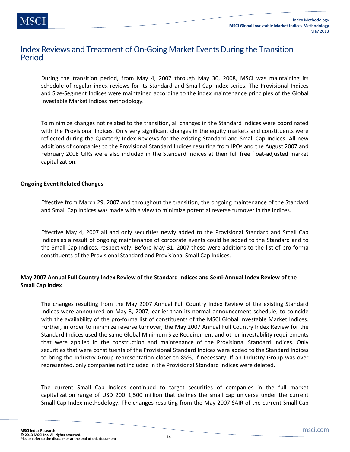### Index Reviews and Treatment of On-Going Market Events During the Transition Period

During the transition period, from May 4, 2007 through May 30, 2008, MSCI was maintaining its schedule of regular index reviews for its Standard and Small Cap Index series. The Provisional Indices and Size-Segment Indices were maintained according to the index maintenance principles of the Global Investable Market Indices methodology.

To minimize changes not related to the transition, all changes in the Standard Indices were coordinated with the Provisional Indices. Only very significant changes in the equity markets and constituents were reflected during the Quarterly Index Reviews for the existing Standard and Small Cap Indices. All new additions of companies to the Provisional Standard Indices resulting from IPOs and the August 2007 and February 2008 QIRs were also included in the Standard Indices at their full free float-adjusted market capitalization.

#### **Ongoing Event Related Changes**

Effective from March 29, 2007 and throughout the transition, the ongoing maintenance of the Standard and Small Cap Indices was made with a view to minimize potential reverse turnover in the indices.

Effective May 4, 2007 all and only securities newly added to the Provisional Standard and Small Cap Indices as a result of ongoing maintenance of corporate events could be added to the Standard and to the Small Cap Indices, respectively. Before May 31, 2007 these were additions to the list of pro-forma constituents of the Provisional Standard and Provisional Small Cap Indices.

#### **May 2007 Annual Full Country Index Review of the Standard Indices and Semi-Annual Index Review of the Small Cap Index**

The changes resulting from the May 2007 Annual Full Country Index Review of the existing Standard Indices were announced on May 3, 2007, earlier than its normal announcement schedule, to coincide with the availability of the pro-forma list of constituents of the MSCI Global Investable Market Indices. Further, in order to minimize reverse turnover, the May 2007 Annual Full Country Index Review for the Standard Indices used the same Global Minimum Size Requirement and other investability requirements that were applied in the construction and maintenance of the Provisional Standard Indices. Only securities that were constituents of the Provisional Standard Indices were added to the Standard Indices to bring the Industry Group representation closer to 85%, if necessary. If an Industry Group was over represented, only companies not included in the Provisional Standard Indices were deleted.

The current Small Cap Indices continued to target securities of companies in the full market capitalization range of USD 200–1,500 million that defines the small cap universe under the current Small Cap Index methodology. The changes resulting from the May 2007 SAIR of the current Small Cap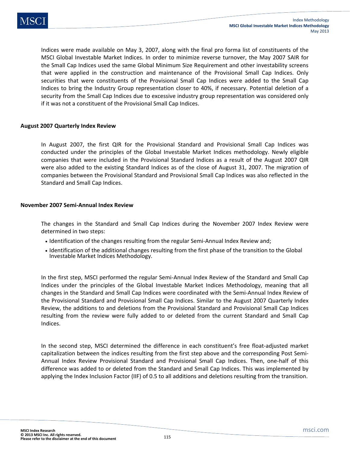Indices were made available on May 3, 2007, along with the final pro forma list of constituents of the MSCI Global Investable Market Indices. In order to minimize reverse turnover, the May 2007 SAIR for the Small Cap Indices used the same Global Minimum Size Requirement and other investability screens that were applied in the construction and maintenance of the Provisional Small Cap Indices. Only securities that were constituents of the Provisional Small Cap Indices were added to the Small Cap Indices to bring the Industry Group representation closer to 40%, if necessary. Potential deletion of a security from the Small Cap Indices due to excessive industry group representation was considered only if it was not a constituent of the Provisional Small Cap Indices.

#### **August 2007 Quarterly Index Review**

In August 2007, the first QIR for the Provisional Standard and Provisional Small Cap Indices was conducted under the principles of the Global Investable Market Indices methodology. Newly eligible companies that were included in the Provisional Standard Indices as a result of the August 2007 QIR were also added to the existing Standard Indices as of the close of August 31, 2007. The migration of companies between the Provisional Standard and Provisional Small Cap Indices was also reflected in the Standard and Small Cap Indices.

#### **November 2007 Semi-Annual Index Review**

The changes in the Standard and Small Cap Indices during the November 2007 Index Review were determined in two steps:

- Identification of the changes resulting from the regular Semi-Annual Index Review and;
- Identification of the additional changes resulting from the first phase of the transition to the Global Investable Market Indices Methodology.

In the first step, MSCI performed the regular Semi-Annual Index Review of the Standard and Small Cap Indices under the principles of the Global Investable Market Indices Methodology, meaning that all changes in the Standard and Small Cap Indices were coordinated with the Semi-Annual Index Review of the Provisional Standard and Provisional Small Cap Indices. Similar to the August 2007 Quarterly Index Review, the additions to and deletions from the Provisional Standard and Provisional Small Cap Indices resulting from the review were fully added to or deleted from the current Standard and Small Cap Indices.

In the second step, MSCI determined the difference in each constituent's free float-adjusted market capitalization between the indices resulting from the first step above and the corresponding Post Semi-Annual Index Review Provisional Standard and Provisional Small Cap Indices. Then, one-half of this difference was added to or deleted from the Standard and Small Cap Indices. This was implemented by applying the Index Inclusion Factor (IIF) of 0.5 to all additions and deletions resulting from the transition.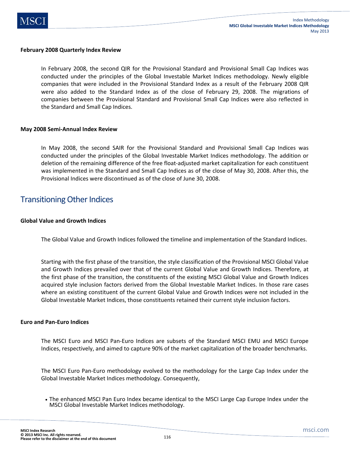

#### **February 2008 Quarterly Index Review**

In February 2008, the second QIR for the Provisional Standard and Provisional Small Cap Indices was conducted under the principles of the Global Investable Market Indices methodology. Newly eligible companies that were included in the Provisional Standard Index as a result of the February 2008 QIR were also added to the Standard Index as of the close of February 29, 2008. The migrations of companies between the Provisional Standard and Provisional Small Cap Indices were also reflected in the Standard and Small Cap Indices.

#### **May 2008 Semi-Annual Index Review**

In May 2008, the second SAIR for the Provisional Standard and Provisional Small Cap Indices was conducted under the principles of the Global Investable Market Indices methodology. The addition or deletion of the remaining difference of the free float-adjusted market capitalization for each constituent was implemented in the Standard and Small Cap Indices as of the close of May 30, 2008. After this, the Provisional Indices were discontinued as of the close of June 30, 2008.

### Transitioning Other Indices

#### **Global Value and Growth Indices**

The Global Value and Growth Indices followed the timeline and implementation of the Standard Indices.

Starting with the first phase of the transition, the style classification of the Provisional MSCI Global Value and Growth Indices prevailed over that of the current Global Value and Growth Indices. Therefore, at the first phase of the transition, the constituents of the existing MSCI Global Value and Growth Indices acquired style inclusion factors derived from the Global Investable Market Indices. In those rare cases where an existing constituent of the current Global Value and Growth Indices were not included in the Global Investable Market Indices, those constituents retained their current style inclusion factors.

#### **Euro and Pan-Euro Indices**

The MSCI Euro and MSCI Pan-Euro Indices are subsets of the Standard MSCI EMU and MSCI Europe Indices, respectively, and aimed to capture 90% of the market capitalization of the broader benchmarks.

The MSCI Euro Pan-Euro methodology evolved to the methodology for the Large Cap Index under the Global Investable Market Indices methodology. Consequently,

• The enhanced MSCI Pan Euro Index became identical to the MSCI Large Cap Europe Index under the MSCI Global Investable Market Indices methodology.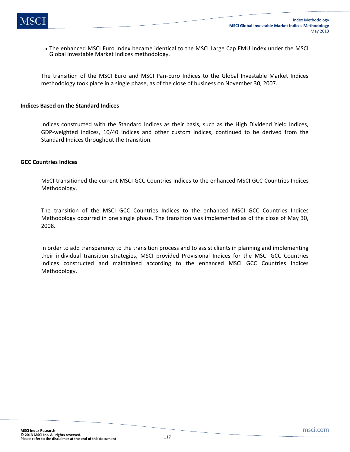• The enhanced MSCI Euro Index became identical to the MSCI Large Cap EMU Index under the MSCI Global Investable Market Indices methodology.

The transition of the MSCI Euro and MSCI Pan-Euro Indices to the Global Investable Market Indices methodology took place in a single phase, as of the close of business on November 30, 2007.

#### **Indices Based on the Standard Indices**

Indices constructed with the Standard Indices as their basis, such as the High Dividend Yield Indices, GDP-weighted indices, 10/40 Indices and other custom indices, continued to be derived from the Standard Indices throughout the transition.

#### **GCC Countries Indices**

MSCI transitioned the current MSCI GCC Countries Indices to the enhanced MSCI GCC Countries Indices Methodology.

The transition of the MSCI GCC Countries Indices to the enhanced MSCI GCC Countries Indices Methodology occurred in one single phase. The transition was implemented as of the close of May 30, 2008.

In order to add transparency to the transition process and to assist clients in planning and implementing their individual transition strategies, MSCI provided Provisional Indices for the MSCI GCC Countries Indices constructed and maintained according to the enhanced MSCI GCC Countries Indices Methodology.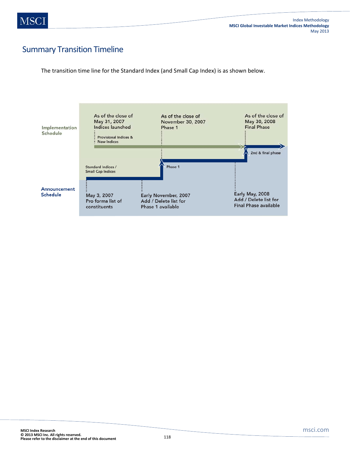# Summary Transition Timeline

The transition time line for the Standard Index (and Small Cap Index) is as shown below.

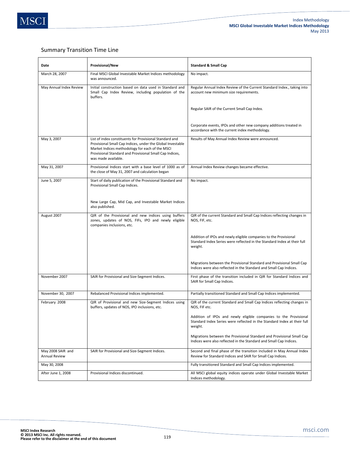#### Summary Transition Time Line

| Date                                      | <b>Provisional/New</b>                                                                                                                                                                                                                                     | <b>Standard &amp; Small Cap</b>                                                                                                                         |
|-------------------------------------------|------------------------------------------------------------------------------------------------------------------------------------------------------------------------------------------------------------------------------------------------------------|---------------------------------------------------------------------------------------------------------------------------------------------------------|
| March 28, 2007                            | Final MSCI Global Investable Market Indices methodology<br>was announced.                                                                                                                                                                                  | No impact.                                                                                                                                              |
| May Annual Index Review                   | Initial construction based on data used in Standard and<br>Small Cap Index Review, including population of the<br>buffers.                                                                                                                                 | Regular Annual Index Review of the Current Standard Index., taking into<br>account new minimum size requirements.                                       |
|                                           |                                                                                                                                                                                                                                                            | Regular SAIR of the Current Small Cap Index.                                                                                                            |
|                                           |                                                                                                                                                                                                                                                            | Corporate events, IPOs and other new company additions treated in<br>accordance with the current index methodology.                                     |
| May 3, 2007                               | List of index constituents for Provisional Standard and<br>Provisional Small Cap Indices, under the Global Investable<br>Market Indices methodology for each of the MSCI<br>Provisional Standard and Provisional Small Cap Indices,<br>was made available. | Results of May Annual Index Review were announced.                                                                                                      |
| May 31, 2007                              | Provisional Indices start with a base level of 1000 as of<br>the close of May 31, 2007 and calculation began                                                                                                                                               | Annual Index Review changes became effective.                                                                                                           |
| June 5, 2007                              | Start of daily publication of the Provisional Standard and<br>Provisional Small Cap Indices.                                                                                                                                                               | No impact.                                                                                                                                              |
|                                           | New Large Cap, Mid Cap, and Investable Market Indices<br>also published.                                                                                                                                                                                   |                                                                                                                                                         |
| August 2007                               | QIR of the Provisional and new indices using buffers<br>zones, updates of NOS, FIFs, IPO and newly eligible<br>companies inclusions, etc.                                                                                                                  | QIR of the current Standard and Small Cap Indices reflecting changes in<br>NOS, FIF, etc.                                                               |
|                                           |                                                                                                                                                                                                                                                            | Addition of IPOs and newly eligible companies to the Provisional<br>Standard Index Series were reflected in the Standard Index at their full<br>weight. |
|                                           |                                                                                                                                                                                                                                                            | Migrations between the Provisional Standard and Provisional Small Cap<br>Indices were also reflected in the Standard and Small Cap Indices.             |
| November 2007                             | SAIR for Provisional and Size-Segment Indices.                                                                                                                                                                                                             | First phase of the transition included in QIR for Standard Indices and<br>SAIR for Small Cap Indices.                                                   |
| November 30, 2007                         | Rebalanced Provisional Indices implemented.                                                                                                                                                                                                                | Partially transitioned Standard and Small Cap Indices implemented.                                                                                      |
| February 2008                             | QIR of Provisional and new Size-Segment Indices using<br>buffers, updates of NOS, IPO inclusions, etc.                                                                                                                                                     | QIR of the current Standard and Small Cap Indices reflecting changes in<br>NOS, FIF etc.                                                                |
|                                           |                                                                                                                                                                                                                                                            | Addition of IPOs and newly eligible companies to the Provisional<br>Standard Index Series were reflected in the Standard Index at their full<br>weight. |
|                                           |                                                                                                                                                                                                                                                            | Migrations between the Provisional Standard and Provisional Small Cap<br>Indices were also reflected in the Standard and Small Cap Indices.             |
| May 2008 SAIR and<br><b>Annual Review</b> | SAIR for Provisional and Size-Segment Indices.                                                                                                                                                                                                             | Second and final phase of the transition included in May Annual Index<br>Review for Standard Indices and SAIR for Small Cap Indices.                    |
| May 30, 2008                              |                                                                                                                                                                                                                                                            | Fully transitioned Standard and Small Cap Indices implemented.                                                                                          |
| After June 1, 2008                        | Provisional Indices discontinued.                                                                                                                                                                                                                          | All MSCI global equity indices operate under Global Investable Market<br>Indices methodology.                                                           |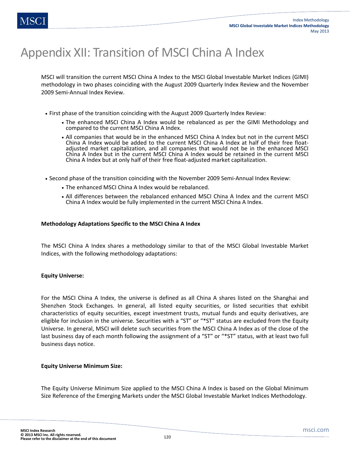# Appendix XII: Transition of MSCI China A Index

MSCI will transition the current MSCI China A Index to the MSCI Global Investable Market Indices (GIMI) methodology in two phases coinciding with the August 2009 Quarterly Index Review and the November 2009 Semi-Annual Index Review.

- First phase of the transition coinciding with the August 2009 Quarterly Index Review:
	- The enhanced MSCI China A Index would be rebalanced as per the GIMI Methodology and compared to the current MSCI China A Index.
	- All companies that would be in the enhanced MSCI China A Index but not in the current MSCI China A Index would be added to the current MSCI China A Index at half of their free floatadjusted market capitalization, and all companies that would not be in the enhanced MSCI China A Index but in the current MSCI China A Index would be retained in the current MSCI China A Index but at only half of their free float-adjusted market capitalization.
- Second phase of the transition coinciding with the November 2009 Semi-Annual Index Review:
	- The enhanced MSCI China A Index would be rebalanced.
	- All differences between the rebalanced enhanced MSCI China A Index and the current MSCI China A Index would be fully implemented in the current MSCI China A Index.

#### **Methodology Adaptations Specific to the MSCI China A Index**

The MSCI China A Index shares a methodology similar to that of the MSCI Global Investable Market Indices, with the following methodology adaptations:

#### **Equity Universe:**

For the MSCI China A Index, the universe is defined as all China A shares listed on the Shanghai and Shenzhen Stock Exchanges. In general, all listed equity securities, or listed securities that exhibit characteristics of equity securities, except investment trusts, mutual funds and equity derivatives, are eligible for inclusion in the universe. Securities with a "ST" or "\*ST" status are excluded from the Equity Universe. In general, MSCI will delete such securities from the MSCI China A Index as of the close of the last business day of each month following the assignment of a "ST" or "\*ST" status, with at least two full business days notice.

#### **Equity Universe Minimum Size:**

The Equity Universe Minimum Size applied to the MSCI China A Index is based on the Global Minimum Size Reference of the Emerging Markets under the MSCI Global Investable Market Indices Methodology.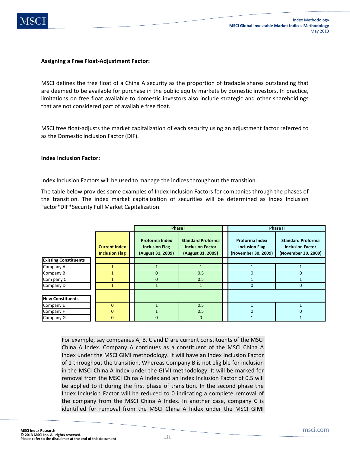

#### **Assigning a Free Float-Adjustment Factor:**

MSCI defines the free float of a China A security as the proportion of tradable shares outstanding that are deemed to be available for purchase in the public equity markets by domestic investors. In practice, limitations on free float available to domestic investors also include strategic and other shareholdings that are not considered part of available free float.

MSCI free float-adjusts the market capitalization of each security using an adjustment factor referred to as the Domestic Inclusion Factor (DIF).

#### **Index Inclusion Factor:**

Index Inclusion Factors will be used to manage the indices throughout the transition.

The table below provides some examples of Index Inclusion Factors for companies through the phases of the transition. The index market capitalization of securities will be determined as Index Inclusion Factor\*DIF\*Security Full Market Capitalization.

|                              |                                               | Phase I                                                             |                                                                          |  | <b>Phase II</b>                                                |                                                                            |
|------------------------------|-----------------------------------------------|---------------------------------------------------------------------|--------------------------------------------------------------------------|--|----------------------------------------------------------------|----------------------------------------------------------------------------|
|                              | <b>Current Index</b><br><b>Inclusion Flag</b> | <b>Proforma Index</b><br><b>Inclusion Flag</b><br>(August 31, 2009) | <b>Standard Proforma</b><br><b>Inclusion Factor</b><br>(August 31, 2009) |  | Proforma Index<br><b>Inclusion Flag</b><br>(November 30, 2009) | <b>Standard Proforma</b><br><b>Inclusion Factor</b><br>(November 30, 2009) |
| <b>Existing Constituents</b> |                                               |                                                                     |                                                                          |  |                                                                |                                                                            |
| Company A                    |                                               |                                                                     |                                                                          |  |                                                                |                                                                            |
| Company B                    |                                               | $\Omega$                                                            | 0.5                                                                      |  | <sup>n</sup>                                                   | $\mathbf{0}$                                                               |
| Com pany C                   |                                               | $\Omega$                                                            | 0.5                                                                      |  |                                                                |                                                                            |
| Company D                    |                                               |                                                                     |                                                                          |  | $\Omega$                                                       | $\mathbf{0}$                                                               |
|                              |                                               |                                                                     |                                                                          |  |                                                                |                                                                            |
| <b>New Constituents</b>      |                                               |                                                                     |                                                                          |  |                                                                |                                                                            |
| Company E                    | $\Omega$                                      |                                                                     | 0.5                                                                      |  |                                                                |                                                                            |
| Company F                    |                                               |                                                                     | 0.5                                                                      |  |                                                                |                                                                            |
| Company G                    | 0                                             | 0                                                                   | $\mathbf{0}$                                                             |  |                                                                |                                                                            |

For example, say companies A, B, C and D are current constituents of the MSCI China A Index. Company A continues as a constituent of the MSCI China A Index under the MSCI GIMI methodology. It will have an Index Inclusion Factor of 1 throughout the transition. Whereas Company B is not eligible for inclusion in the MSCI China A Index under the GIMI methodology. It will be marked for removal from the MSCI China A Index and an Index Inclusion Factor of 0.5 will be applied to it during the first phase of transition. In the second phase the Index Inclusion Factor will be reduced to 0 indicating a complete removal of the company from the MSCI China A Index. In another case, company C is identified for removal from the MSCI China A Index under the MSCI GIMI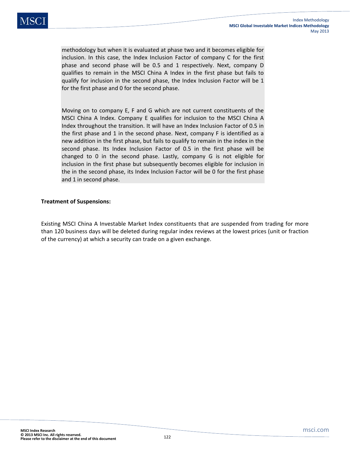methodology but when it is evaluated at phase two and it becomes eligible for inclusion. In this case, the Index Inclusion Factor of company C for the first phase and second phase will be 0.5 and 1 respectively. Next, company D qualifies to remain in the MSCI China A Index in the first phase but fails to qualify for inclusion in the second phase, the Index Inclusion Factor will be 1 for the first phase and 0 for the second phase.

Moving on to company E, F and G which are not current constituents of the MSCI China A Index. Company E qualifies for inclusion to the MSCI China A Index throughout the transition. It will have an Index Inclusion Factor of 0.5 in the first phase and 1 in the second phase. Next, company F is identified as a new addition in the first phase, but fails to qualify to remain in the index in the second phase. Its Index Inclusion Factor of 0.5 in the first phase will be changed to 0 in the second phase. Lastly, company G is not eligible for inclusion in the first phase but subsequently becomes eligible for inclusion in the in the second phase, its Index Inclusion Factor will be 0 for the first phase and 1 in second phase.

#### **Treatment of Suspensions:**

Existing MSCI China A Investable Market Index constituents that are suspended from trading for more than 120 business days will be deleted during regular index reviews at the lowest prices (unit or fraction of the currency) at which a security can trade on a given exchange.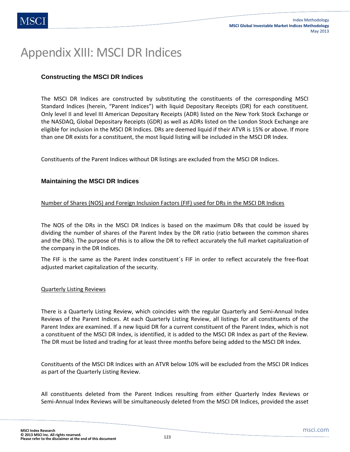# Appendix XIII: MSCI DR Indices

### **Constructing the MSCI DR Indices**

The MSCI DR Indices are constructed by substituting the constituents of the corresponding MSCI Standard Indices (herein, "Parent Indices") with liquid Depositary Receipts (DR) for each constituent. Only level II and level III American Depositary Receipts (ADR) listed on the New York Stock Exchange or the NASDAQ, Global Depositary Receipts (GDR) as well as ADRs listed on the London Stock Exchange are eligible for inclusion in the MSCI DR Indices. DRs are deemed liquid if their ATVR is 15% or above. If more than one DR exists for a constituent, the most liquid listing will be included in the MSCI DR Index.

Constituents of the Parent Indices without DR listings are excluded from the MSCI DR Indices.

#### **Maintaining the MSCI DR Indices**

#### Number of Shares (NOS) and Foreign Inclusion Factors (FIF) used for DRs in the MSCI DR Indices

The NOS of the DRs in the MSCI DR Indices is based on the maximum DRs that could be issued by dividing the number of shares of the Parent Index by the DR ratio (ratio between the common shares and the DRs). The purpose of this is to allow the DR to reflect accurately the full market capitalization of the company in the DR Indices.

The FIF is the same as the Parent Index constituent´s FIF in order to reflect accurately the free-float adjusted market capitalization of the security.

#### Quarterly Listing Reviews

There is a Quarterly Listing Review, which coincides with the regular Quarterly and Semi-Annual Index Reviews of the Parent Indices. At each Quarterly Listing Review, all listings for all constituents of the Parent Index are examined. If a new liquid DR for a current constituent of the Parent Index, which is not a constituent of the MSCI DR Index, is identified, it is added to the MSCI DR Index as part of the Review. The DR must be listed and trading for at least three months before being added to the MSCI DR Index.

Constituents of the MSCI DR Indices with an ATVR below 10% will be excluded from the MSCI DR Indices as part of the Quarterly Listing Review.

All constituents deleted from the Parent Indices resulting from either Quarterly Index Reviews or Semi-Annual Index Reviews will be simultaneously deleted from the MSCI DR Indices, provided the asset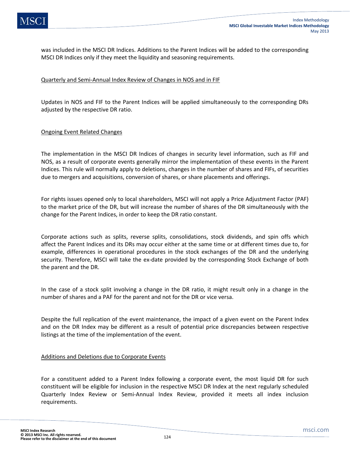was included in the MSCI DR Indices. Additions to the Parent Indices will be added to the corresponding MSCI DR Indices only if they meet the liquidity and seasoning requirements.

#### Quarterly and Semi-Annual Index Review of Changes in NOS and in FIF

Updates in NOS and FIF to the Parent Indices will be applied simultaneously to the corresponding DRs adjusted by the respective DR ratio.

#### Ongoing Event Related Changes

The implementation in the MSCI DR Indices of changes in security level information, such as FIF and NOS, as a result of corporate events generally mirror the implementation of these events in the Parent Indices. This rule will normally apply to deletions, changes in the number of shares and FIFs, of securities due to mergers and acquisitions, conversion of shares, or share placements and offerings.

For rights issues opened only to local shareholders, MSCI will not apply a Price Adjustment Factor (PAF) to the market price of the DR, but will increase the number of shares of the DR simultaneously with the change for the Parent Indices, in order to keep the DR ratio constant.

Corporate actions such as splits, reverse splits, consolidations, stock dividends, and spin offs which affect the Parent Indices and its DRs may occur either at the same time or at different times due to, for example, differences in operational procedures in the stock exchanges of the DR and the underlying security. Therefore, MSCI will take the ex-date provided by the corresponding Stock Exchange of both the parent and the DR.

In the case of a stock split involving a change in the DR ratio, it might result only in a change in the number of shares and a PAF for the parent and not for the DR or vice versa.

Despite the full replication of the event maintenance, the impact of a given event on the Parent Index and on the DR Index may be different as a result of potential price discrepancies between respective listings at the time of the implementation of the event.

#### Additions and Deletions due to Corporate Events

For a constituent added to a Parent Index following a corporate event, the most liquid DR for such constituent will be eligible for inclusion in the respective MSCI DR Index at the next regularly scheduled Quarterly Index Review or Semi-Annual Index Review, provided it meets all index inclusion requirements.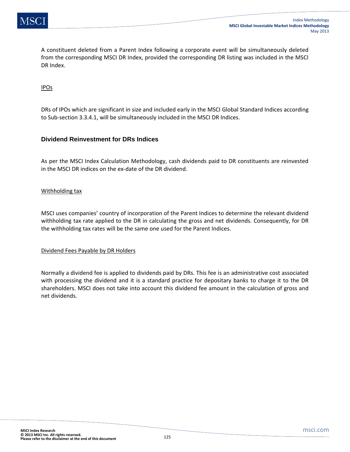A constituent deleted from a Parent Index following a corporate event will be simultaneously deleted from the corresponding MSCI DR Index, provided the corresponding DR listing was included in the MSCI DR Index.

#### IPOs

DRs of IPOs which are significant in size and included early in the MSCI Global Standard Indices according to Sub-section 3.3.4.1, will be simultaneously included in the MSCI DR Indices.

#### **Dividend Reinvestment for DRs Indices**

As per the MSCI Index Calculation Methodology, cash dividends paid to DR constituents are reinvested in the MSCI DR indices on the ex-date of the DR dividend.

#### Withholding tax

MSCI uses companies' country of incorporation of the Parent Indices to determine the relevant dividend withholding tax rate applied to the DR in calculating the gross and net dividends. Consequently, for DR the withholding tax rates will be the same one used for the Parent Indices.

#### Dividend Fees Payable by DR Holders

Normally a dividend fee is applied to dividends paid by DRs. This fee is an administrative cost associated with processing the dividend and it is a standard practice for depositary banks to charge it to the DR shareholders. MSCI does not take into account this dividend fee amount in the calculation of gross and net dividends.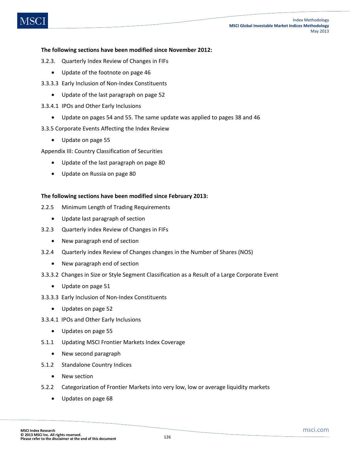#### **The following sections have been modified since November 2012:**

- 3.2.3. Quarterly Index Review of Changes in FIFs
	- Update of the footnote on page 46
- 3.3.3.3 Early Inclusion of Non-Index Constituents
	- Update of the last paragraph on page 52
- 3.3.4.1 IPOs and Other Early Inclusions
	- Update on pages 54 and 55. The same update was applied to pages 38 and 46
- 3.3.5 Corporate Events Affecting the Index Review
	- Update on page 55

Appendix III: Country Classification of Securities

- Update of the last paragraph on page 80
- Update on Russia on page 80

#### **The following sections have been modified since February 2013:**

- 2.2.5 Minimum Length of Trading Requirements
	- Update last paragraph of section
- 3.2.3 Quarterly index Review of Changes in FIFs
	- New paragraph end of section
- 3.2.4 Quarterly index Review of Changes changes in the Number of Shares (NOS)
	- New paragraph end of section
- 3.3.3.2 Changes in Size or Style Segment Classification as a Result of a Large Corporate Event
	- Update on page 51
- 3.3.3.3 Early Inclusion of Non-Index Constituents
	- Updates on page 52
- 3.3.4.1 IPOs and Other Early Inclusions
	- Updates on page 55
- 5.1.1 Updating MSCI Frontier Markets Index Coverage
	- New second paragraph
- 5.1.2 Standalone Country Indices
	- New section
- 5.2.2 Categorization of Frontier Markets into very low, low or average liquidity markets
	- Updates on page 68